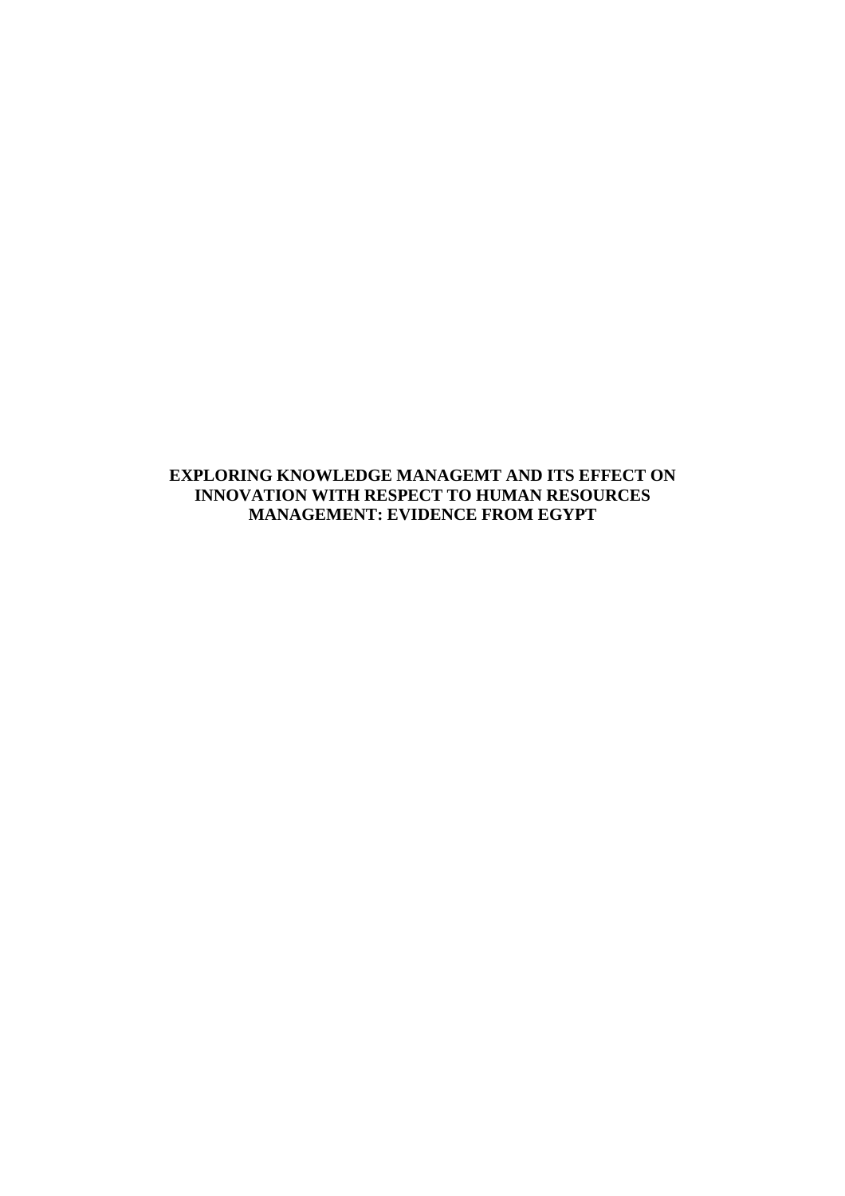**EXPLORING KNOWLEDGE MANAGEMT AND ITS EFFECT ON INNOVATION WITH RESPECT TO HUMAN RESOURCES MANAGEMENT: EVIDENCE FROM EGYPT**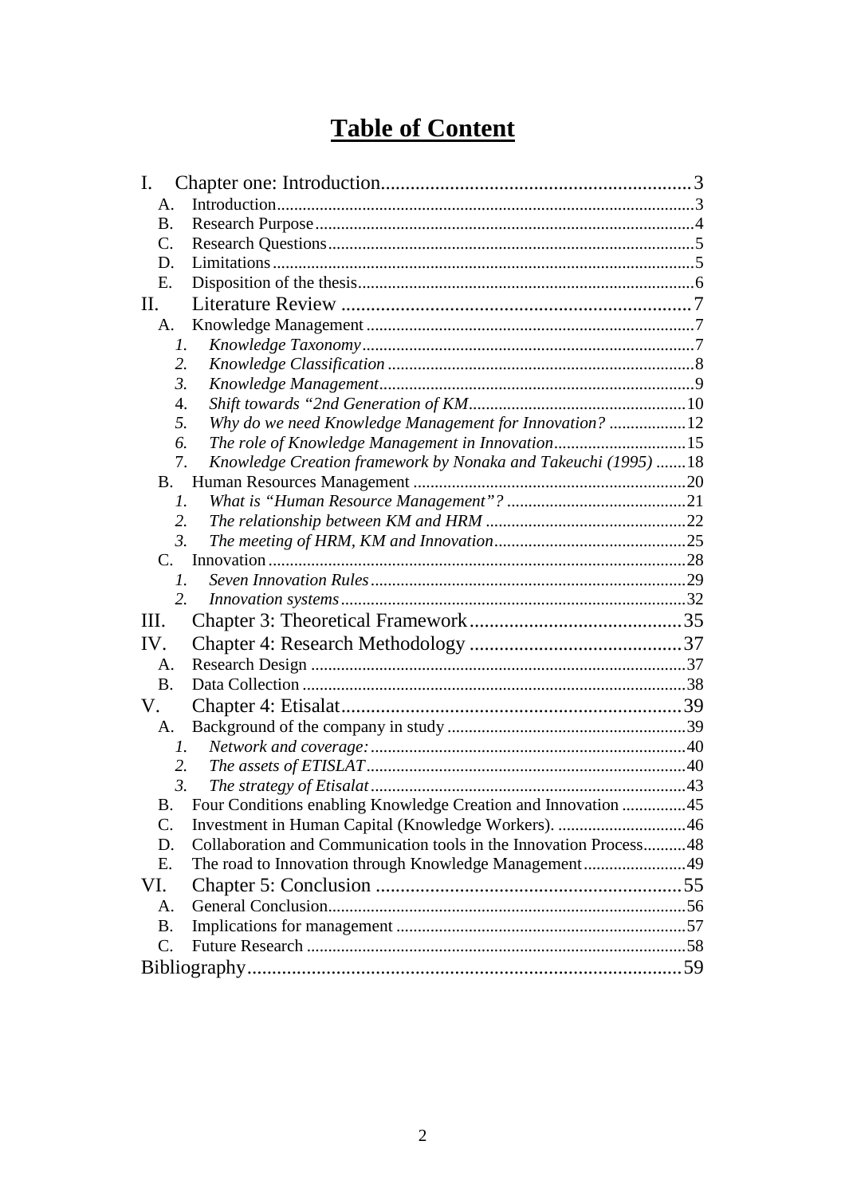# **Table of Content**

| I.                                                                      |  |
|-------------------------------------------------------------------------|--|
| A.                                                                      |  |
| <b>B.</b>                                                               |  |
| $\mathcal{C}$ .                                                         |  |
| D.                                                                      |  |
| E.                                                                      |  |
| П.                                                                      |  |
| A.                                                                      |  |
| 1.                                                                      |  |
| 2.                                                                      |  |
| $\mathfrak{Z}$ .                                                        |  |
| 4.                                                                      |  |
| Why do we need Knowledge Management for Innovation? 12<br>5.            |  |
| The role of Knowledge Management in Innovation15<br>6.                  |  |
| Knowledge Creation framework by Nonaka and Takeuchi (1995) 18<br>7.     |  |
| <b>B</b> .                                                              |  |
| $\mathcal{I}$ .                                                         |  |
| 2.                                                                      |  |
| $\mathfrak{Z}$ .                                                        |  |
| $C_{\cdot}$                                                             |  |
| $\mathfrak{1}.$                                                         |  |
| 2.                                                                      |  |
| Ш.                                                                      |  |
| IV.                                                                     |  |
| A.                                                                      |  |
| <b>B.</b>                                                               |  |
| V.                                                                      |  |
| A.                                                                      |  |
| $l_{\cdot}$                                                             |  |
| 2.                                                                      |  |
| $\mathfrak{Z}$ .                                                        |  |
| Four Conditions enabling Knowledge Creation and Innovation 45<br>В.     |  |
| $\mathbf{C}$ .                                                          |  |
| Collaboration and Communication tools in the Innovation Process48<br>D. |  |
| The road to Innovation through Knowledge Management49<br>E.             |  |
| VI.                                                                     |  |
| A.                                                                      |  |
| <b>B.</b>                                                               |  |
| $\mathcal{C}$ .                                                         |  |
|                                                                         |  |
|                                                                         |  |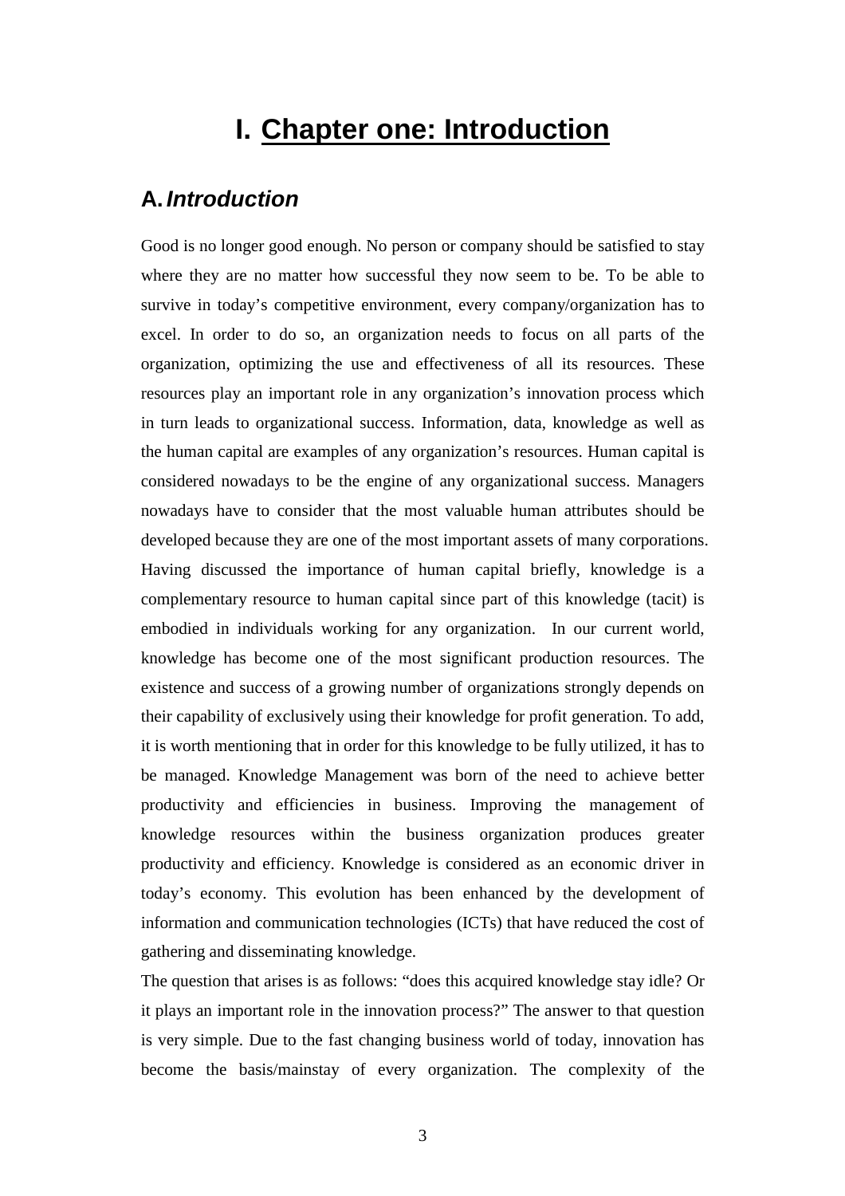# **I. Chapter one: Introduction**

## **A. Introduction**

Good is no longer good enough. No person or company should be satisfied to stay where they are no matter how successful they now seem to be. To be able to survive in today's competitive environment, every company/organization has to excel. In order to do so, an organization needs to focus on all parts of the organization, optimizing the use and effectiveness of all its resources. These resources play an important role in any organization's innovation process which in turn leads to organizational success. Information, data, knowledge as well as the human capital are examples of any organization's resources. Human capital is considered nowadays to be the engine of any organizational success. Managers nowadays have to consider that the most valuable human attributes should be developed because they are one of the most important assets of many corporations. Having discussed the importance of human capital briefly, knowledge is a complementary resource to human capital since part of this knowledge (tacit) is embodied in individuals working for any organization. In our current world, knowledge has become one of the most significant production resources. The existence and success of a growing number of organizations strongly depends on their capability of exclusively using their knowledge for profit generation. To add, it is worth mentioning that in order for this knowledge to be fully utilized, it has to be managed. Knowledge Management was born of the need to achieve better productivity and efficiencies in business. Improving the management of knowledge resources within the business organization produces greater productivity and efficiency. Knowledge is considered as an economic driver in today's economy. This evolution has been enhanced by the development of information and communication technologies (ICTs) that have reduced the cost of gathering and disseminating knowledge.

The question that arises is as follows: "does this acquired knowledge stay idle? Or it plays an important role in the innovation process?" The answer to that question is very simple. Due to the fast changing business world of today, innovation has become the basis/mainstay of every organization. The complexity of the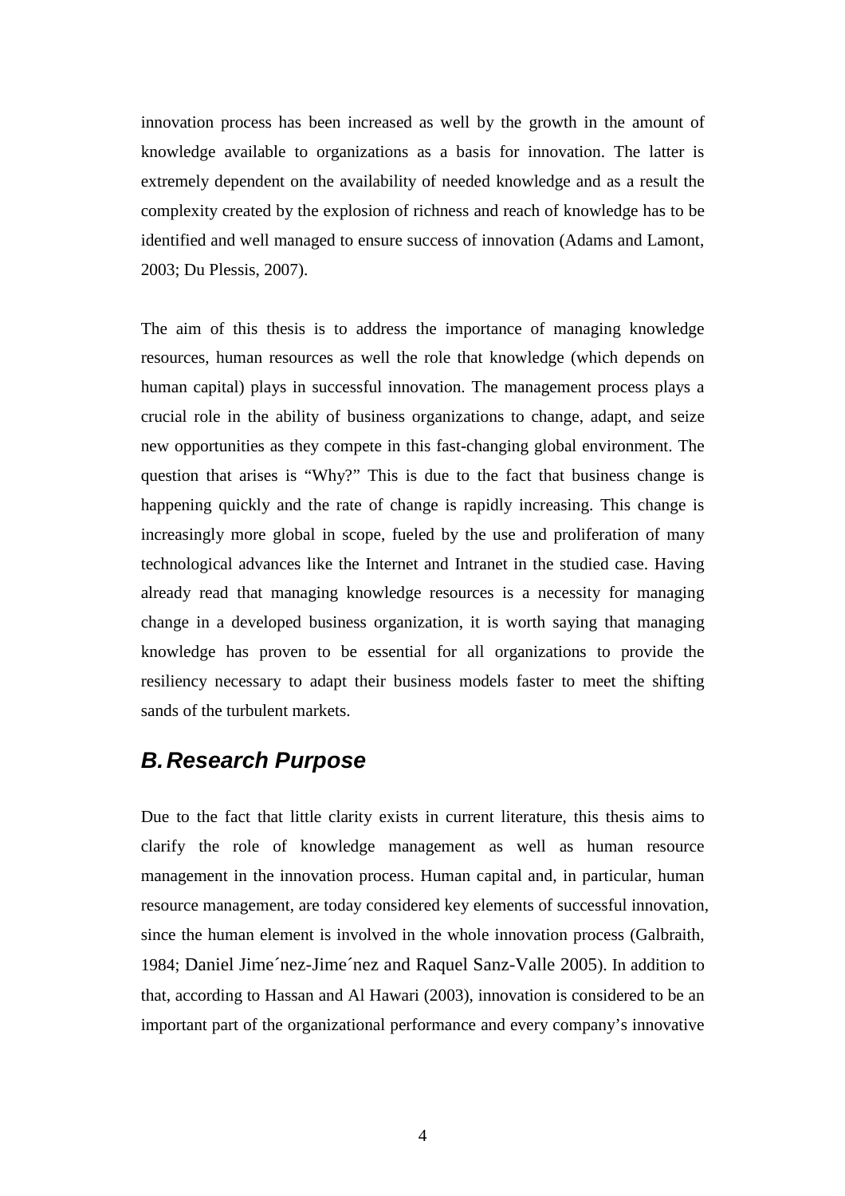innovation process has been increased as well by the growth in the amount of knowledge available to organizations as a basis for innovation. The latter is extremely dependent on the availability of needed knowledge and as a result the complexity created by the explosion of richness and reach of knowledge has to be identified and well managed to ensure success of innovation (Adams and Lamont, 2003; Du Plessis, 2007).

The aim of this thesis is to address the importance of managing knowledge resources, human resources as well the role that knowledge (which depends on human capital) plays in successful innovation. The management process plays a crucial role in the ability of business organizations to change, adapt, and seize new opportunities as they compete in this fast-changing global environment. The question that arises is "Why?" This is due to the fact that business change is happening quickly and the rate of change is rapidly increasing. This change is increasingly more global in scope, fueled by the use and proliferation of many technological advances like the Internet and Intranet in the studied case. Having already read that managing knowledge resources is a necessity for managing change in a developed business organization, it is worth saying that managing knowledge has proven to be essential for all organizations to provide the resiliency necessary to adapt their business models faster to meet the shifting sands of the turbulent markets.

## **B. Research Purpose**

Due to the fact that little clarity exists in current literature, this thesis aims to clarify the role of knowledge management as well as human resource management in the innovation process. Human capital and, in particular, human resource management, are today considered key elements of successful innovation, since the human element is involved in the whole innovation process (Galbraith, 1984; Daniel Jime´nez-Jime´nez and Raquel Sanz-Valle 2005). In addition to that, according to Hassan and Al Hawari (2003), innovation is considered to be an important part of the organizational performance and every company's innovative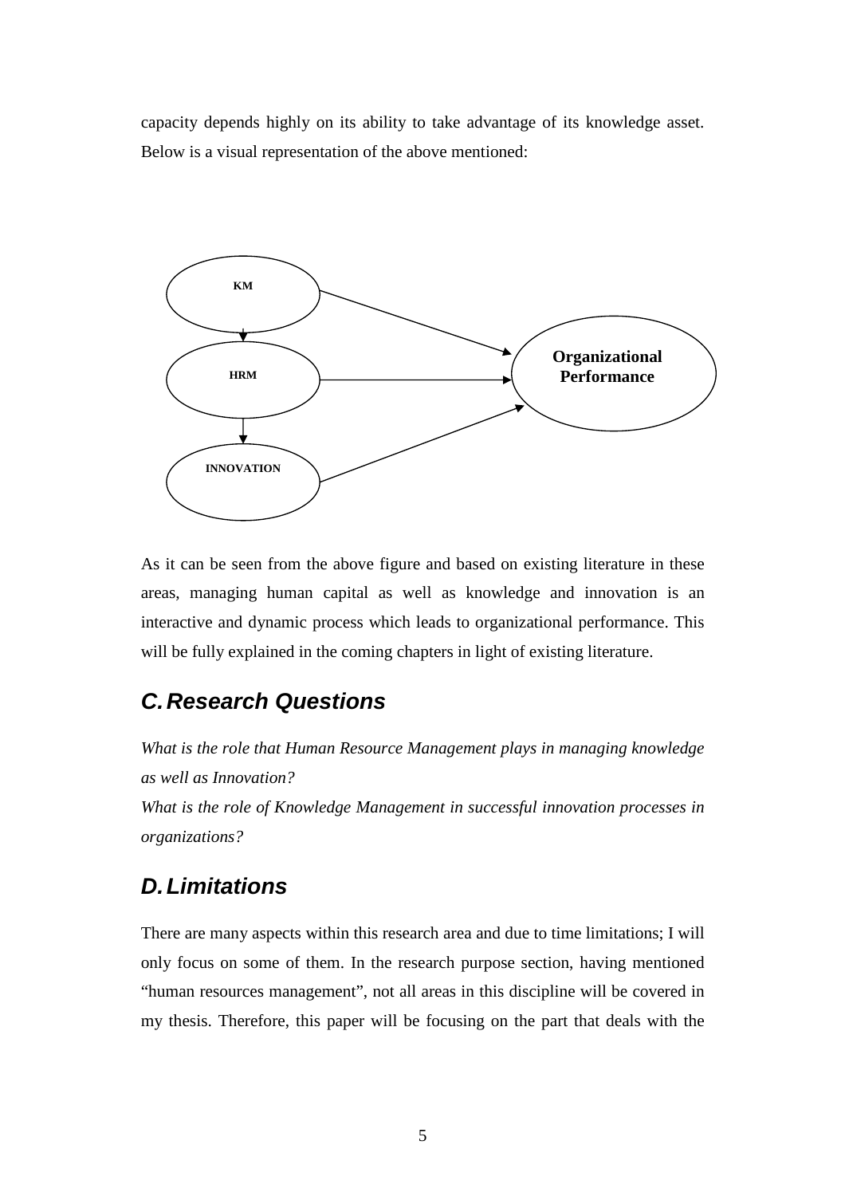capacity depends highly on its ability to take advantage of its knowledge asset. Below is a visual representation of the above mentioned:



As it can be seen from the above figure and based on existing literature in these areas, managing human capital as well as knowledge and innovation is an interactive and dynamic process which leads to organizational performance. This will be fully explained in the coming chapters in light of existing literature.

# **C. Research Questions**

*What is the role that Human Resource Management plays in managing knowledge as well as Innovation?* 

*What is the role of Knowledge Management in successful innovation processes in organizations?* 

# **D. Limitations**

There are many aspects within this research area and due to time limitations; I will only focus on some of them. In the research purpose section, having mentioned "human resources management", not all areas in this discipline will be covered in my thesis. Therefore, this paper will be focusing on the part that deals with the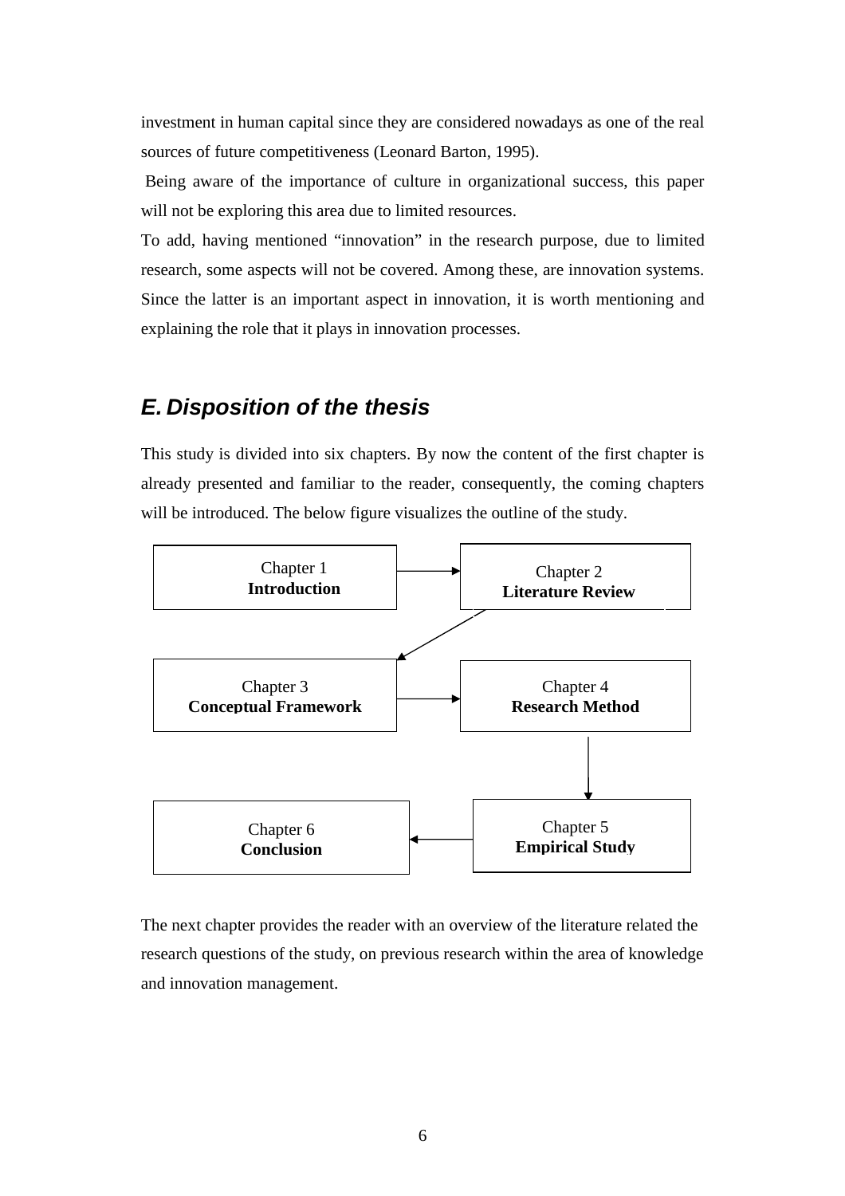investment in human capital since they are considered nowadays as one of the real sources of future competitiveness (Leonard Barton, 1995).

 Being aware of the importance of culture in organizational success, this paper will not be exploring this area due to limited resources.

To add, having mentioned "innovation" in the research purpose, due to limited research, some aspects will not be covered. Among these, are innovation systems. Since the latter is an important aspect in innovation, it is worth mentioning and explaining the role that it plays in innovation processes.

## **E. Disposition of the thesis**

This study is divided into six chapters. By now the content of the first chapter is already presented and familiar to the reader, consequently, the coming chapters will be introduced. The below figure visualizes the outline of the study.



The next chapter provides the reader with an overview of the literature related the research questions of the study, on previous research within the area of knowledge and innovation management.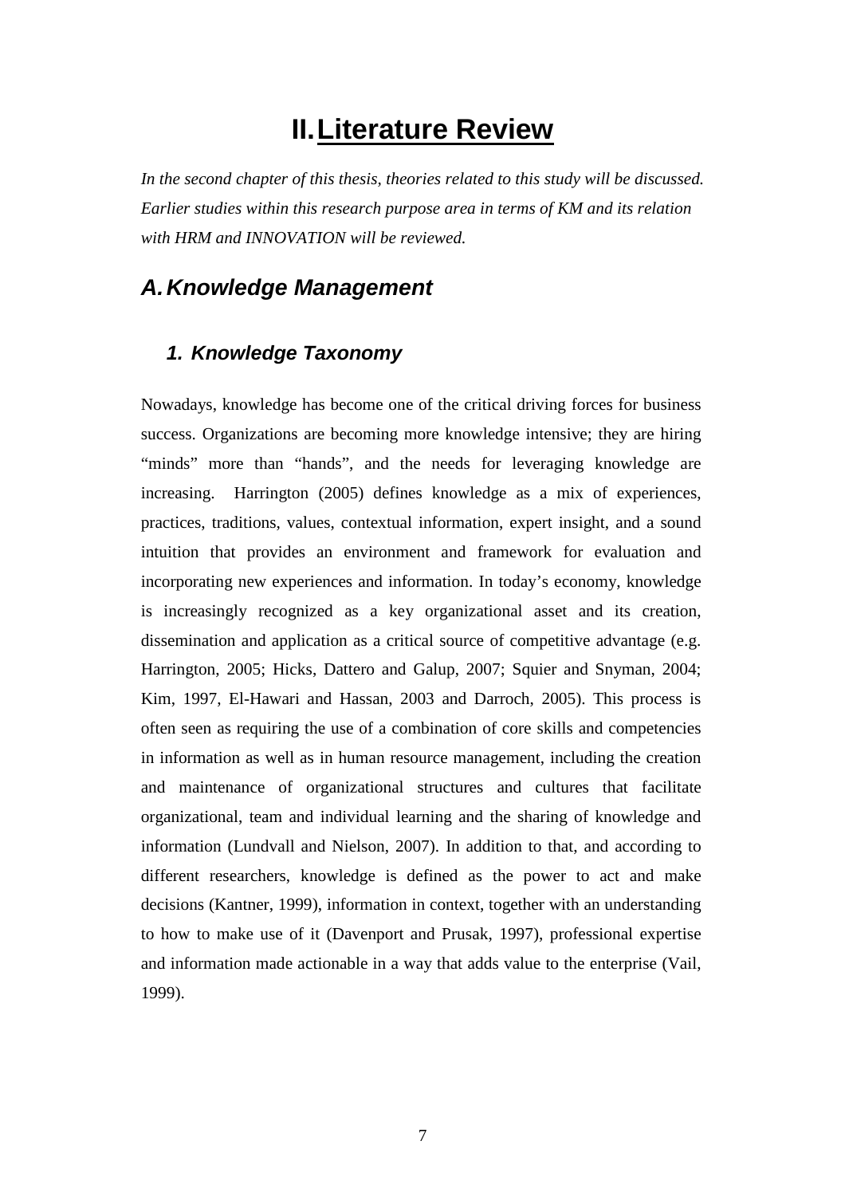# **II. Literature Review**

*In the second chapter of this thesis, theories related to this study will be discussed. Earlier studies within this research purpose area in terms of KM and its relation with HRM and INNOVATION will be reviewed.* 

### **A. Knowledge Management**

### **1. Knowledge Taxonomy**

Nowadays, knowledge has become one of the critical driving forces for business success. Organizations are becoming more knowledge intensive; they are hiring "minds" more than "hands", and the needs for leveraging knowledge are increasing. Harrington (2005) defines knowledge as a mix of experiences, practices, traditions, values, contextual information, expert insight, and a sound intuition that provides an environment and framework for evaluation and incorporating new experiences and information. In today's economy, knowledge is increasingly recognized as a key organizational asset and its creation, dissemination and application as a critical source of competitive advantage (e.g. Harrington, 2005; Hicks, Dattero and Galup, 2007; Squier and Snyman, 2004; Kim, 1997, El-Hawari and Hassan, 2003 and Darroch, 2005). This process is often seen as requiring the use of a combination of core skills and competencies in information as well as in human resource management, including the creation and maintenance of organizational structures and cultures that facilitate organizational, team and individual learning and the sharing of knowledge and information (Lundvall and Nielson, 2007). In addition to that, and according to different researchers, knowledge is defined as the power to act and make decisions (Kantner, 1999), information in context, together with an understanding to how to make use of it (Davenport and Prusak, 1997), professional expertise and information made actionable in a way that adds value to the enterprise (Vail, 1999).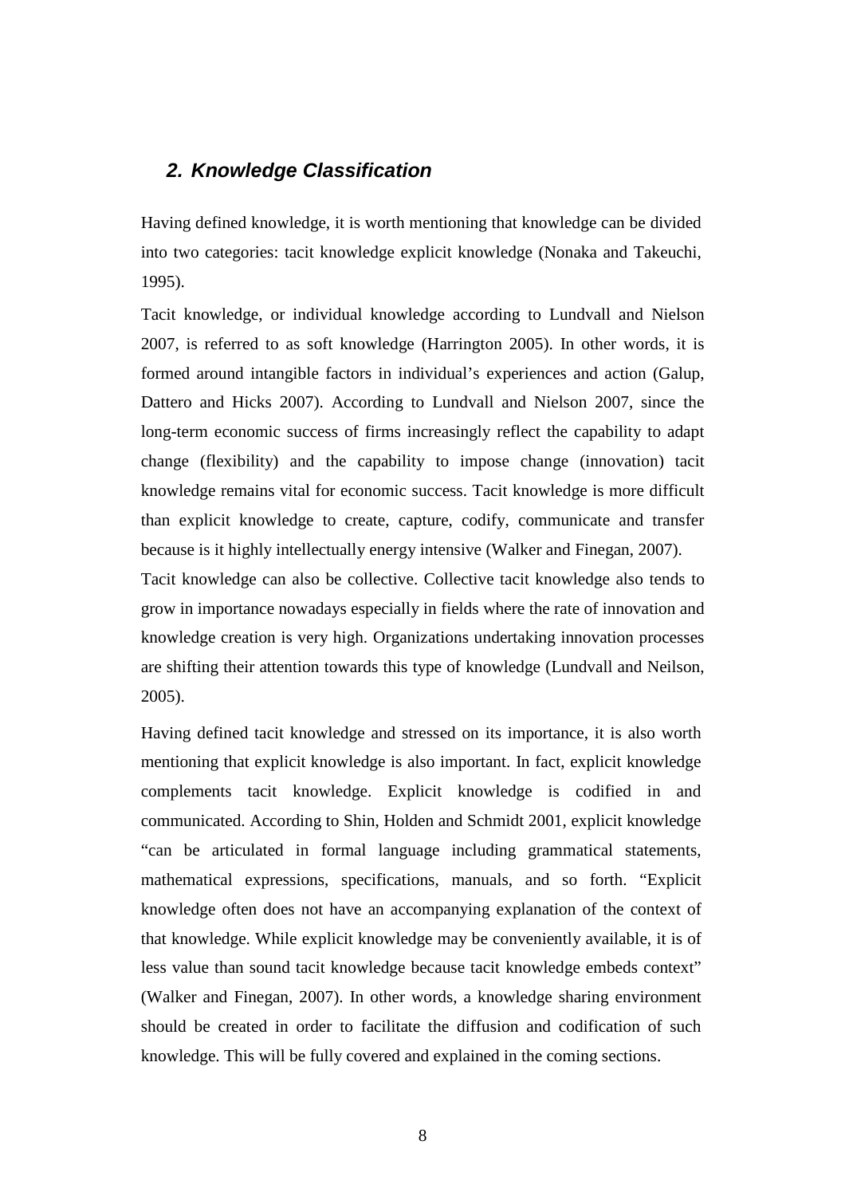## **2. Knowledge Classification**

Having defined knowledge, it is worth mentioning that knowledge can be divided into two categories: tacit knowledge explicit knowledge (Nonaka and Takeuchi, 1995).

Tacit knowledge, or individual knowledge according to Lundvall and Nielson 2007, is referred to as soft knowledge (Harrington 2005). In other words, it is formed around intangible factors in individual's experiences and action (Galup, Dattero and Hicks 2007). According to Lundvall and Nielson 2007, since the long-term economic success of firms increasingly reflect the capability to adapt change (flexibility) and the capability to impose change (innovation) tacit knowledge remains vital for economic success. Tacit knowledge is more difficult than explicit knowledge to create, capture, codify, communicate and transfer because is it highly intellectually energy intensive (Walker and Finegan, 2007).

Tacit knowledge can also be collective. Collective tacit knowledge also tends to grow in importance nowadays especially in fields where the rate of innovation and knowledge creation is very high. Organizations undertaking innovation processes are shifting their attention towards this type of knowledge (Lundvall and Neilson, 2005).

Having defined tacit knowledge and stressed on its importance, it is also worth mentioning that explicit knowledge is also important. In fact, explicit knowledge complements tacit knowledge. Explicit knowledge is codified in and communicated. According to Shin, Holden and Schmidt 2001, explicit knowledge "can be articulated in formal language including grammatical statements, mathematical expressions, specifications, manuals, and so forth. "Explicit knowledge often does not have an accompanying explanation of the context of that knowledge. While explicit knowledge may be conveniently available, it is of less value than sound tacit knowledge because tacit knowledge embeds context" (Walker and Finegan, 2007). In other words, a knowledge sharing environment should be created in order to facilitate the diffusion and codification of such knowledge. This will be fully covered and explained in the coming sections.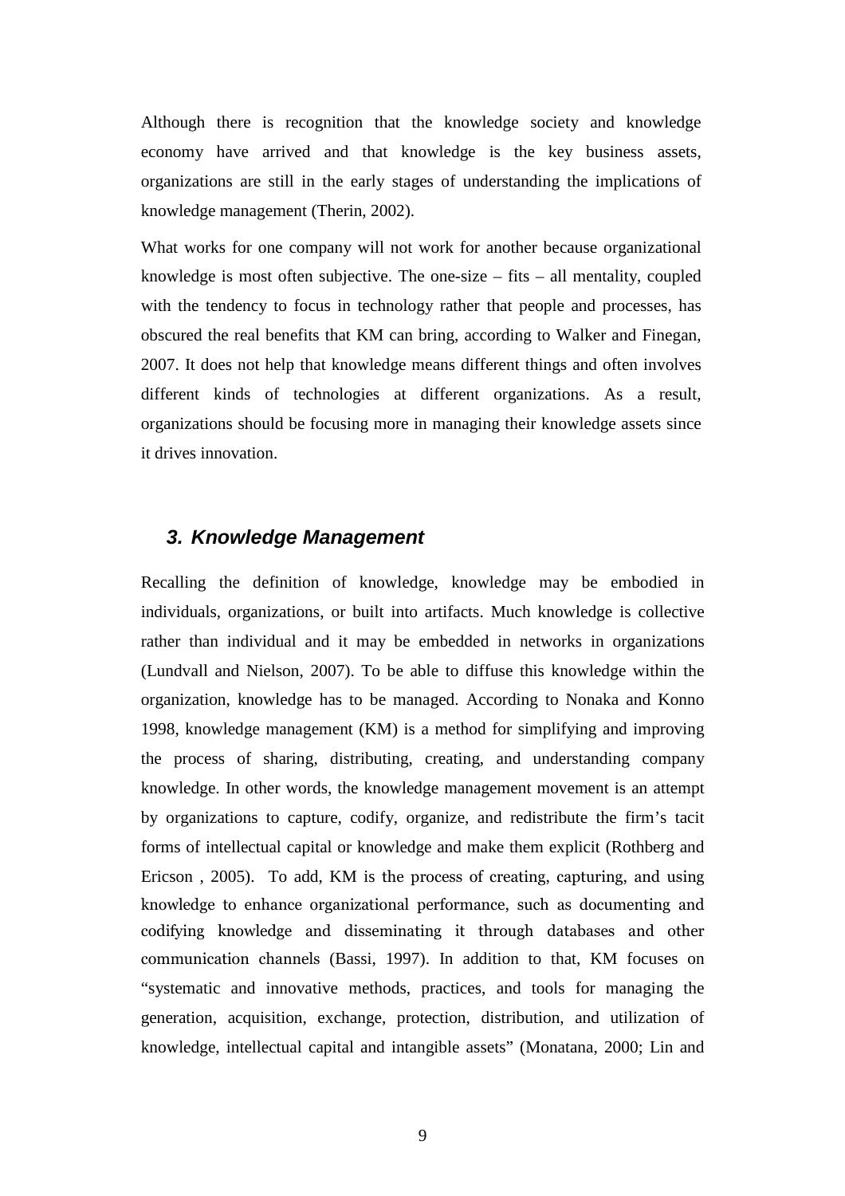Although there is recognition that the knowledge society and knowledge economy have arrived and that knowledge is the key business assets, organizations are still in the early stages of understanding the implications of knowledge management (Therin, 2002).

What works for one company will not work for another because organizational knowledge is most often subjective. The one-size  $-$  fits  $-$  all mentality, coupled with the tendency to focus in technology rather that people and processes, has obscured the real benefits that KM can bring, according to Walker and Finegan, 2007. It does not help that knowledge means different things and often involves different kinds of technologies at different organizations. As a result, organizations should be focusing more in managing their knowledge assets since it drives innovation.

### **3. Knowledge Management**

Recalling the definition of knowledge, knowledge may be embodied in individuals, organizations, or built into artifacts. Much knowledge is collective rather than individual and it may be embedded in networks in organizations (Lundvall and Nielson, 2007). To be able to diffuse this knowledge within the organization, knowledge has to be managed. According to Nonaka and Konno 1998, knowledge management (KM) is a method for simplifying and improving the process of sharing, distributing, creating, and understanding company knowledge. In other words, the knowledge management movement is an attempt by organizations to capture, codify, organize, and redistribute the firm's tacit forms of intellectual capital or knowledge and make them explicit (Rothberg and Ericson , 2005). To add, KM is the process of creating, capturing, and using knowledge to enhance organizational performance, such as documenting and codifying knowledge and disseminating it through databases and other communication channels (Bassi, 1997). In addition to that, KM focuses on "systematic and innovative methods, practices, and tools for managing the generation, acquisition, exchange, protection, distribution, and utilization of knowledge, intellectual capital and intangible assets" (Monatana, 2000; Lin and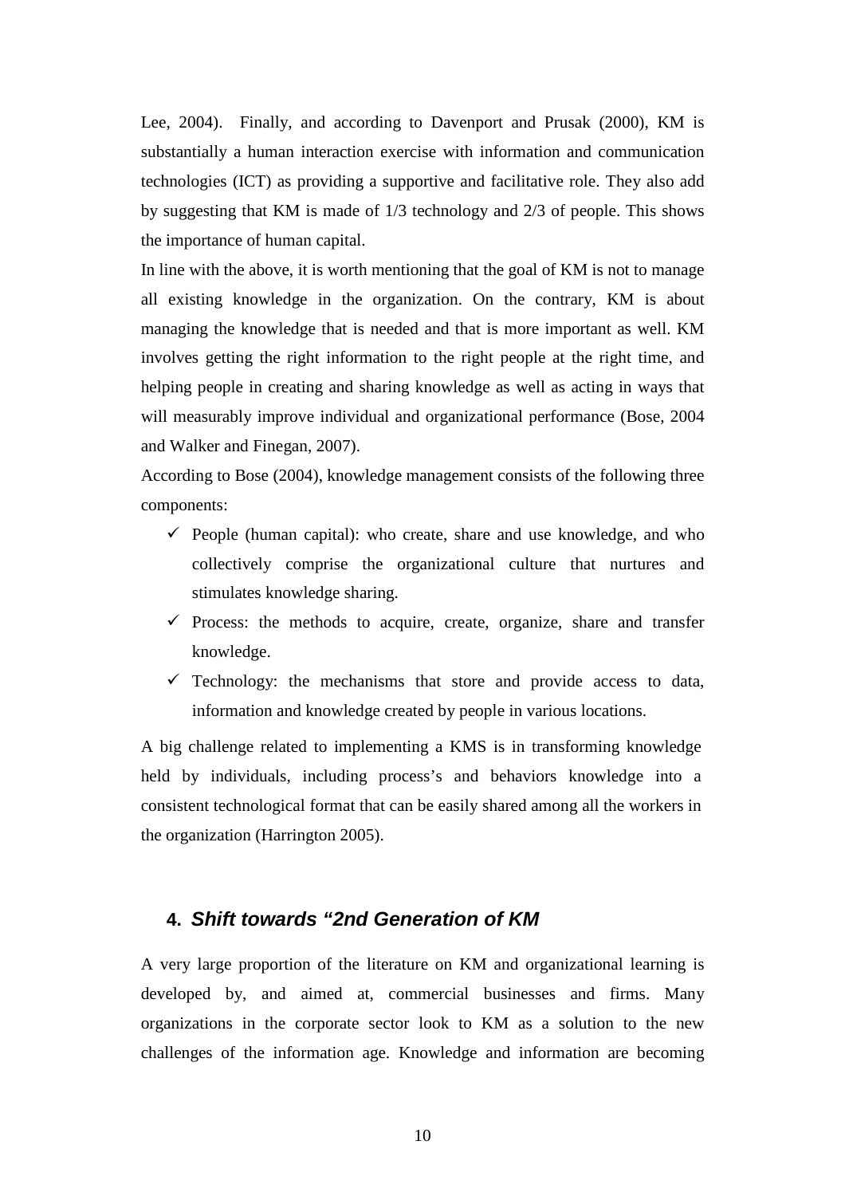Lee, 2004). Finally, and according to Davenport and Prusak (2000), KM is substantially a human interaction exercise with information and communication technologies (ICT) as providing a supportive and facilitative role. They also add by suggesting that KM is made of 1/3 technology and 2/3 of people. This shows the importance of human capital.

In line with the above, it is worth mentioning that the goal of KM is not to manage all existing knowledge in the organization. On the contrary, KM is about managing the knowledge that is needed and that is more important as well. KM involves getting the right information to the right people at the right time, and helping people in creating and sharing knowledge as well as acting in ways that will measurably improve individual and organizational performance (Bose, 2004 and Walker and Finegan, 2007).

According to Bose (2004), knowledge management consists of the following three components:

- $\checkmark$  People (human capital): who create, share and use knowledge, and who collectively comprise the organizational culture that nurtures and stimulates knowledge sharing.
- $\checkmark$  Process: the methods to acquire, create, organize, share and transfer knowledge.
- $\checkmark$  Technology: the mechanisms that store and provide access to data, information and knowledge created by people in various locations.

A big challenge related to implementing a KMS is in transforming knowledge held by individuals, including process's and behaviors knowledge into a consistent technological format that can be easily shared among all the workers in the organization (Harrington 2005).

#### **4. Shift towards "2nd Generation of KM**

A very large proportion of the literature on KM and organizational learning is developed by, and aimed at, commercial businesses and firms. Many organizations in the corporate sector look to KM as a solution to the new challenges of the information age. Knowledge and information are becoming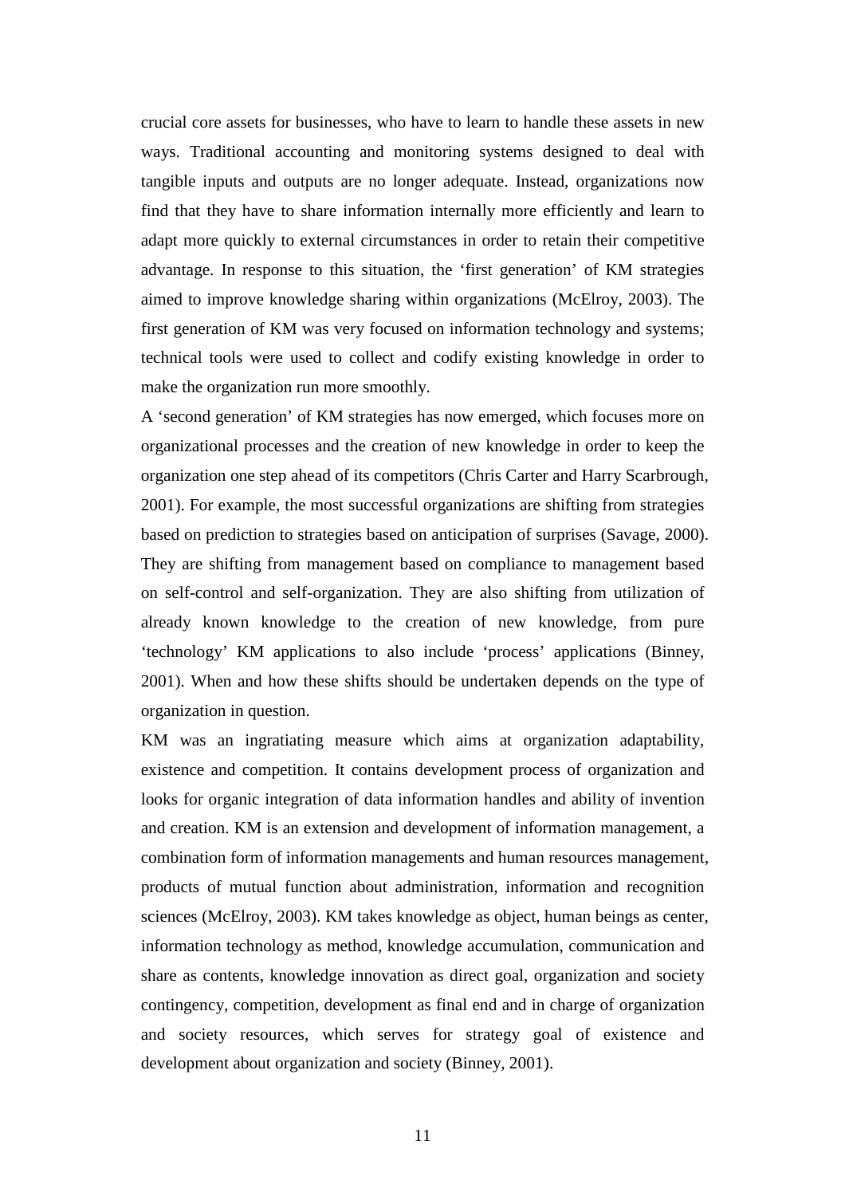crucial core assets for businesses, who have to learn to handle these assets in new ways. Traditional accounting and monitoring systems designed to deal with tangible inputs and outputs are no longer adequate. Instead, organizations now find that they have to share information internally more efficiently and learn to adapt more quickly to external circumstances in order to retain their competitive advantage. In response to this situation, the 'first generation' of KM strategies aimed to improve knowledge sharing within organizations (McElroy, 2003). The first generation of KM was very focused on information technology and systems; technical tools were used to collect and codify existing knowledge in order to make the organization run more smoothly.

A 'second generation' of KM strategies has now emerged, which focuses more on organizational processes and the creation of new knowledge in order to keep the organization one step ahead of its competitors (Chris Carter and Harry Scarbrough, 2001). For example, the most successful organizations are shifting from strategies based on prediction to strategies based on anticipation of surprises (Savage, 2000). They are shifting from management based on compliance to management based on self-control and self-organization. They are also shifting from utilization of already known knowledge to the creation of new knowledge, from pure 'technology' KM applications to also include 'process' applications (Binney, 2001). When and how these shifts should be undertaken depends on the type of organization in question.

KM was an ingratiating measure which aims at organization adaptability, existence and competition. It contains development process of organization and looks for organic integration of data information handles and ability of invention and creation. KM is an extension and development of information management, a combination form of information managements and human resources management, products of mutual function about administration, information and recognition sciences (McElroy, 2003). KM takes knowledge as object, human beings as center, information technology as method, knowledge accumulation, communication and share as contents, knowledge innovation as direct goal, organization and society contingency, competition, development as final end and in charge of organization and society resources, which serves for strategy goal of existence and development about organization and society (Binney, 2001).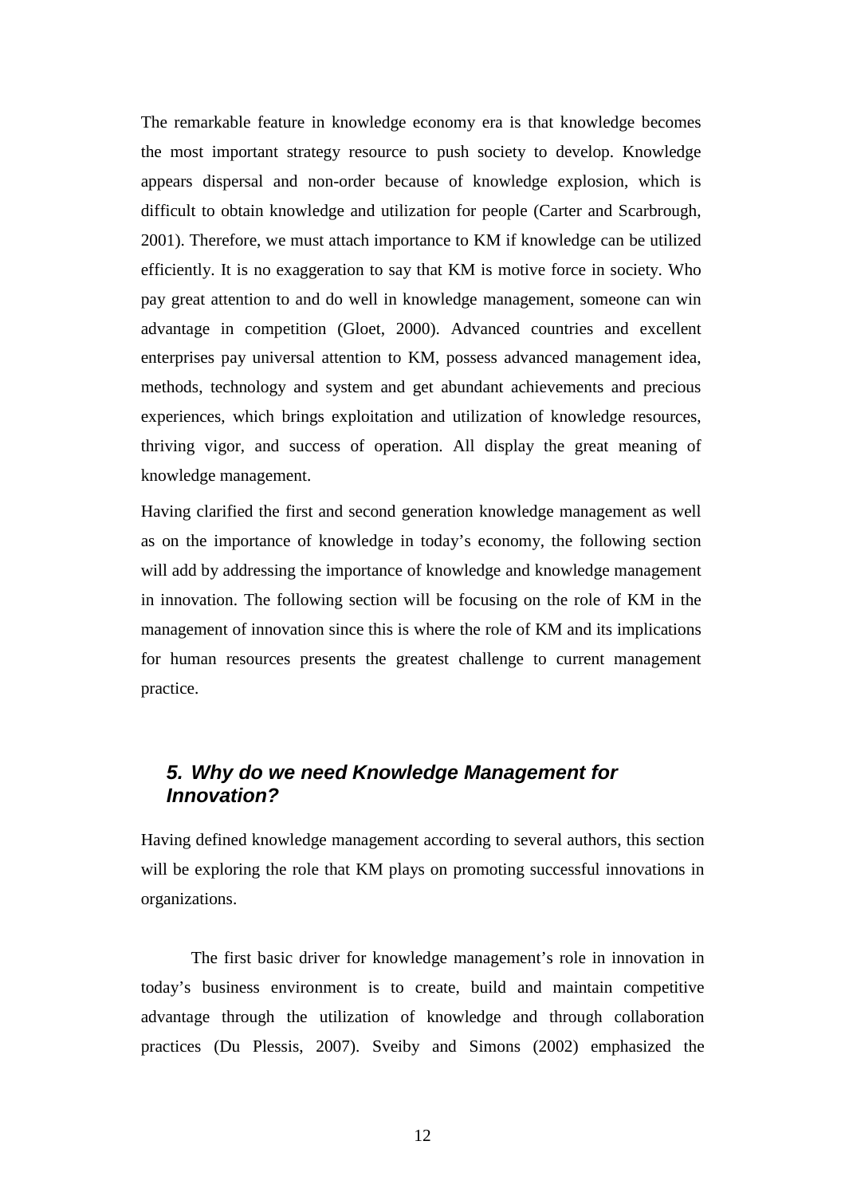The remarkable feature in knowledge economy era is that knowledge becomes the most important strategy resource to push society to develop. Knowledge appears dispersal and non-order because of knowledge explosion, which is difficult to obtain knowledge and utilization for people (Carter and Scarbrough, 2001). Therefore, we must attach importance to KM if knowledge can be utilized efficiently. It is no exaggeration to say that KM is motive force in society. Who pay great attention to and do well in knowledge management, someone can win advantage in competition (Gloet, 2000). Advanced countries and excellent enterprises pay universal attention to KM, possess advanced management idea, methods, technology and system and get abundant achievements and precious experiences, which brings exploitation and utilization of knowledge resources, thriving vigor, and success of operation. All display the great meaning of knowledge management.

Having clarified the first and second generation knowledge management as well as on the importance of knowledge in today's economy, the following section will add by addressing the importance of knowledge and knowledge management in innovation. The following section will be focusing on the role of KM in the management of innovation since this is where the role of KM and its implications for human resources presents the greatest challenge to current management practice.

### **5. Why do we need Knowledge Management for Innovation?**

Having defined knowledge management according to several authors, this section will be exploring the role that KM plays on promoting successful innovations in organizations.

 The first basic driver for knowledge management's role in innovation in today's business environment is to create, build and maintain competitive advantage through the utilization of knowledge and through collaboration practices (Du Plessis, 2007). Sveiby and Simons (2002) emphasized the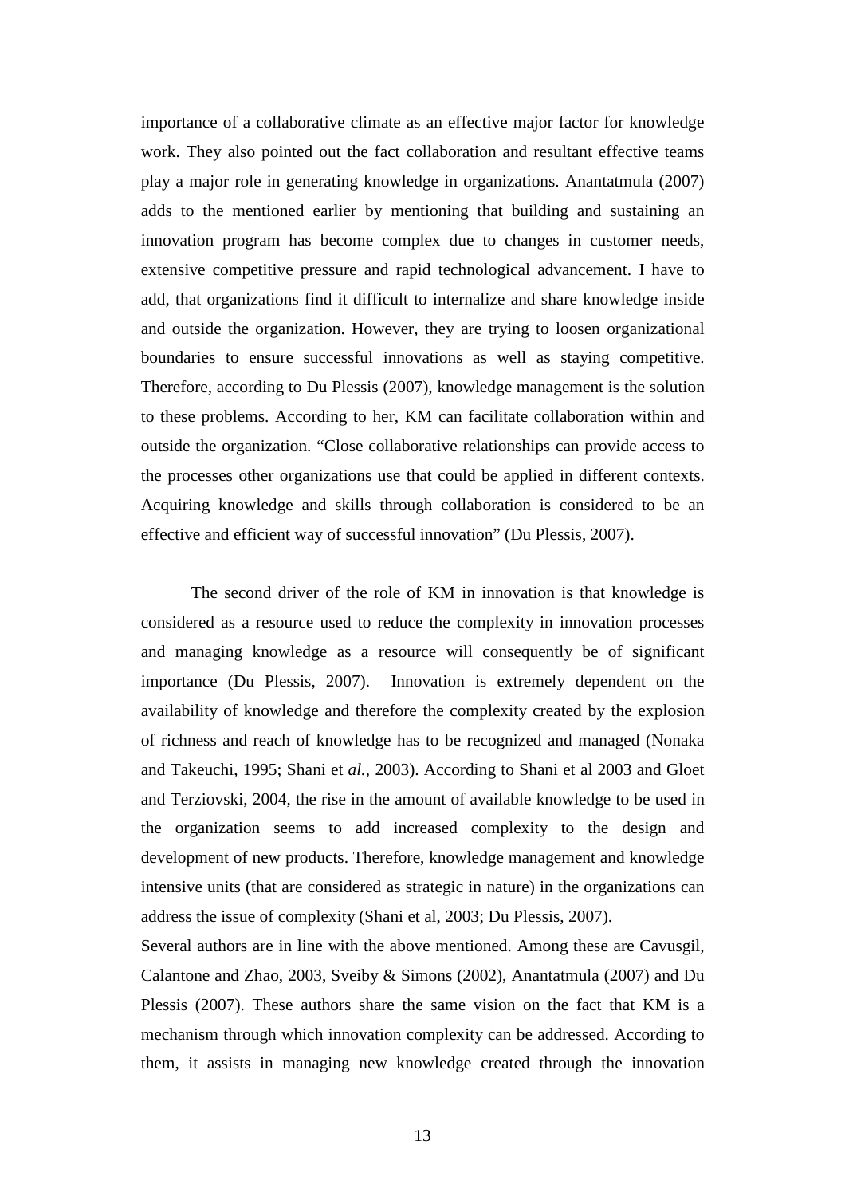importance of a collaborative climate as an effective major factor for knowledge work. They also pointed out the fact collaboration and resultant effective teams play a major role in generating knowledge in organizations. Anantatmula (2007) adds to the mentioned earlier by mentioning that building and sustaining an innovation program has become complex due to changes in customer needs, extensive competitive pressure and rapid technological advancement. I have to add, that organizations find it difficult to internalize and share knowledge inside and outside the organization. However, they are trying to loosen organizational boundaries to ensure successful innovations as well as staying competitive. Therefore, according to Du Plessis (2007), knowledge management is the solution to these problems. According to her, KM can facilitate collaboration within and outside the organization. "Close collaborative relationships can provide access to the processes other organizations use that could be applied in different contexts. Acquiring knowledge and skills through collaboration is considered to be an effective and efficient way of successful innovation" (Du Plessis, 2007).

 The second driver of the role of KM in innovation is that knowledge is considered as a resource used to reduce the complexity in innovation processes and managing knowledge as a resource will consequently be of significant importance (Du Plessis, 2007). Innovation is extremely dependent on the availability of knowledge and therefore the complexity created by the explosion of richness and reach of knowledge has to be recognized and managed (Nonaka and Takeuchi, 1995; Shani et *al.,* 2003). According to Shani et al 2003 and Gloet and Terziovski, 2004, the rise in the amount of available knowledge to be used in the organization seems to add increased complexity to the design and development of new products. Therefore, knowledge management and knowledge intensive units (that are considered as strategic in nature) in the organizations can address the issue of complexity (Shani et al, 2003; Du Plessis, 2007).

Several authors are in line with the above mentioned. Among these are Cavusgil, Calantone and Zhao, 2003, Sveiby & Simons (2002), Anantatmula (2007) and Du Plessis (2007). These authors share the same vision on the fact that KM is a mechanism through which innovation complexity can be addressed. According to them, it assists in managing new knowledge created through the innovation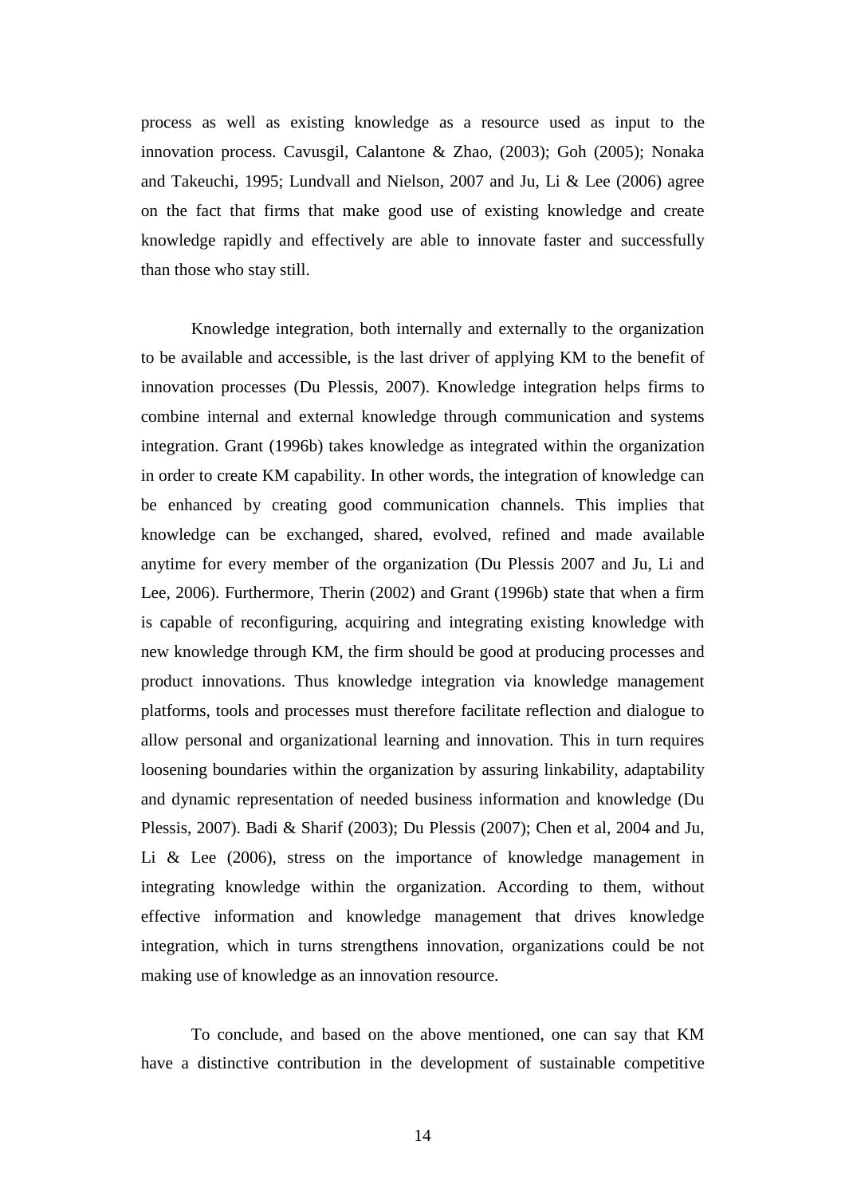process as well as existing knowledge as a resource used as input to the innovation process. Cavusgil, Calantone & Zhao, (2003); Goh (2005); Nonaka and Takeuchi, 1995; Lundvall and Nielson, 2007 and Ju, Li & Lee (2006) agree on the fact that firms that make good use of existing knowledge and create knowledge rapidly and effectively are able to innovate faster and successfully than those who stay still.

 Knowledge integration, both internally and externally to the organization to be available and accessible, is the last driver of applying KM to the benefit of innovation processes (Du Plessis, 2007). Knowledge integration helps firms to combine internal and external knowledge through communication and systems integration. Grant (1996b) takes knowledge as integrated within the organization in order to create KM capability. In other words, the integration of knowledge can be enhanced by creating good communication channels. This implies that knowledge can be exchanged, shared, evolved, refined and made available anytime for every member of the organization (Du Plessis 2007 and Ju, Li and Lee, 2006). Furthermore, Therin (2002) and Grant (1996b) state that when a firm is capable of reconfiguring, acquiring and integrating existing knowledge with new knowledge through KM, the firm should be good at producing processes and product innovations. Thus knowledge integration via knowledge management platforms, tools and processes must therefore facilitate reflection and dialogue to allow personal and organizational learning and innovation. This in turn requires loosening boundaries within the organization by assuring linkability, adaptability and dynamic representation of needed business information and knowledge (Du Plessis, 2007). Badi & Sharif (2003); Du Plessis (2007); Chen et al, 2004 and Ju, Li & Lee (2006), stress on the importance of knowledge management in integrating knowledge within the organization. According to them, without effective information and knowledge management that drives knowledge integration, which in turns strengthens innovation, organizations could be not making use of knowledge as an innovation resource.

 To conclude, and based on the above mentioned, one can say that KM have a distinctive contribution in the development of sustainable competitive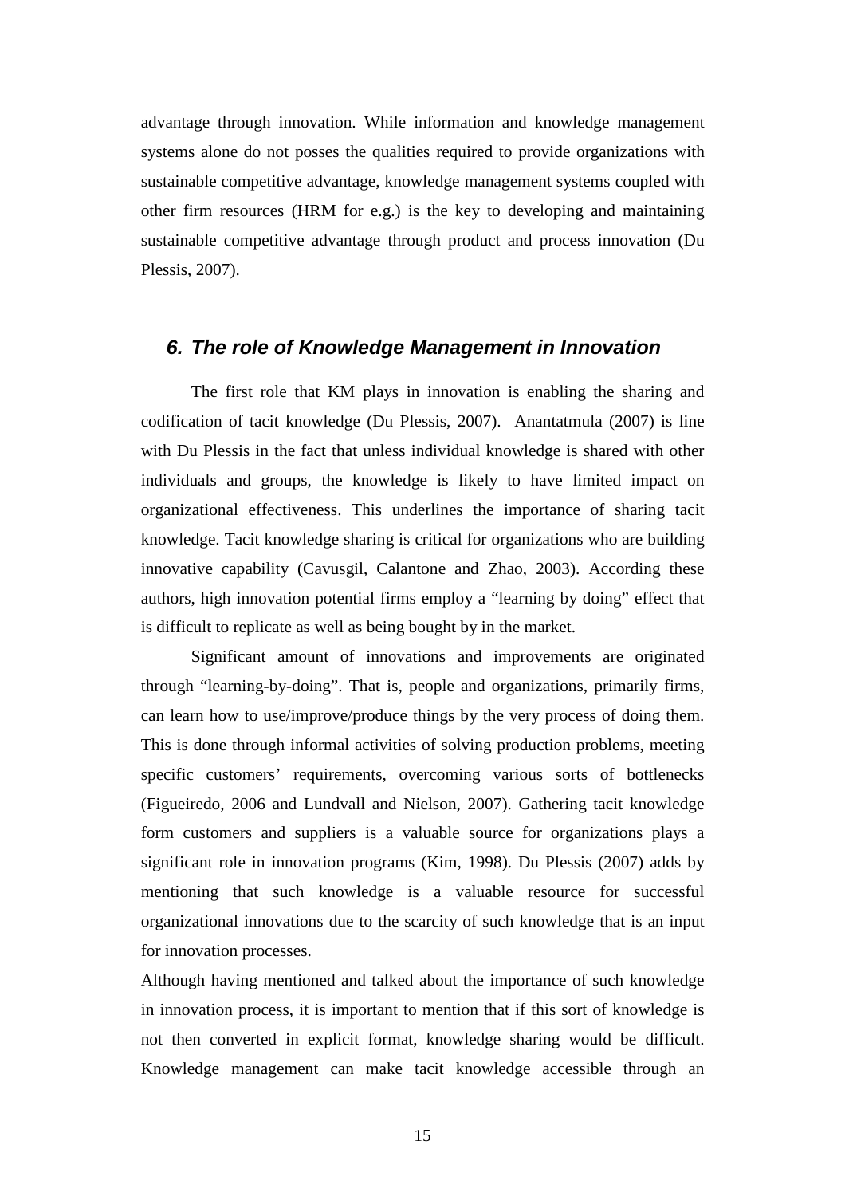advantage through innovation. While information and knowledge management systems alone do not posses the qualities required to provide organizations with sustainable competitive advantage, knowledge management systems coupled with other firm resources (HRM for e.g.) is the key to developing and maintaining sustainable competitive advantage through product and process innovation (Du Plessis, 2007).

#### **6. The role of Knowledge Management in Innovation**

 The first role that KM plays in innovation is enabling the sharing and codification of tacit knowledge (Du Plessis, 2007). Anantatmula (2007) is line with Du Plessis in the fact that unless individual knowledge is shared with other individuals and groups, the knowledge is likely to have limited impact on organizational effectiveness. This underlines the importance of sharing tacit knowledge. Tacit knowledge sharing is critical for organizations who are building innovative capability (Cavusgil, Calantone and Zhao, 2003). According these authors, high innovation potential firms employ a "learning by doing" effect that is difficult to replicate as well as being bought by in the market.

 Significant amount of innovations and improvements are originated through "learning-by-doing". That is, people and organizations, primarily firms, can learn how to use/improve/produce things by the very process of doing them. This is done through informal activities of solving production problems, meeting specific customers' requirements, overcoming various sorts of bottlenecks (Figueiredo, 2006 and Lundvall and Nielson, 2007). Gathering tacit knowledge form customers and suppliers is a valuable source for organizations plays a significant role in innovation programs (Kim, 1998). Du Plessis (2007) adds by mentioning that such knowledge is a valuable resource for successful organizational innovations due to the scarcity of such knowledge that is an input for innovation processes.

Although having mentioned and talked about the importance of such knowledge in innovation process, it is important to mention that if this sort of knowledge is not then converted in explicit format, knowledge sharing would be difficult. Knowledge management can make tacit knowledge accessible through an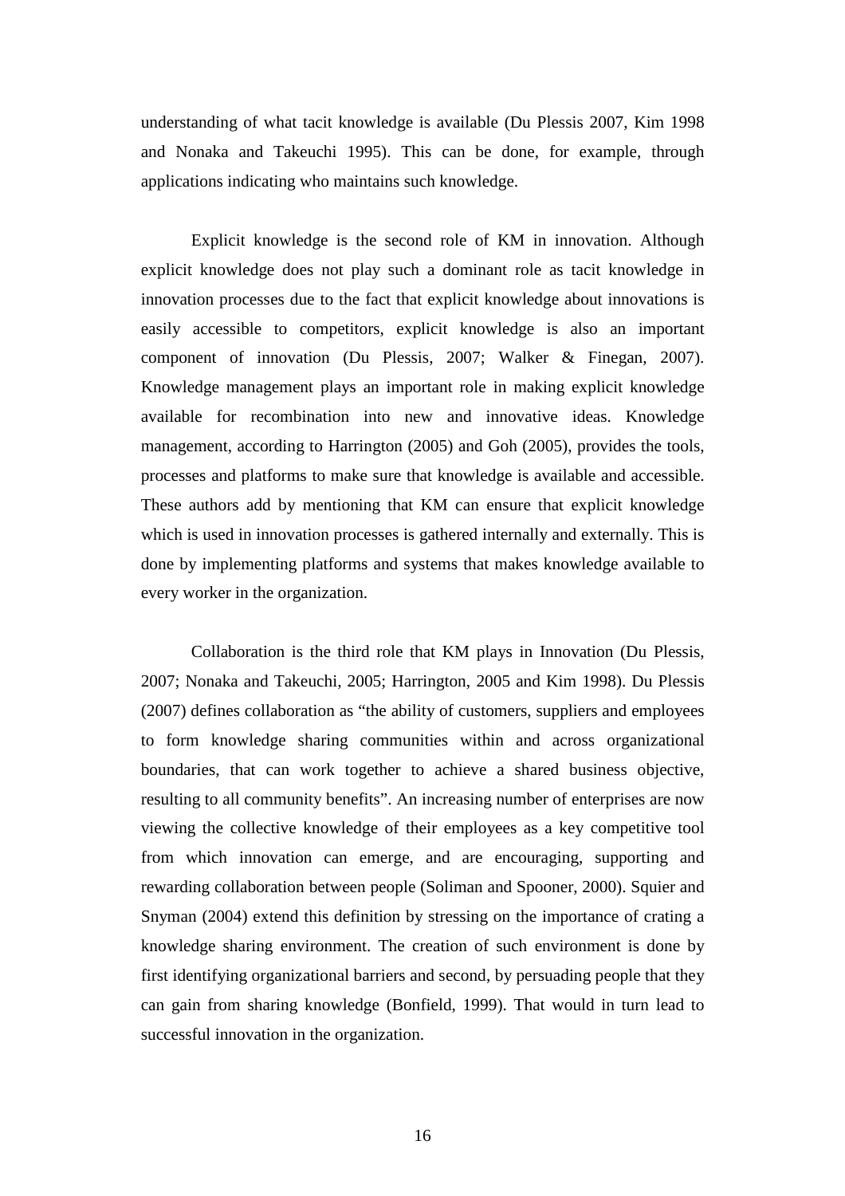understanding of what tacit knowledge is available (Du Plessis 2007, Kim 1998 and Nonaka and Takeuchi 1995). This can be done, for example, through applications indicating who maintains such knowledge.

 Explicit knowledge is the second role of KM in innovation. Although explicit knowledge does not play such a dominant role as tacit knowledge in innovation processes due to the fact that explicit knowledge about innovations is easily accessible to competitors, explicit knowledge is also an important component of innovation (Du Plessis, 2007; Walker & Finegan, 2007). Knowledge management plays an important role in making explicit knowledge available for recombination into new and innovative ideas. Knowledge management, according to Harrington (2005) and Goh (2005), provides the tools, processes and platforms to make sure that knowledge is available and accessible. These authors add by mentioning that KM can ensure that explicit knowledge which is used in innovation processes is gathered internally and externally. This is done by implementing platforms and systems that makes knowledge available to every worker in the organization.

 Collaboration is the third role that KM plays in Innovation (Du Plessis, 2007; Nonaka and Takeuchi, 2005; Harrington, 2005 and Kim 1998). Du Plessis (2007) defines collaboration as "the ability of customers, suppliers and employees to form knowledge sharing communities within and across organizational boundaries, that can work together to achieve a shared business objective, resulting to all community benefits". An increasing number of enterprises are now viewing the collective knowledge of their employees as a key competitive tool from which innovation can emerge, and are encouraging, supporting and rewarding collaboration between people (Soliman and Spooner, 2000). Squier and Snyman (2004) extend this definition by stressing on the importance of crating a knowledge sharing environment. The creation of such environment is done by first identifying organizational barriers and second, by persuading people that they can gain from sharing knowledge (Bonfield, 1999). That would in turn lead to successful innovation in the organization.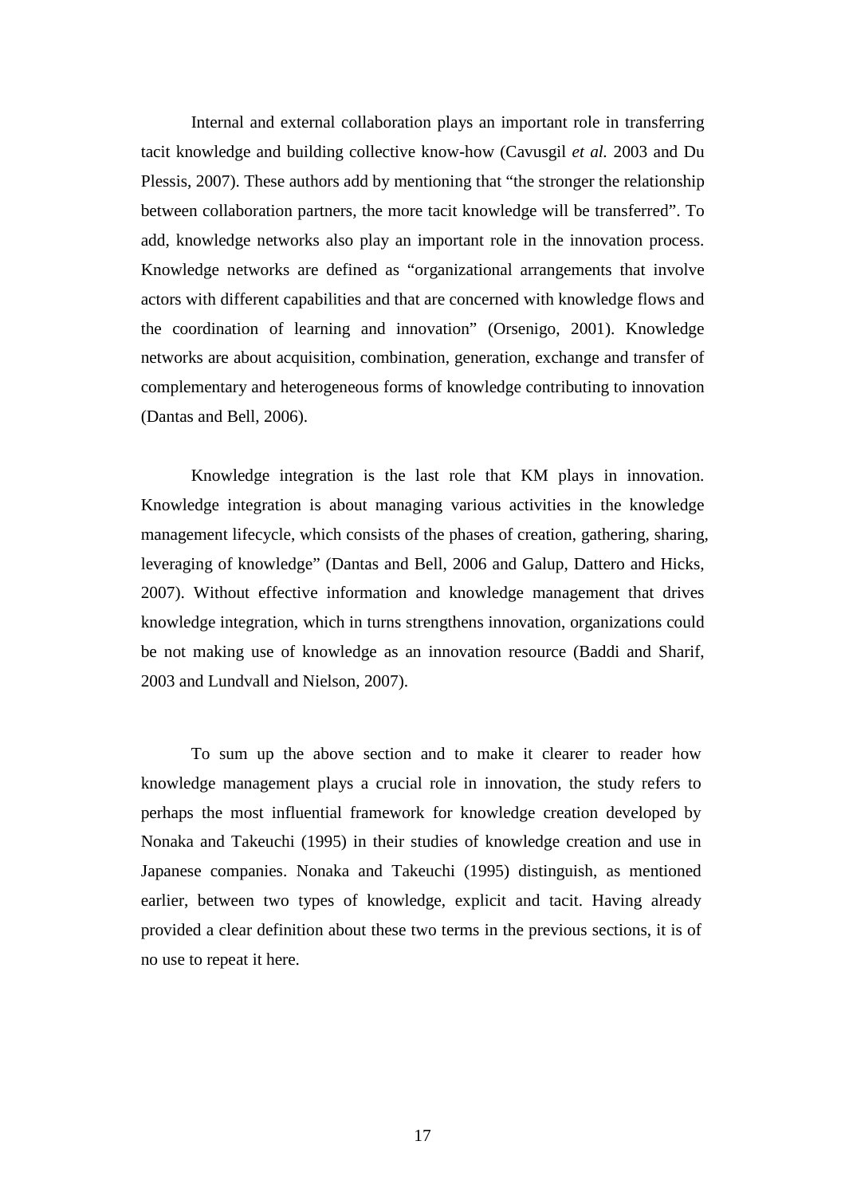Internal and external collaboration plays an important role in transferring tacit knowledge and building collective know-how (Cavusgil *et al.* 2003 and Du Plessis, 2007). These authors add by mentioning that "the stronger the relationship between collaboration partners, the more tacit knowledge will be transferred". To add, knowledge networks also play an important role in the innovation process. Knowledge networks are defined as "organizational arrangements that involve actors with different capabilities and that are concerned with knowledge flows and the coordination of learning and innovation" (Orsenigo, 2001). Knowledge networks are about acquisition, combination, generation, exchange and transfer of complementary and heterogeneous forms of knowledge contributing to innovation (Dantas and Bell, 2006).

 Knowledge integration is the last role that KM plays in innovation. Knowledge integration is about managing various activities in the knowledge management lifecycle, which consists of the phases of creation, gathering, sharing, leveraging of knowledge" (Dantas and Bell, 2006 and Galup, Dattero and Hicks, 2007). Without effective information and knowledge management that drives knowledge integration, which in turns strengthens innovation, organizations could be not making use of knowledge as an innovation resource (Baddi and Sharif, 2003 and Lundvall and Nielson, 2007).

 To sum up the above section and to make it clearer to reader how knowledge management plays a crucial role in innovation, the study refers to perhaps the most influential framework for knowledge creation developed by Nonaka and Takeuchi (1995) in their studies of knowledge creation and use in Japanese companies. Nonaka and Takeuchi (1995) distinguish, as mentioned earlier, between two types of knowledge, explicit and tacit. Having already provided a clear definition about these two terms in the previous sections, it is of no use to repeat it here.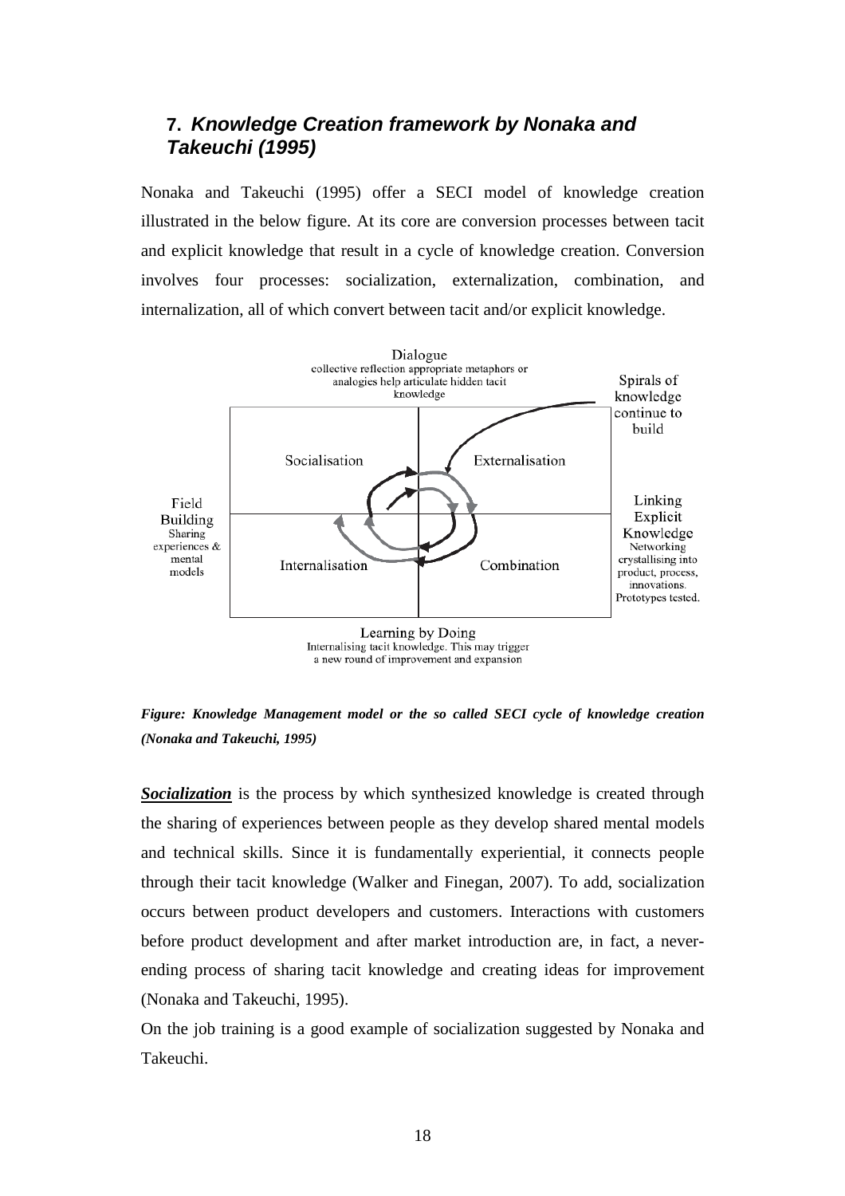## **7. Knowledge Creation framework by Nonaka and Takeuchi (1995)**

Nonaka and Takeuchi (1995) offer a SECI model of knowledge creation illustrated in the below figure. At its core are conversion processes between tacit and explicit knowledge that result in a cycle of knowledge creation. Conversion involves four processes: socialization, externalization, combination, and internalization, all of which convert between tacit and/or explicit knowledge.



**Socialization** is the process by which synthesized knowledge is created through the sharing of experiences between people as they develop shared mental models and technical skills. Since it is fundamentally experiential, it connects people through their tacit knowledge (Walker and Finegan, 2007). To add, socialization occurs between product developers and customers. Interactions with customers before product development and after market introduction are, in fact, a neverending process of sharing tacit knowledge and creating ideas for improvement (Nonaka and Takeuchi, 1995).

On the job training is a good example of socialization suggested by Nonaka and Takeuchi.

*Figure: Knowledge Management model or the so called SECI cycle of knowledge creation (Nonaka and Takeuchi, 1995)*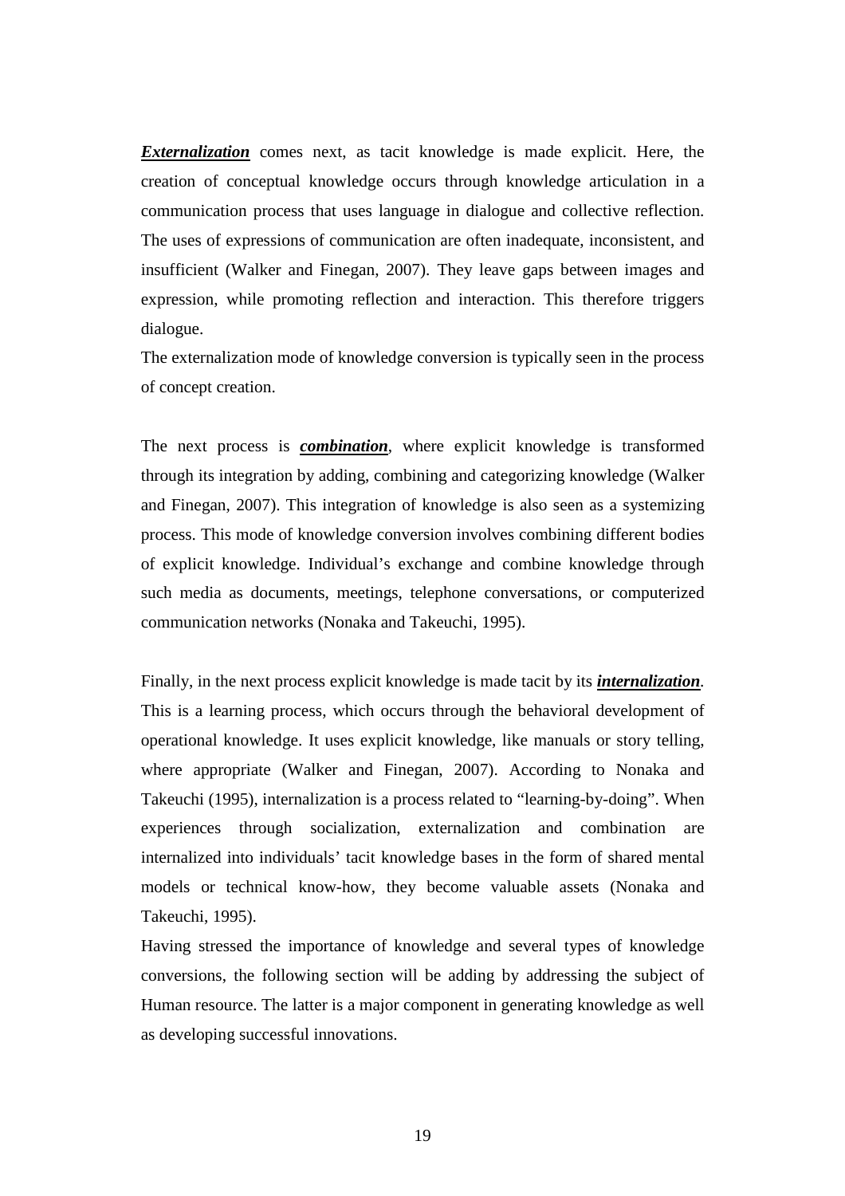*Externalization* comes next, as tacit knowledge is made explicit. Here, the creation of conceptual knowledge occurs through knowledge articulation in a communication process that uses language in dialogue and collective reflection. The uses of expressions of communication are often inadequate, inconsistent, and insufficient (Walker and Finegan, 2007). They leave gaps between images and expression, while promoting reflection and interaction. This therefore triggers dialogue.

The externalization mode of knowledge conversion is typically seen in the process of concept creation.

The next process is *combination*, where explicit knowledge is transformed through its integration by adding, combining and categorizing knowledge (Walker and Finegan, 2007). This integration of knowledge is also seen as a systemizing process. This mode of knowledge conversion involves combining different bodies of explicit knowledge. Individual's exchange and combine knowledge through such media as documents, meetings, telephone conversations, or computerized communication networks (Nonaka and Takeuchi, 1995).

Finally, in the next process explicit knowledge is made tacit by its *internalization.* This is a learning process, which occurs through the behavioral development of operational knowledge. It uses explicit knowledge, like manuals or story telling, where appropriate (Walker and Finegan, 2007). According to Nonaka and Takeuchi (1995), internalization is a process related to "learning-by-doing". When experiences through socialization, externalization and combination are internalized into individuals' tacit knowledge bases in the form of shared mental models or technical know-how, they become valuable assets (Nonaka and Takeuchi, 1995).

Having stressed the importance of knowledge and several types of knowledge conversions, the following section will be adding by addressing the subject of Human resource. The latter is a major component in generating knowledge as well as developing successful innovations.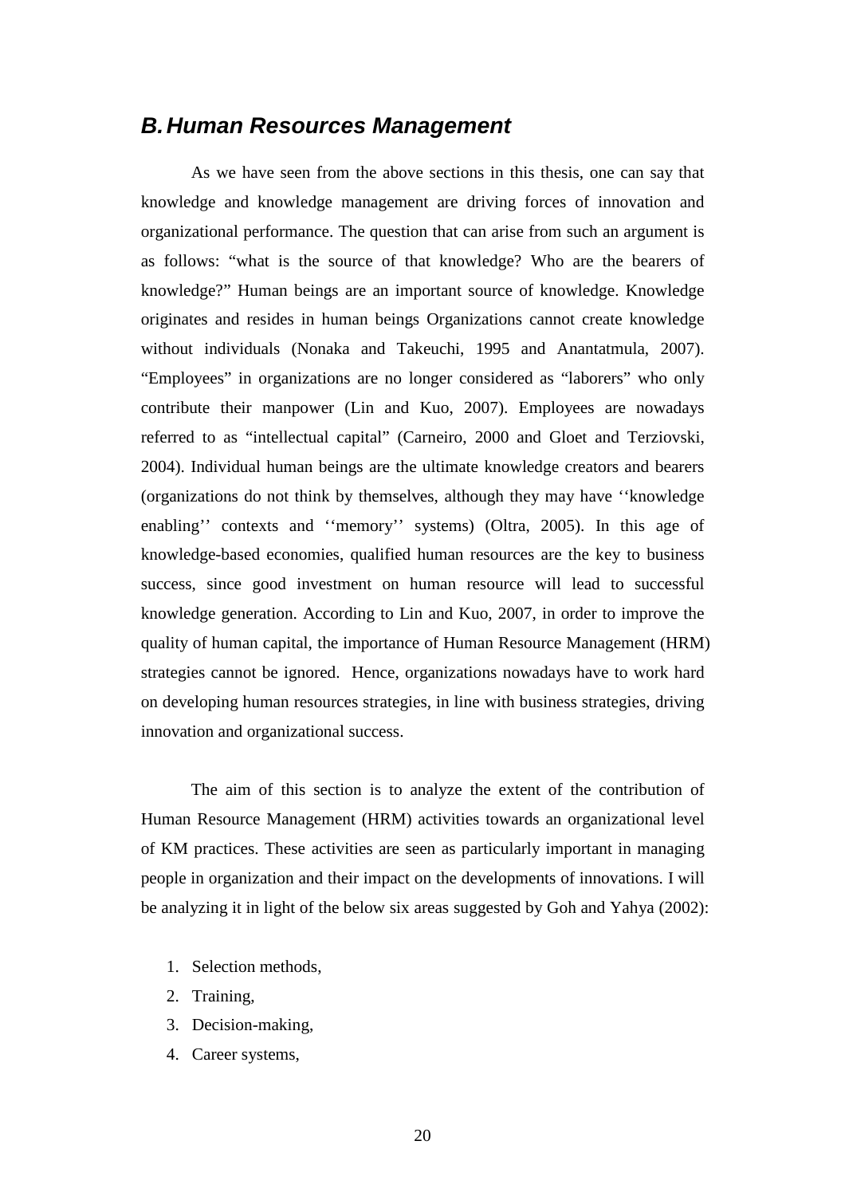### **B. Human Resources Management**

 As we have seen from the above sections in this thesis, one can say that knowledge and knowledge management are driving forces of innovation and organizational performance. The question that can arise from such an argument is as follows: "what is the source of that knowledge? Who are the bearers of knowledge?" Human beings are an important source of knowledge. Knowledge originates and resides in human beings Organizations cannot create knowledge without individuals (Nonaka and Takeuchi, 1995 and Anantatmula, 2007). "Employees" in organizations are no longer considered as "laborers" who only contribute their manpower (Lin and Kuo, 2007). Employees are nowadays referred to as "intellectual capital" (Carneiro, 2000 and Gloet and Terziovski, 2004). Individual human beings are the ultimate knowledge creators and bearers (organizations do not think by themselves, although they may have ''knowledge enabling'' contexts and ''memory'' systems) (Oltra, 2005). In this age of knowledge-based economies, qualified human resources are the key to business success, since good investment on human resource will lead to successful knowledge generation. According to Lin and Kuo, 2007, in order to improve the quality of human capital, the importance of Human Resource Management (HRM) strategies cannot be ignored. Hence, organizations nowadays have to work hard on developing human resources strategies, in line with business strategies, driving innovation and organizational success.

 The aim of this section is to analyze the extent of the contribution of Human Resource Management (HRM) activities towards an organizational level of KM practices. These activities are seen as particularly important in managing people in organization and their impact on the developments of innovations. I will be analyzing it in light of the below six areas suggested by Goh and Yahya (2002):

- 1. Selection methods,
- 2. Training,
- 3. Decision-making,
- 4. Career systems,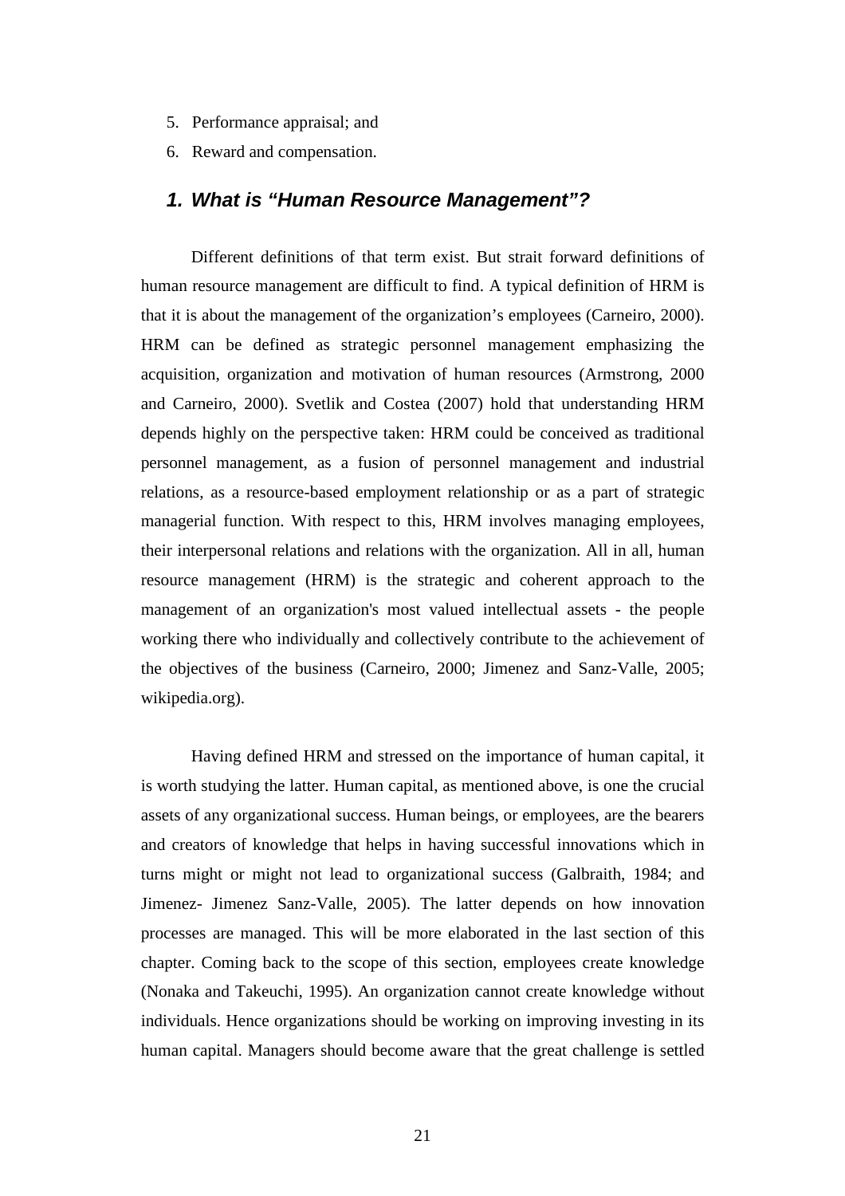- 5. Performance appraisal; and
- 6. Reward and compensation.

#### **1. What is "Human Resource Management"?**

 Different definitions of that term exist. But strait forward definitions of human resource management are difficult to find. A typical definition of HRM is that it is about the management of the organization's employees (Carneiro, 2000). HRM can be defined as strategic personnel management emphasizing the acquisition, organization and motivation of human resources (Armstrong, 2000 and Carneiro, 2000). Svetlik and Costea (2007) hold that understanding HRM depends highly on the perspective taken: HRM could be conceived as traditional personnel management, as a fusion of personnel management and industrial relations, as a resource-based employment relationship or as a part of strategic managerial function. With respect to this, HRM involves managing employees, their interpersonal relations and relations with the organization. All in all, human resource management (HRM) is the strategic and coherent approach to the management of an organization's most valued intellectual assets - the people working there who individually and collectively contribute to the achievement of the objectives of the business (Carneiro, 2000; Jimenez and Sanz-Valle, 2005; wikipedia.org).

 Having defined HRM and stressed on the importance of human capital, it is worth studying the latter. Human capital, as mentioned above, is one the crucial assets of any organizational success. Human beings, or employees, are the bearers and creators of knowledge that helps in having successful innovations which in turns might or might not lead to organizational success (Galbraith, 1984; and Jimenez- Jimenez Sanz-Valle, 2005). The latter depends on how innovation processes are managed. This will be more elaborated in the last section of this chapter. Coming back to the scope of this section, employees create knowledge (Nonaka and Takeuchi, 1995). An organization cannot create knowledge without individuals. Hence organizations should be working on improving investing in its human capital. Managers should become aware that the great challenge is settled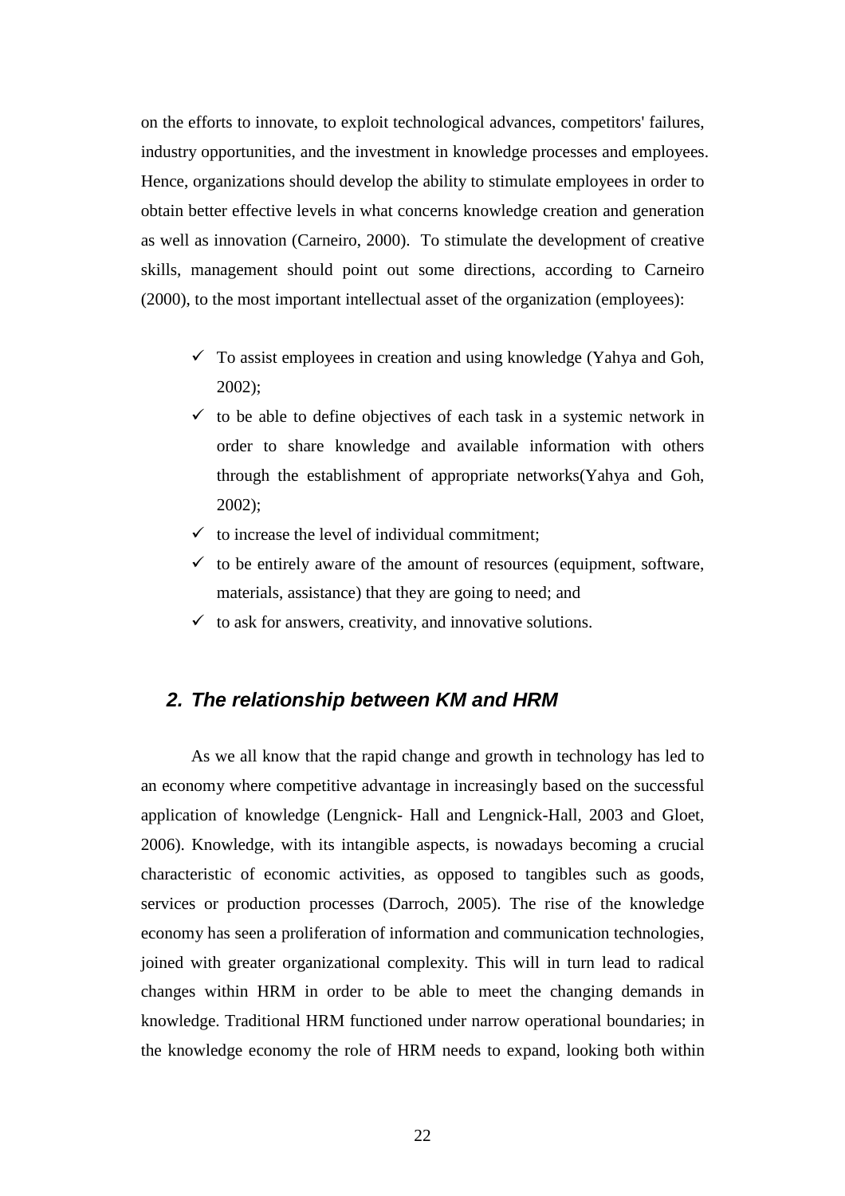on the efforts to innovate, to exploit technological advances, competitors' failures, industry opportunities, and the investment in knowledge processes and employees. Hence, organizations should develop the ability to stimulate employees in order to obtain better effective levels in what concerns knowledge creation and generation as well as innovation (Carneiro, 2000). To stimulate the development of creative skills, management should point out some directions, according to Carneiro (2000), to the most important intellectual asset of the organization (employees):

- $\checkmark$  To assist employees in creation and using knowledge (Yahya and Goh, 2002);
- $\checkmark$  to be able to define objectives of each task in a systemic network in order to share knowledge and available information with others through the establishment of appropriate networks(Yahya and Goh, 2002);
- $\checkmark$  to increase the level of individual commitment;
- $\checkmark$  to be entirely aware of the amount of resources (equipment, software, materials, assistance) that they are going to need; and
- $\checkmark$  to ask for answers, creativity, and innovative solutions.

#### **2. The relationship between KM and HRM**

 As we all know that the rapid change and growth in technology has led to an economy where competitive advantage in increasingly based on the successful application of knowledge (Lengnick- Hall and Lengnick-Hall, 2003 and Gloet, 2006). Knowledge, with its intangible aspects, is nowadays becoming a crucial characteristic of economic activities, as opposed to tangibles such as goods, services or production processes (Darroch, 2005). The rise of the knowledge economy has seen a proliferation of information and communication technologies, joined with greater organizational complexity. This will in turn lead to radical changes within HRM in order to be able to meet the changing demands in knowledge. Traditional HRM functioned under narrow operational boundaries; in the knowledge economy the role of HRM needs to expand, looking both within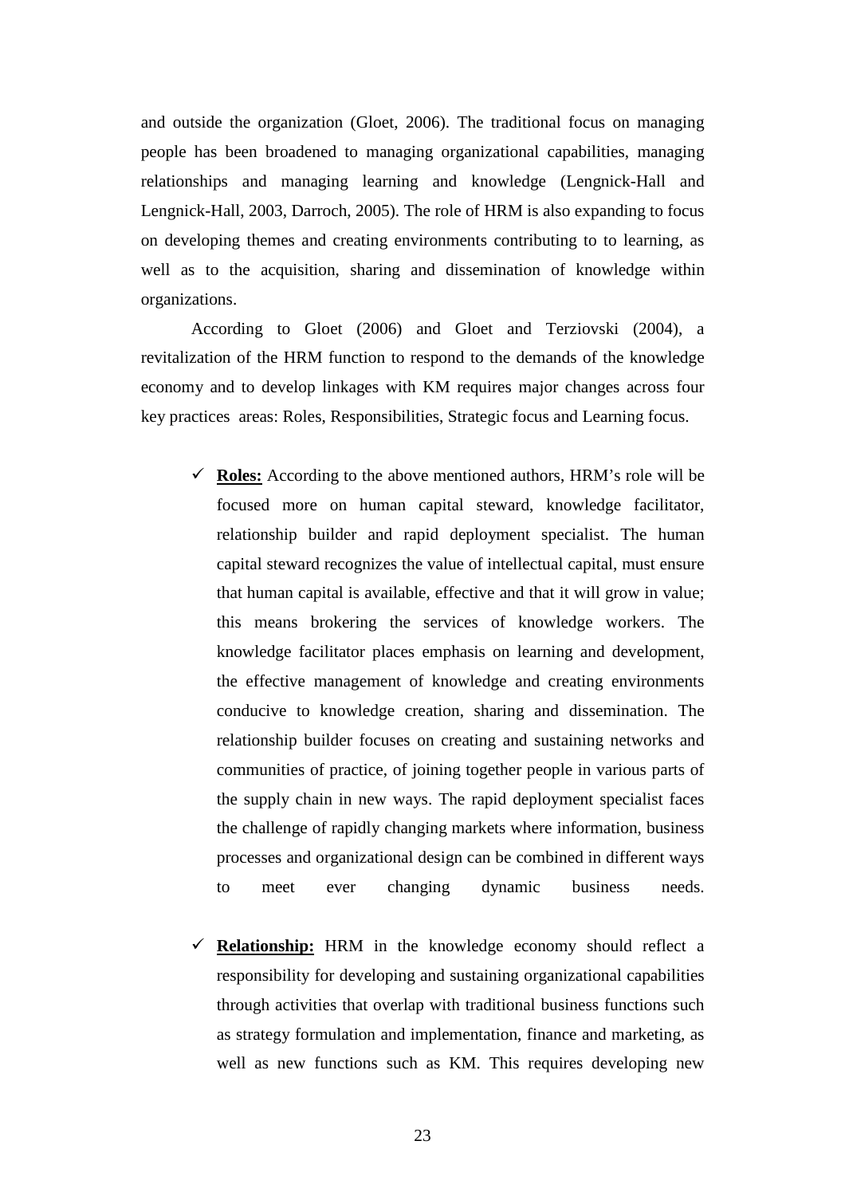and outside the organization (Gloet, 2006). The traditional focus on managing people has been broadened to managing organizational capabilities, managing relationships and managing learning and knowledge (Lengnick-Hall and Lengnick-Hall, 2003, Darroch, 2005). The role of HRM is also expanding to focus on developing themes and creating environments contributing to to learning, as well as to the acquisition, sharing and dissemination of knowledge within organizations.

 According to Gloet (2006) and Gloet and Terziovski (2004), a revitalization of the HRM function to respond to the demands of the knowledge economy and to develop linkages with KM requires major changes across four key practices areas: Roles, Responsibilities, Strategic focus and Learning focus.

- $\checkmark$  **Roles:** According to the above mentioned authors, HRM's role will be focused more on human capital steward, knowledge facilitator, relationship builder and rapid deployment specialist. The human capital steward recognizes the value of intellectual capital, must ensure that human capital is available, effective and that it will grow in value; this means brokering the services of knowledge workers. The knowledge facilitator places emphasis on learning and development, the effective management of knowledge and creating environments conducive to knowledge creation, sharing and dissemination. The relationship builder focuses on creating and sustaining networks and communities of practice, of joining together people in various parts of the supply chain in new ways. The rapid deployment specialist faces the challenge of rapidly changing markets where information, business processes and organizational design can be combined in different ways to meet ever changing dynamic business needs.
- **Relationship:** HRM in the knowledge economy should reflect a responsibility for developing and sustaining organizational capabilities through activities that overlap with traditional business functions such as strategy formulation and implementation, finance and marketing, as well as new functions such as KM. This requires developing new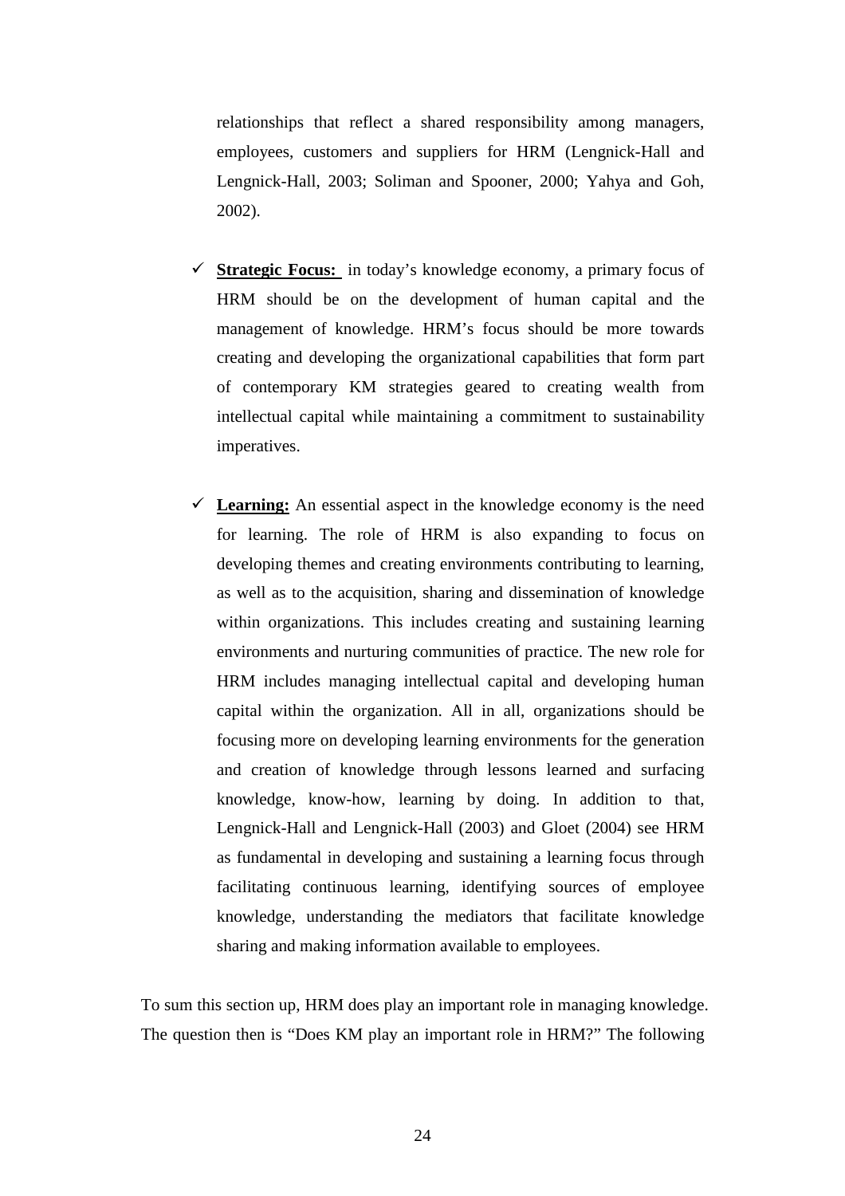relationships that reflect a shared responsibility among managers, employees, customers and suppliers for HRM (Lengnick-Hall and Lengnick-Hall, 2003; Soliman and Spooner, 2000; Yahya and Goh, 2002).

- **Strategic Focus:** in today's knowledge economy, a primary focus of HRM should be on the development of human capital and the management of knowledge. HRM's focus should be more towards creating and developing the organizational capabilities that form part of contemporary KM strategies geared to creating wealth from intellectual capital while maintaining a commitment to sustainability imperatives.
- $\checkmark$  Learning: An essential aspect in the knowledge economy is the need for learning. The role of HRM is also expanding to focus on developing themes and creating environments contributing to learning, as well as to the acquisition, sharing and dissemination of knowledge within organizations. This includes creating and sustaining learning environments and nurturing communities of practice. The new role for HRM includes managing intellectual capital and developing human capital within the organization. All in all, organizations should be focusing more on developing learning environments for the generation and creation of knowledge through lessons learned and surfacing knowledge, know-how, learning by doing. In addition to that, Lengnick-Hall and Lengnick-Hall (2003) and Gloet (2004) see HRM as fundamental in developing and sustaining a learning focus through facilitating continuous learning, identifying sources of employee knowledge, understanding the mediators that facilitate knowledge sharing and making information available to employees.

To sum this section up, HRM does play an important role in managing knowledge. The question then is "Does KM play an important role in HRM?" The following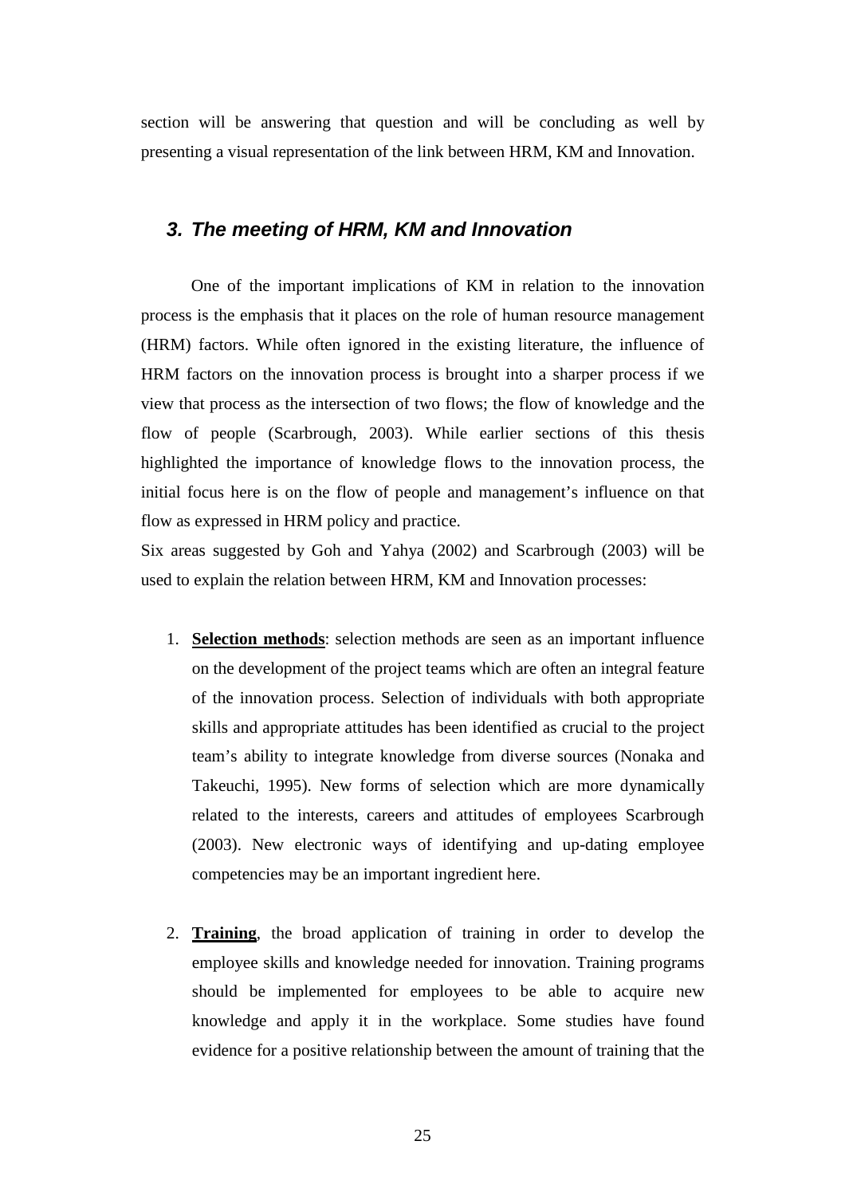section will be answering that question and will be concluding as well by presenting a visual representation of the link between HRM, KM and Innovation.

### **3. The meeting of HRM, KM and Innovation**

 One of the important implications of KM in relation to the innovation process is the emphasis that it places on the role of human resource management (HRM) factors. While often ignored in the existing literature, the influence of HRM factors on the innovation process is brought into a sharper process if we view that process as the intersection of two flows; the flow of knowledge and the flow of people (Scarbrough, 2003). While earlier sections of this thesis highlighted the importance of knowledge flows to the innovation process, the initial focus here is on the flow of people and management's influence on that flow as expressed in HRM policy and practice.

Six areas suggested by Goh and Yahya (2002) and Scarbrough (2003) will be used to explain the relation between HRM, KM and Innovation processes:

- 1. **Selection methods**: selection methods are seen as an important influence on the development of the project teams which are often an integral feature of the innovation process. Selection of individuals with both appropriate skills and appropriate attitudes has been identified as crucial to the project team's ability to integrate knowledge from diverse sources (Nonaka and Takeuchi, 1995). New forms of selection which are more dynamically related to the interests, careers and attitudes of employees Scarbrough (2003). New electronic ways of identifying and up-dating employee competencies may be an important ingredient here.
- 2. **Training**, the broad application of training in order to develop the employee skills and knowledge needed for innovation. Training programs should be implemented for employees to be able to acquire new knowledge and apply it in the workplace. Some studies have found evidence for a positive relationship between the amount of training that the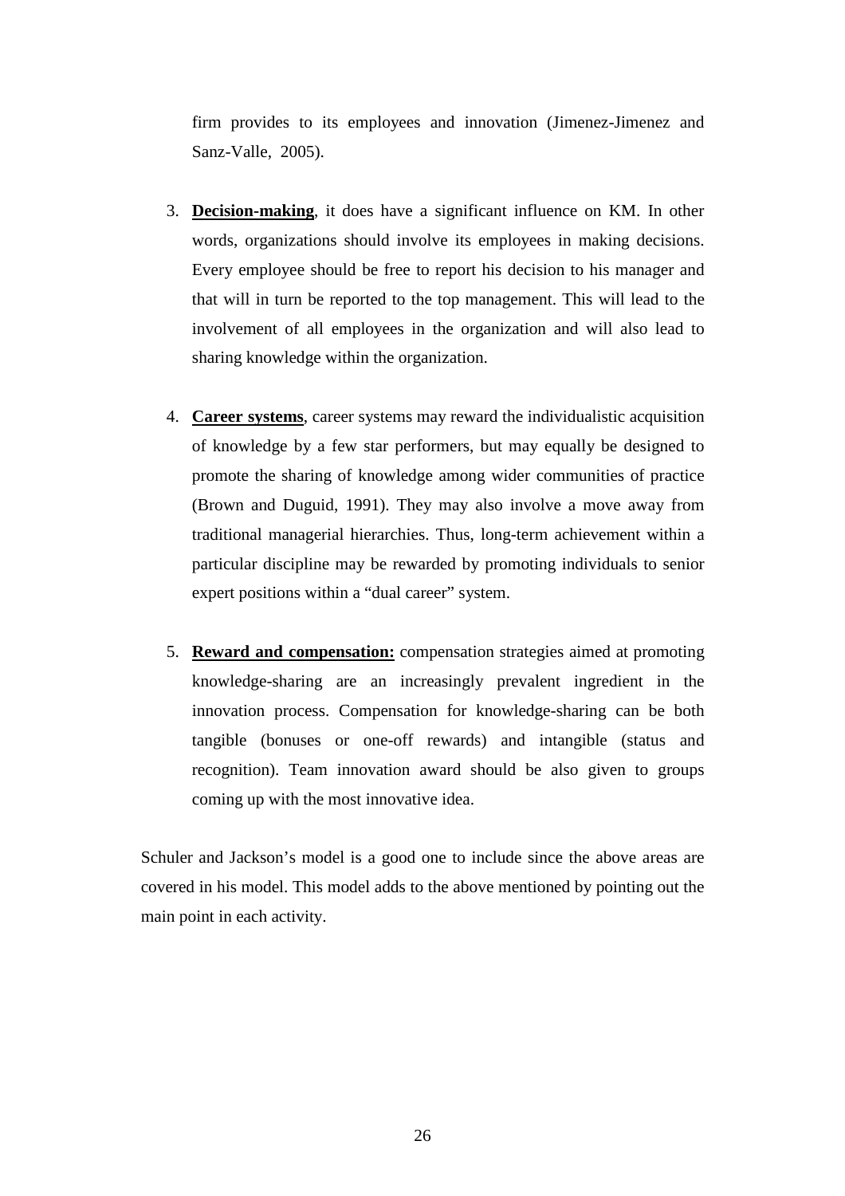firm provides to its employees and innovation (Jimenez-Jimenez and Sanz-Valle, 2005).

- 3. **Decision-making**, it does have a significant influence on KM. In other words, organizations should involve its employees in making decisions. Every employee should be free to report his decision to his manager and that will in turn be reported to the top management. This will lead to the involvement of all employees in the organization and will also lead to sharing knowledge within the organization.
- 4. **Career systems**, career systems may reward the individualistic acquisition of knowledge by a few star performers, but may equally be designed to promote the sharing of knowledge among wider communities of practice (Brown and Duguid, 1991). They may also involve a move away from traditional managerial hierarchies. Thus, long-term achievement within a particular discipline may be rewarded by promoting individuals to senior expert positions within a "dual career" system.
- 5. **Reward and compensation:** compensation strategies aimed at promoting knowledge-sharing are an increasingly prevalent ingredient in the innovation process. Compensation for knowledge-sharing can be both tangible (bonuses or one-off rewards) and intangible (status and recognition). Team innovation award should be also given to groups coming up with the most innovative idea.

Schuler and Jackson's model is a good one to include since the above areas are covered in his model. This model adds to the above mentioned by pointing out the main point in each activity.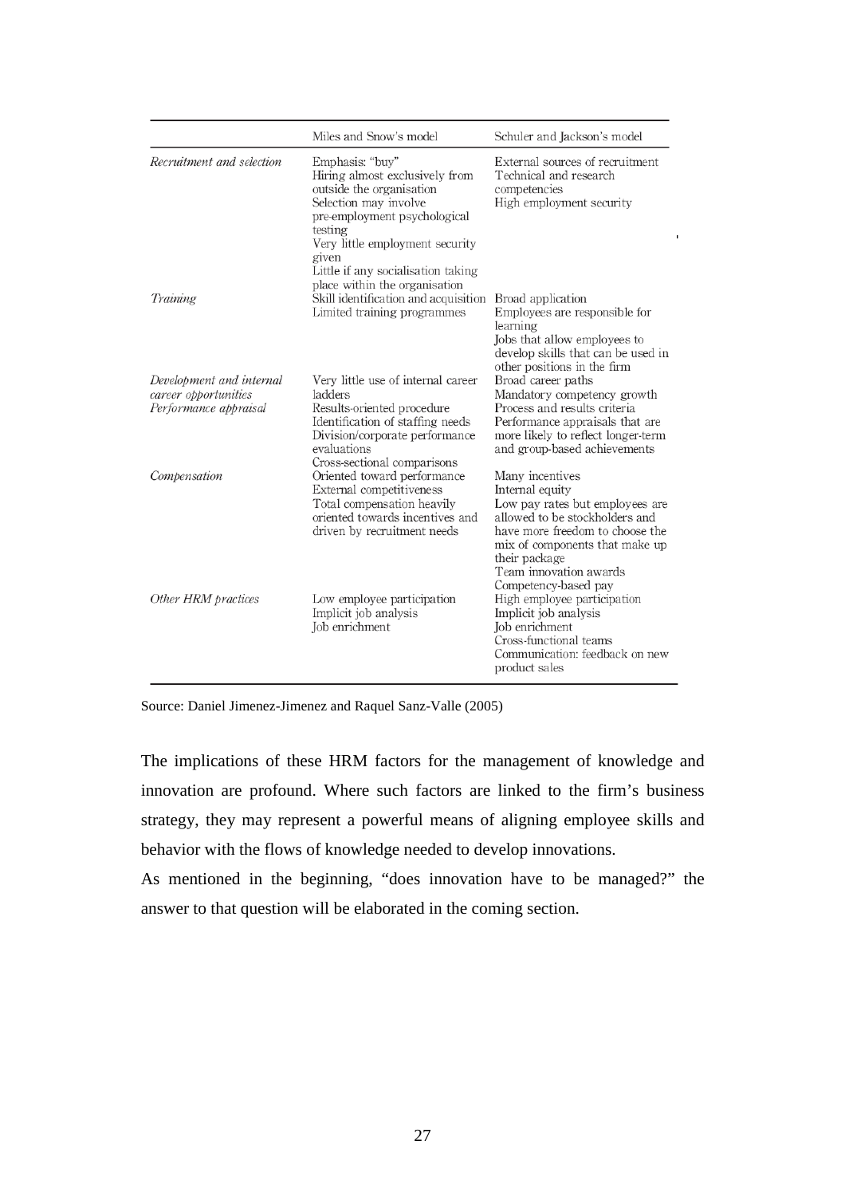|                                                                           | Miles and Snow's model                                                                                                                                                                                                                                               | Schuler and Jackson's model                                                                                                                                                                                                                     |
|---------------------------------------------------------------------------|----------------------------------------------------------------------------------------------------------------------------------------------------------------------------------------------------------------------------------------------------------------------|-------------------------------------------------------------------------------------------------------------------------------------------------------------------------------------------------------------------------------------------------|
| Recruitment and selection                                                 | Emphasis: "buy"<br>Hiring almost exclusively from<br>outside the organisation<br>Selection may involve<br>pre-employment psychological<br>testing<br>Very little employment security<br>given<br>Little if any socialisation taking<br>place within the organisation | External sources of recruitment<br>Technical and research<br>competencies<br>High employment security                                                                                                                                           |
| Training                                                                  | Skill identification and acquisition<br>Limited training programmes                                                                                                                                                                                                  | Broad application<br>Employees are responsible for<br>learning<br>Jobs that allow employees to<br>develop skills that can be used in<br>other positions in the firm                                                                             |
| Development and internal<br>career opportunities<br>Performance appraisal | Very little use of internal career<br>ladders<br>Results-oriented procedure<br>Identification of staffing needs<br>Division/corporate performance<br>evaluations<br>Cross-sectional comparisons                                                                      | Broad career paths<br>Mandatory competency growth<br>Process and results criteria<br>Performance appraisals that are<br>more likely to reflect longer-term<br>and group-based achievements                                                      |
| Compensation                                                              | Oriented toward performance<br>External competitiveness<br>Total compensation heavily<br>oriented towards incentives and<br>driven by recruitment needs                                                                                                              | Many incentives<br>Internal equity<br>Low pay rates but employees are<br>allowed to be stockholders and<br>have more freedom to choose the<br>mix of components that make up<br>their package<br>Team innovation awards<br>Competency-based pay |
| Other HRM practices                                                       | Low employee participation<br>Implicit job analysis<br>Job enrichment                                                                                                                                                                                                | High employee participation<br>Implicit job analysis<br>Job enrichment<br>Cross-functional teams<br>Communication: feedback on new<br>product sales                                                                                             |

Source: Daniel Jimenez-Jimenez and Raquel Sanz-Valle (2005)

The implications of these HRM factors for the management of knowledge and innovation are profound. Where such factors are linked to the firm's business strategy, they may represent a powerful means of aligning employee skills and behavior with the flows of knowledge needed to develop innovations.

As mentioned in the beginning, "does innovation have to be managed?" the answer to that question will be elaborated in the coming section.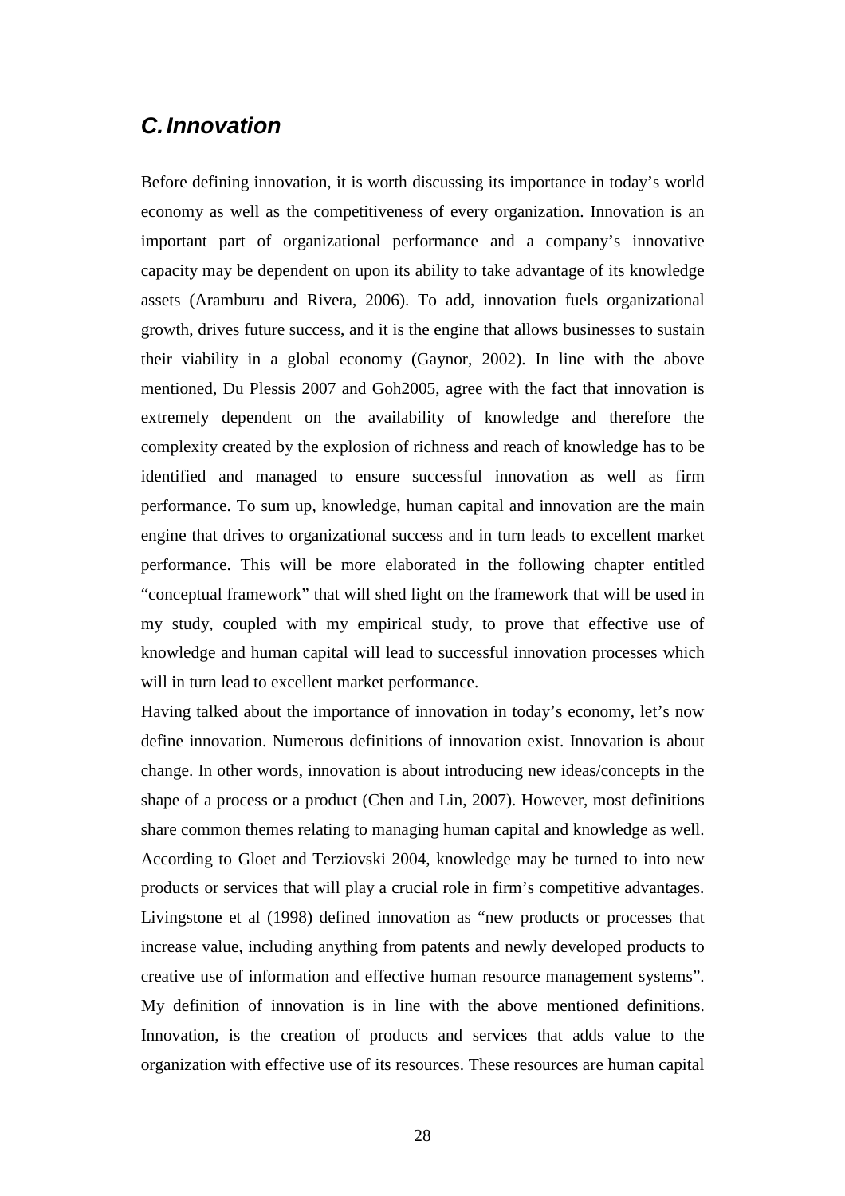## **C. Innovation**

Before defining innovation, it is worth discussing its importance in today's world economy as well as the competitiveness of every organization. Innovation is an important part of organizational performance and a company's innovative capacity may be dependent on upon its ability to take advantage of its knowledge assets (Aramburu and Rivera, 2006). To add, innovation fuels organizational growth, drives future success, and it is the engine that allows businesses to sustain their viability in a global economy (Gaynor, 2002). In line with the above mentioned, Du Plessis 2007 and Goh2005, agree with the fact that innovation is extremely dependent on the availability of knowledge and therefore the complexity created by the explosion of richness and reach of knowledge has to be identified and managed to ensure successful innovation as well as firm performance. To sum up, knowledge, human capital and innovation are the main engine that drives to organizational success and in turn leads to excellent market performance. This will be more elaborated in the following chapter entitled "conceptual framework" that will shed light on the framework that will be used in my study, coupled with my empirical study, to prove that effective use of knowledge and human capital will lead to successful innovation processes which will in turn lead to excellent market performance.

Having talked about the importance of innovation in today's economy, let's now define innovation. Numerous definitions of innovation exist. Innovation is about change. In other words, innovation is about introducing new ideas/concepts in the shape of a process or a product (Chen and Lin, 2007). However, most definitions share common themes relating to managing human capital and knowledge as well. According to Gloet and Terziovski 2004, knowledge may be turned to into new products or services that will play a crucial role in firm's competitive advantages. Livingstone et al (1998) defined innovation as "new products or processes that increase value, including anything from patents and newly developed products to creative use of information and effective human resource management systems". My definition of innovation is in line with the above mentioned definitions. Innovation, is the creation of products and services that adds value to the organization with effective use of its resources. These resources are human capital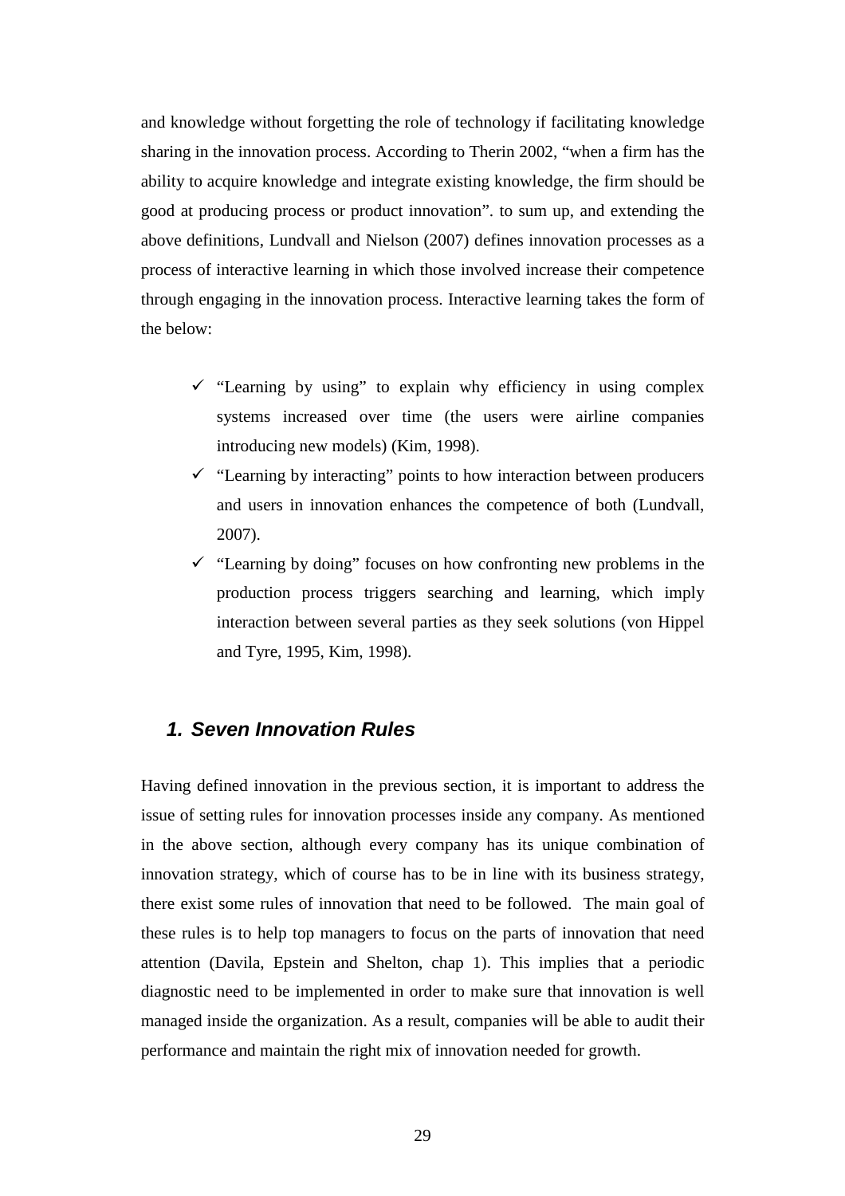and knowledge without forgetting the role of technology if facilitating knowledge sharing in the innovation process. According to Therin 2002, "when a firm has the ability to acquire knowledge and integrate existing knowledge, the firm should be good at producing process or product innovation". to sum up, and extending the above definitions, Lundvall and Nielson (2007) defines innovation processes as a process of interactive learning in which those involved increase their competence through engaging in the innovation process. Interactive learning takes the form of the below:

- $\checkmark$  "Learning by using" to explain why efficiency in using complex systems increased over time (the users were airline companies introducing new models) (Kim, 1998).
- $\checkmark$  "Learning by interacting" points to how interaction between producers and users in innovation enhances the competence of both (Lundvall, 2007).
- $\checkmark$  "Learning by doing" focuses on how confronting new problems in the production process triggers searching and learning, which imply interaction between several parties as they seek solutions (von Hippel and Tyre, 1995, Kim, 1998).

### **1. Seven Innovation Rules**

Having defined innovation in the previous section, it is important to address the issue of setting rules for innovation processes inside any company. As mentioned in the above section, although every company has its unique combination of innovation strategy, which of course has to be in line with its business strategy, there exist some rules of innovation that need to be followed. The main goal of these rules is to help top managers to focus on the parts of innovation that need attention (Davila, Epstein and Shelton, chap 1). This implies that a periodic diagnostic need to be implemented in order to make sure that innovation is well managed inside the organization. As a result, companies will be able to audit their performance and maintain the right mix of innovation needed for growth.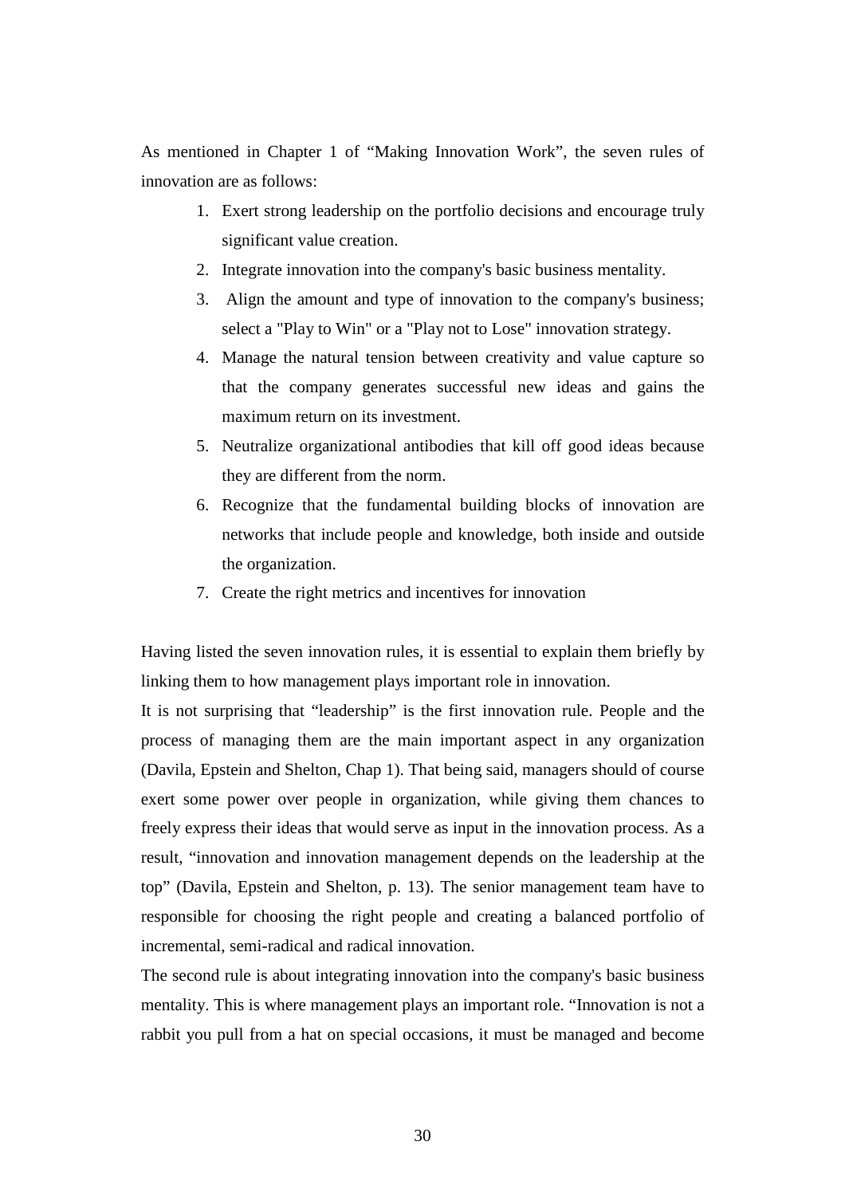As mentioned in Chapter 1 of "Making Innovation Work", the seven rules of innovation are as follows:

- 1. Exert strong leadership on the portfolio decisions and encourage truly significant value creation.
- 2. Integrate innovation into the company's basic business mentality.
- 3. Align the amount and type of innovation to the company's business; select a "Play to Win" or a "Play not to Lose" innovation strategy.
- 4. Manage the natural tension between creativity and value capture so that the company generates successful new ideas and gains the maximum return on its investment.
- 5. Neutralize organizational antibodies that kill off good ideas because they are different from the norm.
- 6. Recognize that the fundamental building blocks of innovation are networks that include people and knowledge, both inside and outside the organization.
- 7. Create the right metrics and incentives for innovation

Having listed the seven innovation rules, it is essential to explain them briefly by linking them to how management plays important role in innovation.

It is not surprising that "leadership" is the first innovation rule. People and the process of managing them are the main important aspect in any organization (Davila, Epstein and Shelton, Chap 1). That being said, managers should of course exert some power over people in organization, while giving them chances to freely express their ideas that would serve as input in the innovation process. As a result, "innovation and innovation management depends on the leadership at the top" (Davila, Epstein and Shelton, p. 13). The senior management team have to responsible for choosing the right people and creating a balanced portfolio of incremental, semi-radical and radical innovation.

The second rule is about integrating innovation into the company's basic business mentality. This is where management plays an important role. "Innovation is not a rabbit you pull from a hat on special occasions, it must be managed and become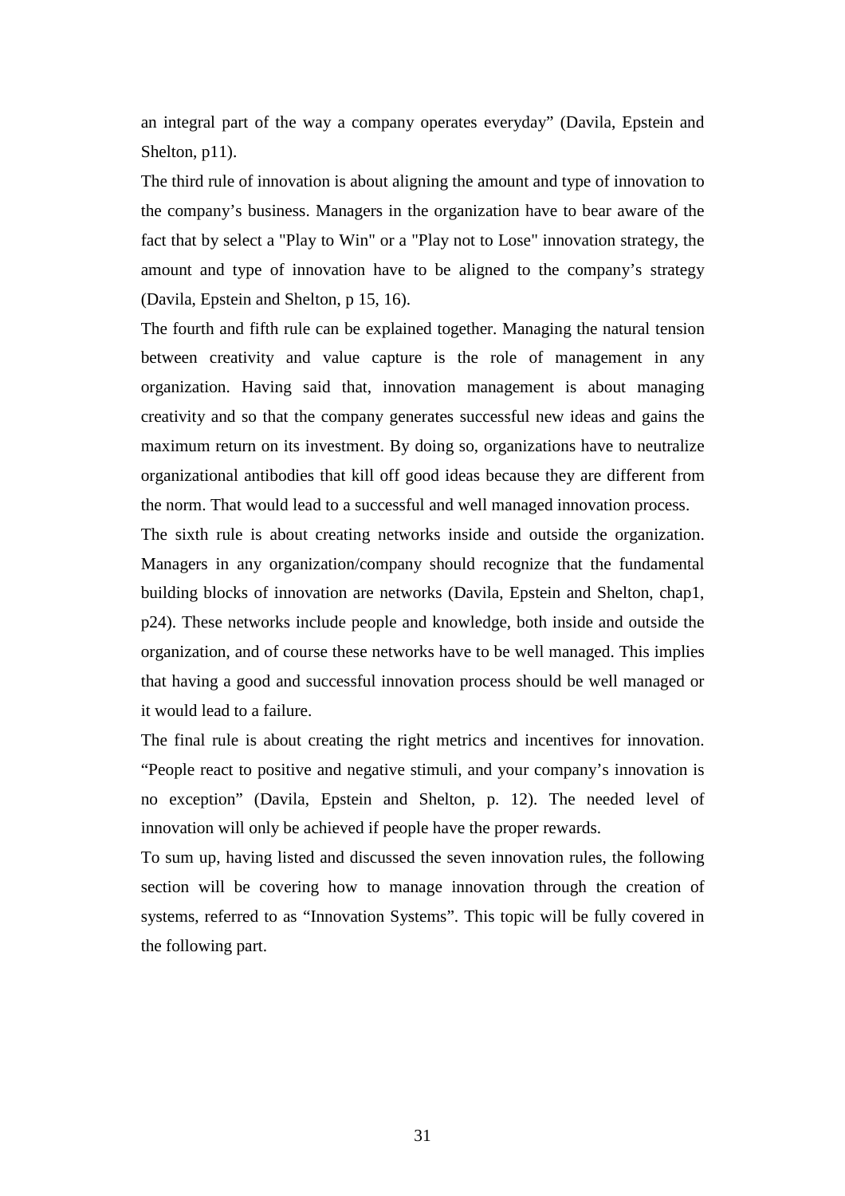an integral part of the way a company operates everyday" (Davila, Epstein and Shelton, p11).

The third rule of innovation is about aligning the amount and type of innovation to the company's business. Managers in the organization have to bear aware of the fact that by select a "Play to Win" or a "Play not to Lose" innovation strategy, the amount and type of innovation have to be aligned to the company's strategy (Davila, Epstein and Shelton, p 15, 16).

The fourth and fifth rule can be explained together. Managing the natural tension between creativity and value capture is the role of management in any organization. Having said that, innovation management is about managing creativity and so that the company generates successful new ideas and gains the maximum return on its investment. By doing so, organizations have to neutralize organizational antibodies that kill off good ideas because they are different from the norm. That would lead to a successful and well managed innovation process.

The sixth rule is about creating networks inside and outside the organization. Managers in any organization/company should recognize that the fundamental building blocks of innovation are networks (Davila, Epstein and Shelton, chap1, p24). These networks include people and knowledge, both inside and outside the organization, and of course these networks have to be well managed. This implies that having a good and successful innovation process should be well managed or it would lead to a failure.

The final rule is about creating the right metrics and incentives for innovation. "People react to positive and negative stimuli, and your company's innovation is no exception" (Davila, Epstein and Shelton, p. 12). The needed level of innovation will only be achieved if people have the proper rewards.

To sum up, having listed and discussed the seven innovation rules, the following section will be covering how to manage innovation through the creation of systems, referred to as "Innovation Systems". This topic will be fully covered in the following part.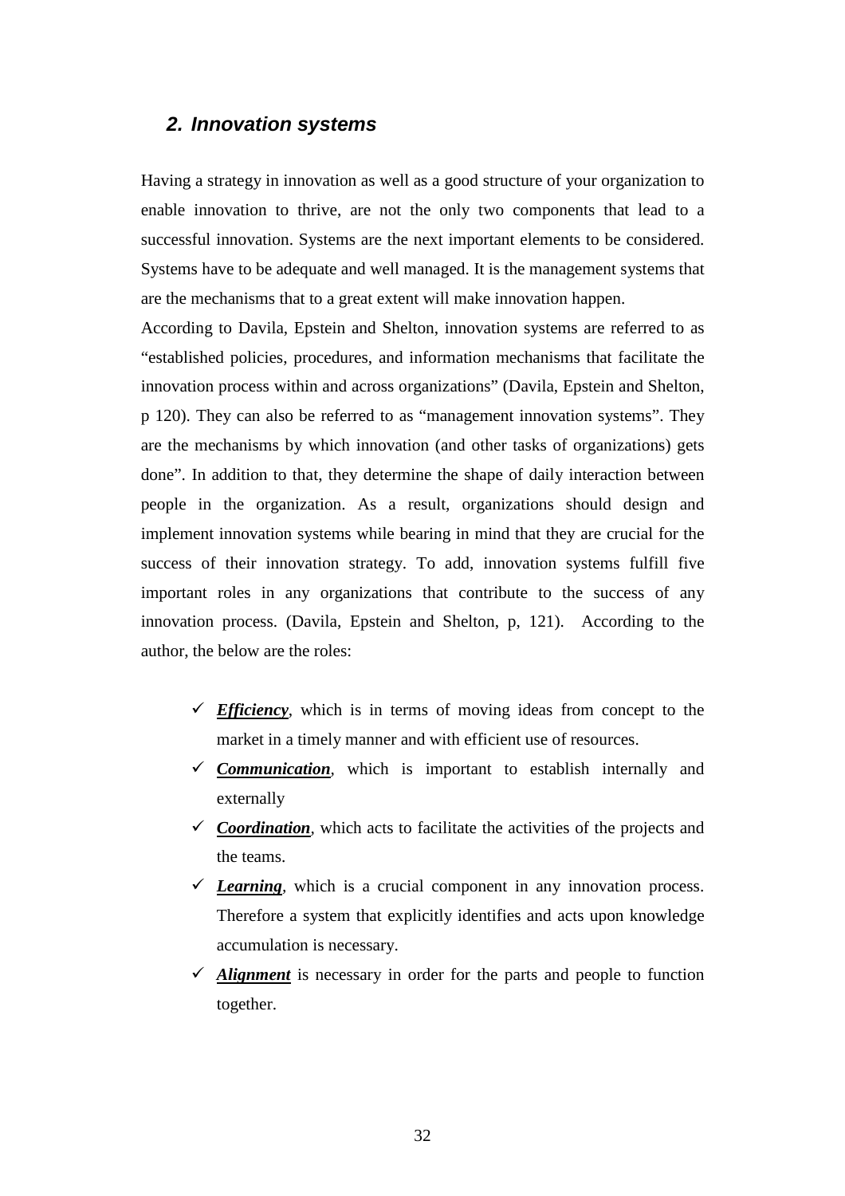#### **2. Innovation systems**

Having a strategy in innovation as well as a good structure of your organization to enable innovation to thrive, are not the only two components that lead to a successful innovation. Systems are the next important elements to be considered. Systems have to be adequate and well managed. It is the management systems that are the mechanisms that to a great extent will make innovation happen.

According to Davila, Epstein and Shelton, innovation systems are referred to as "established policies, procedures, and information mechanisms that facilitate the innovation process within and across organizations" (Davila, Epstein and Shelton, p 120). They can also be referred to as "management innovation systems". They are the mechanisms by which innovation (and other tasks of organizations) gets done". In addition to that, they determine the shape of daily interaction between people in the organization. As a result, organizations should design and implement innovation systems while bearing in mind that they are crucial for the success of their innovation strategy. To add, innovation systems fulfill five important roles in any organizations that contribute to the success of any innovation process. (Davila, Epstein and Shelton, p, 121). According to the author, the below are the roles:

- $\checkmark$  Efficiency, which is in terms of moving ideas from concept to the market in a timely manner and with efficient use of resources.
- *Communication,* which is important to establish internally and externally
- $\checkmark$  *Coordination*, which acts to facilitate the activities of the projects and the teams.
- $\checkmark$  *Learning*, which is a crucial component in any innovation process. Therefore a system that explicitly identifies and acts upon knowledge accumulation is necessary.
- $\checkmark$  *Alignment* is necessary in order for the parts and people to function together.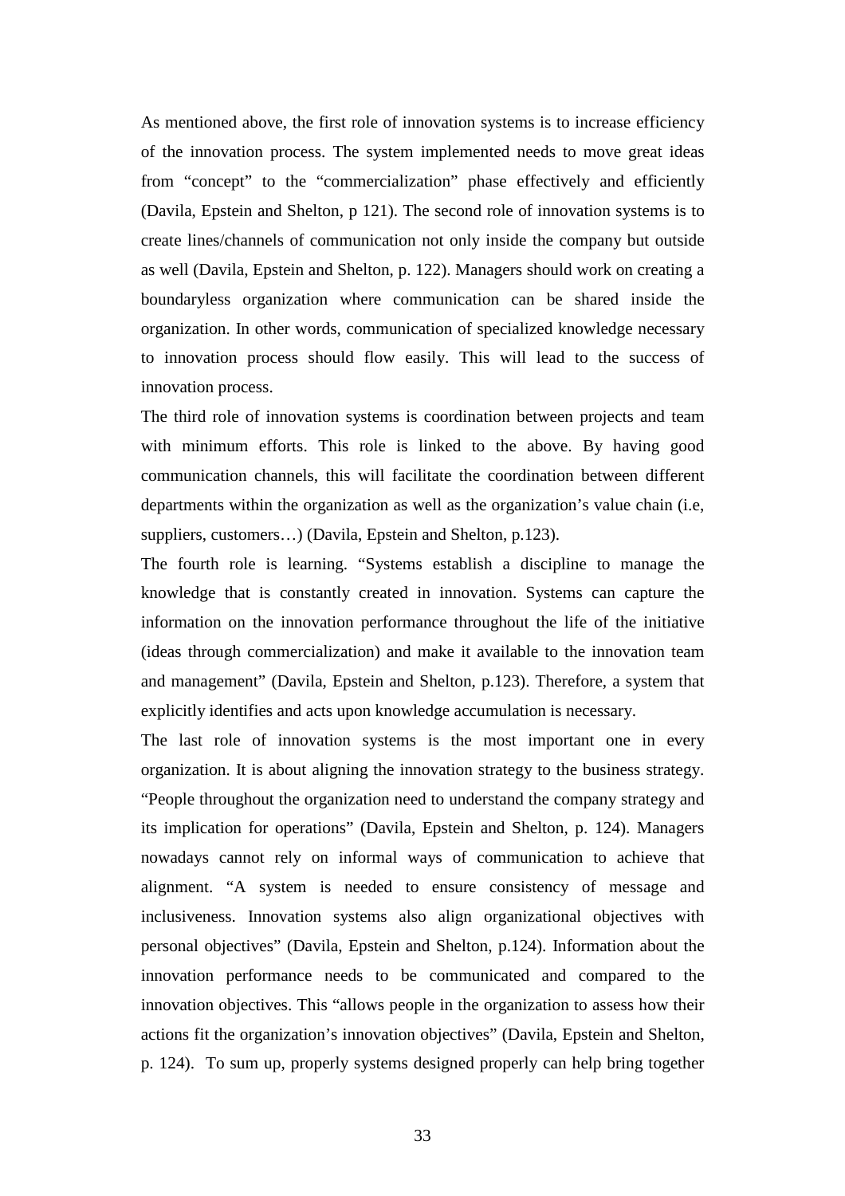As mentioned above, the first role of innovation systems is to increase efficiency of the innovation process. The system implemented needs to move great ideas from "concept" to the "commercialization" phase effectively and efficiently (Davila, Epstein and Shelton, p 121). The second role of innovation systems is to create lines/channels of communication not only inside the company but outside as well (Davila, Epstein and Shelton, p. 122). Managers should work on creating a boundaryless organization where communication can be shared inside the organization. In other words, communication of specialized knowledge necessary to innovation process should flow easily. This will lead to the success of innovation process.

The third role of innovation systems is coordination between projects and team with minimum efforts. This role is linked to the above. By having good communication channels, this will facilitate the coordination between different departments within the organization as well as the organization's value chain (i.e, suppliers, customers...) (Davila, Epstein and Shelton, p.123).

The fourth role is learning. "Systems establish a discipline to manage the knowledge that is constantly created in innovation. Systems can capture the information on the innovation performance throughout the life of the initiative (ideas through commercialization) and make it available to the innovation team and management" (Davila, Epstein and Shelton, p.123). Therefore, a system that explicitly identifies and acts upon knowledge accumulation is necessary.

The last role of innovation systems is the most important one in every organization. It is about aligning the innovation strategy to the business strategy. "People throughout the organization need to understand the company strategy and its implication for operations" (Davila, Epstein and Shelton, p. 124). Managers nowadays cannot rely on informal ways of communication to achieve that alignment. "A system is needed to ensure consistency of message and inclusiveness. Innovation systems also align organizational objectives with personal objectives" (Davila, Epstein and Shelton, p.124). Information about the innovation performance needs to be communicated and compared to the innovation objectives. This "allows people in the organization to assess how their actions fit the organization's innovation objectives" (Davila, Epstein and Shelton, p. 124). To sum up, properly systems designed properly can help bring together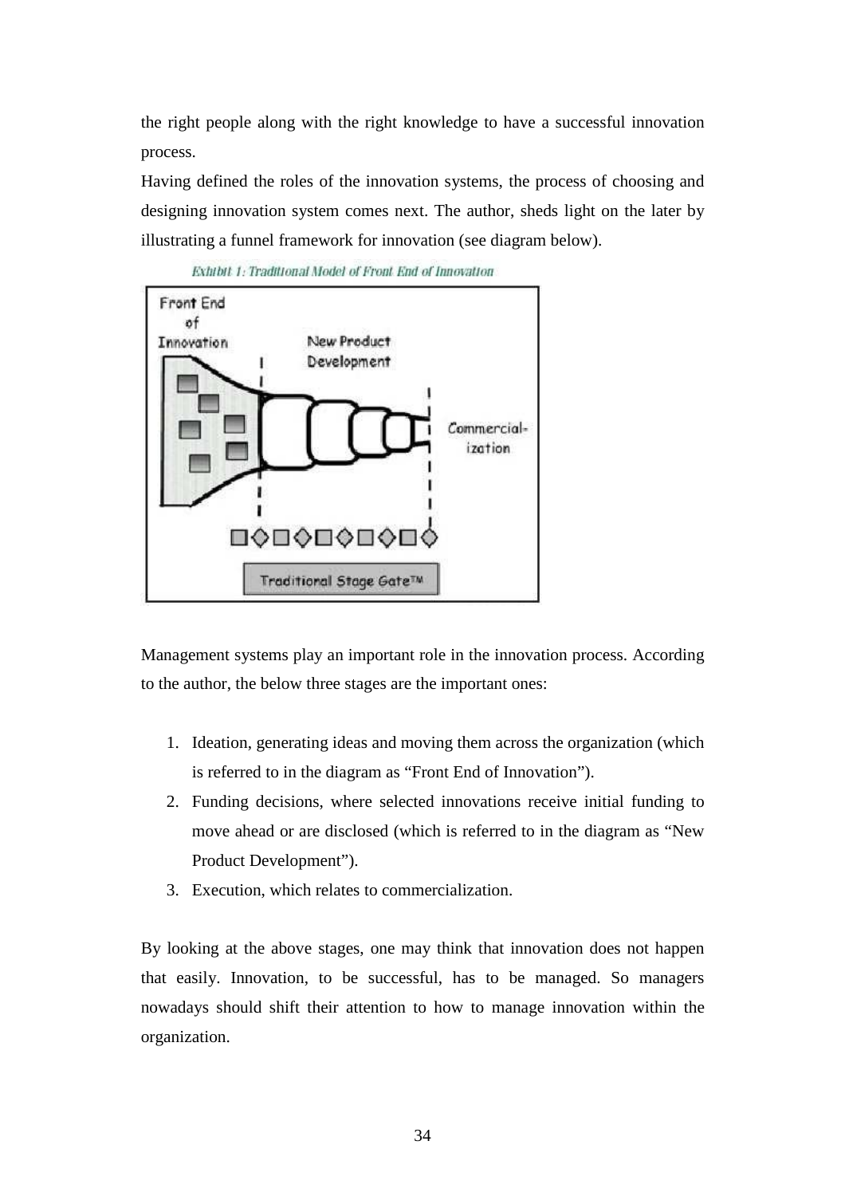the right people along with the right knowledge to have a successful innovation process.

Having defined the roles of the innovation systems, the process of choosing and designing innovation system comes next. The author, sheds light on the later by illustrating a funnel framework for innovation (see diagram below).



Exhibit 1: Traditional Model of Front End of Innovation

Management systems play an important role in the innovation process. According to the author, the below three stages are the important ones:

- 1. Ideation, generating ideas and moving them across the organization (which is referred to in the diagram as "Front End of Innovation").
- 2. Funding decisions, where selected innovations receive initial funding to move ahead or are disclosed (which is referred to in the diagram as "New Product Development").
- 3. Execution, which relates to commercialization.

By looking at the above stages, one may think that innovation does not happen that easily. Innovation, to be successful, has to be managed. So managers nowadays should shift their attention to how to manage innovation within the organization.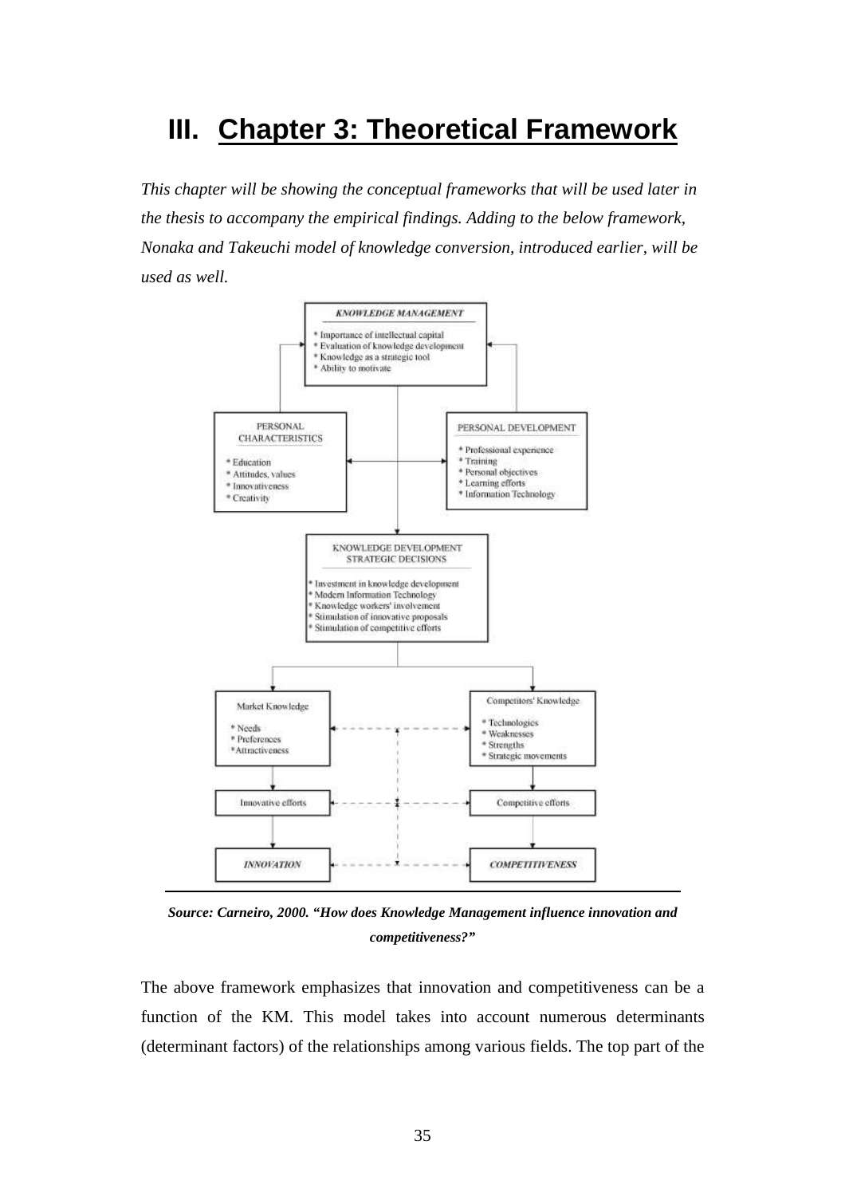# **III. Chapter 3: Theoretical Framework**

*This chapter will be showing the conceptual frameworks that will be used later in the thesis to accompany the empirical findings. Adding to the below framework, Nonaka and Takeuchi model of knowledge conversion, introduced earlier, will be used as well.* 



*Source: Carneiro, 2000. "How does Knowledge Management influence innovation and competitiveness?"* 

The above framework emphasizes that innovation and competitiveness can be a function of the KM. This model takes into account numerous determinants (determinant factors) of the relationships among various fields. The top part of the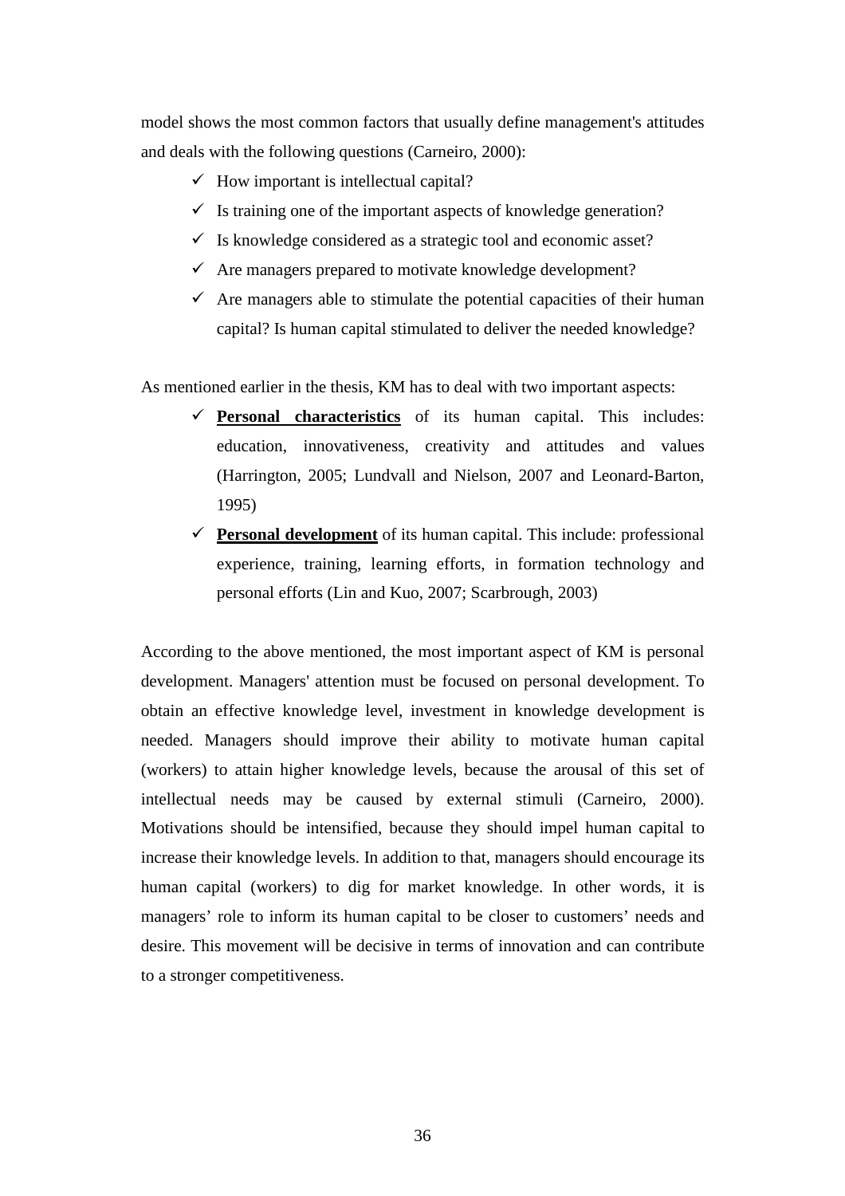model shows the most common factors that usually define management's attitudes and deals with the following questions (Carneiro, 2000):

- $\checkmark$  How important is intellectual capital?
- $\checkmark$  Is training one of the important aspects of knowledge generation?
- $\checkmark$  Is knowledge considered as a strategic tool and economic asset?
- $\checkmark$  Are managers prepared to motivate knowledge development?
- $\checkmark$  Are managers able to stimulate the potential capacities of their human capital? Is human capital stimulated to deliver the needed knowledge?

As mentioned earlier in the thesis, KM has to deal with two important aspects:

- **Personal characteristics** of its human capital. This includes: education, innovativeness, creativity and attitudes and values (Harrington, 2005; Lundvall and Nielson, 2007 and Leonard-Barton, 1995)
- **Personal development** of its human capital. This include: professional experience, training, learning efforts, in formation technology and personal efforts (Lin and Kuo, 2007; Scarbrough, 2003)

According to the above mentioned, the most important aspect of KM is personal development. Managers' attention must be focused on personal development. To obtain an effective knowledge level, investment in knowledge development is needed. Managers should improve their ability to motivate human capital (workers) to attain higher knowledge levels, because the arousal of this set of intellectual needs may be caused by external stimuli (Carneiro, 2000). Motivations should be intensified, because they should impel human capital to increase their knowledge levels. In addition to that, managers should encourage its human capital (workers) to dig for market knowledge. In other words, it is managers' role to inform its human capital to be closer to customers' needs and desire. This movement will be decisive in terms of innovation and can contribute to a stronger competitiveness.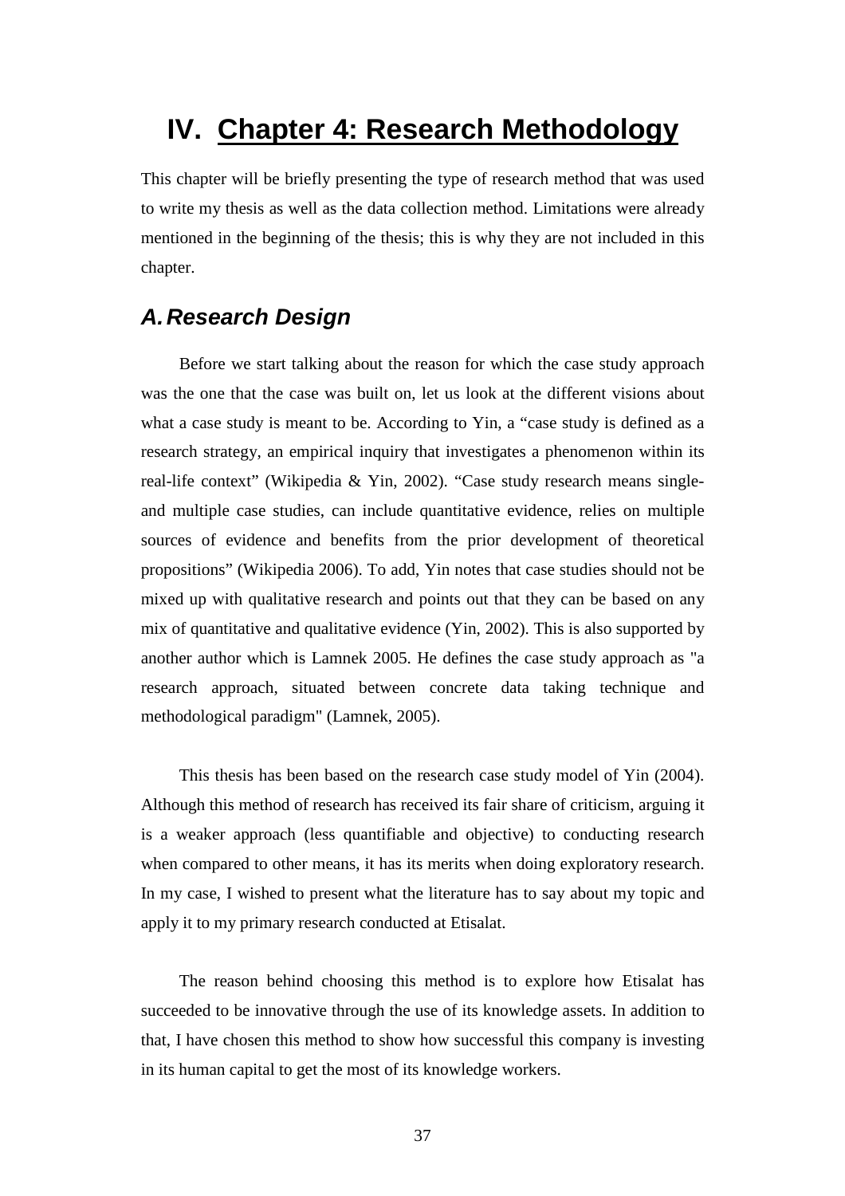# **IV. Chapter 4: Research Methodology**

This chapter will be briefly presenting the type of research method that was used to write my thesis as well as the data collection method. Limitations were already mentioned in the beginning of the thesis; this is why they are not included in this chapter.

## **A. Research Design**

Before we start talking about the reason for which the case study approach was the one that the case was built on, let us look at the different visions about what a case study is meant to be. According to Yin, a "case study is defined as a research strategy, an empirical inquiry that investigates a phenomenon within its real-life context" (Wikipedia & Yin, 2002). "Case study research means singleand multiple case studies, can include quantitative evidence, relies on multiple sources of evidence and benefits from the prior development of theoretical propositions" (Wikipedia 2006). To add, Yin notes that case studies should not be mixed up with qualitative research and points out that they can be based on any mix of quantitative and qualitative evidence (Yin, 2002). This is also supported by another author which is Lamnek 2005. He defines the case study approach as "a research approach, situated between concrete data taking technique and methodological paradigm" (Lamnek, 2005).

This thesis has been based on the research case study model of Yin (2004). Although this method of research has received its fair share of criticism, arguing it is a weaker approach (less quantifiable and objective) to conducting research when compared to other means, it has its merits when doing exploratory research. In my case, I wished to present what the literature has to say about my topic and apply it to my primary research conducted at Etisalat.

The reason behind choosing this method is to explore how Etisalat has succeeded to be innovative through the use of its knowledge assets. In addition to that, I have chosen this method to show how successful this company is investing in its human capital to get the most of its knowledge workers.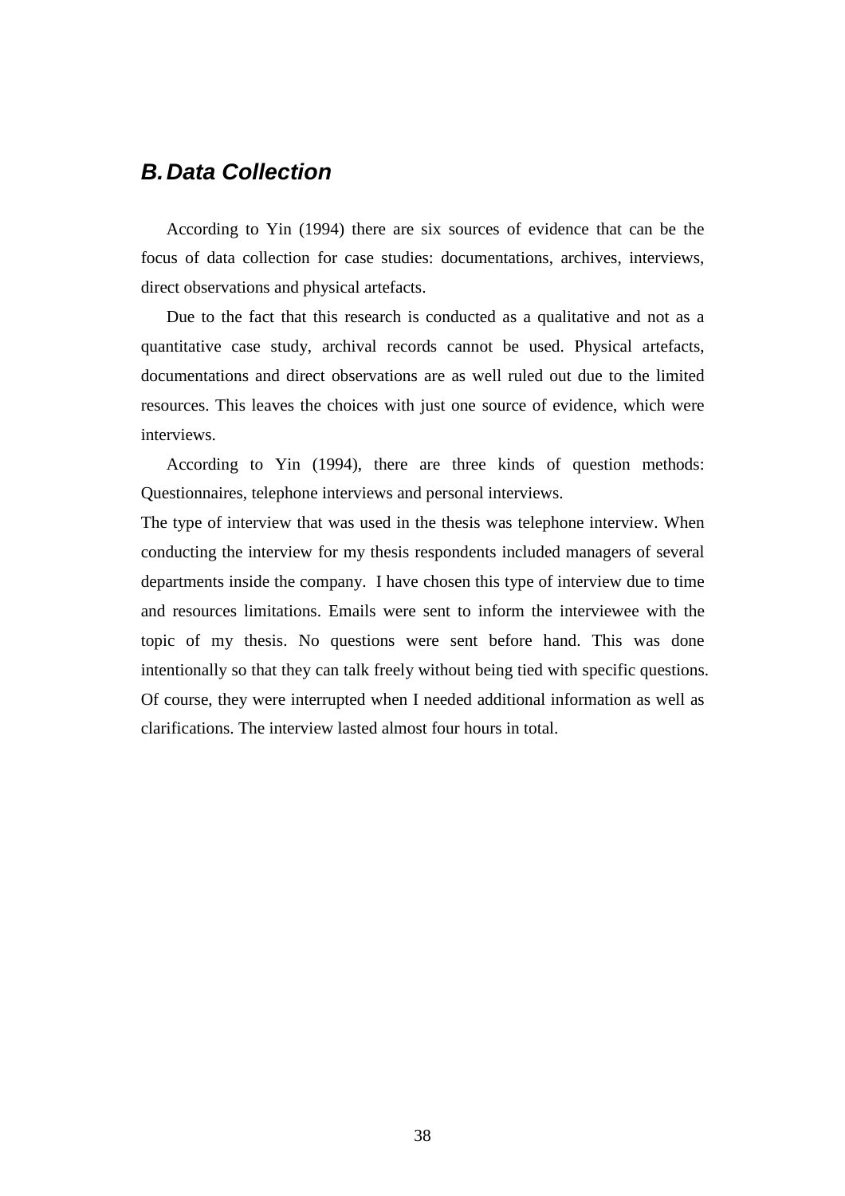## **B. Data Collection**

According to Yin (1994) there are six sources of evidence that can be the focus of data collection for case studies: documentations, archives, interviews, direct observations and physical artefacts.

Due to the fact that this research is conducted as a qualitative and not as a quantitative case study, archival records cannot be used. Physical artefacts, documentations and direct observations are as well ruled out due to the limited resources. This leaves the choices with just one source of evidence, which were interviews.

According to Yin (1994), there are three kinds of question methods: Questionnaires, telephone interviews and personal interviews.

The type of interview that was used in the thesis was telephone interview. When conducting the interview for my thesis respondents included managers of several departments inside the company. I have chosen this type of interview due to time and resources limitations. Emails were sent to inform the interviewee with the topic of my thesis. No questions were sent before hand. This was done intentionally so that they can talk freely without being tied with specific questions. Of course, they were interrupted when I needed additional information as well as clarifications. The interview lasted almost four hours in total.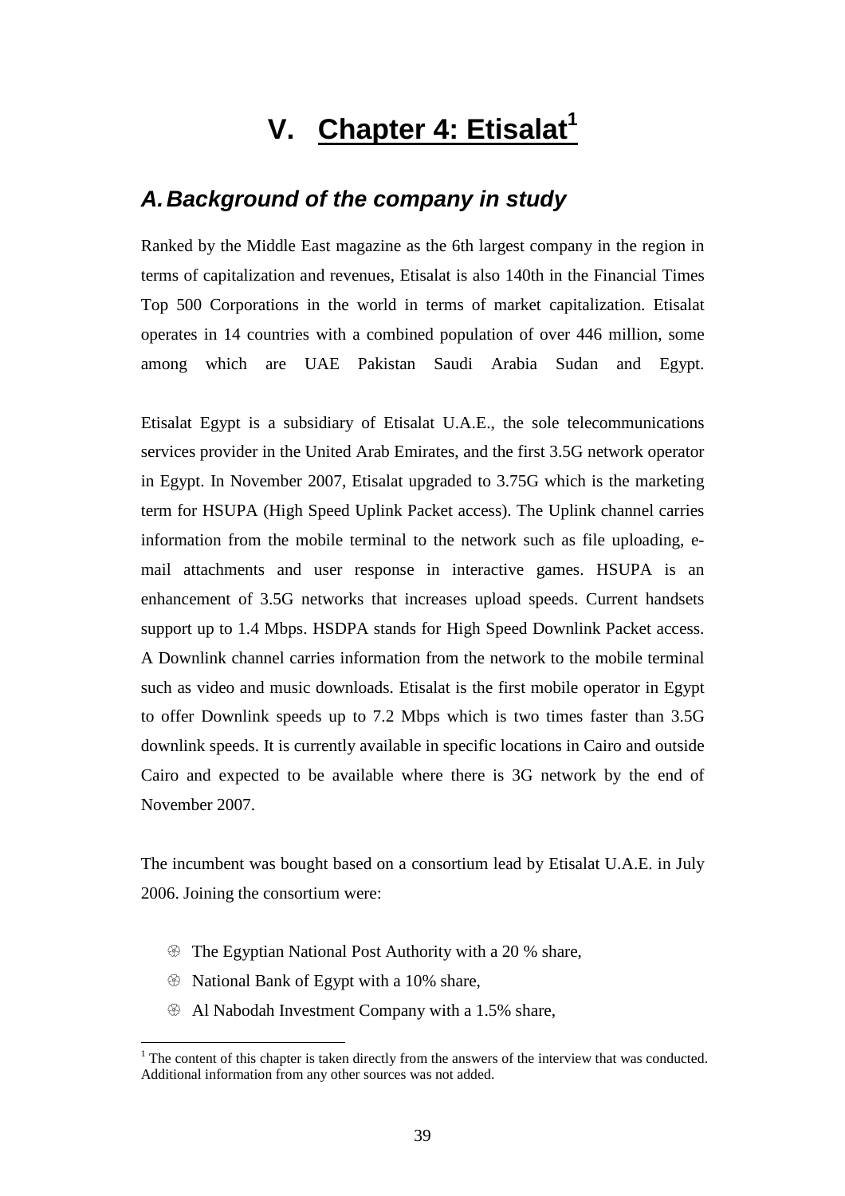# **V. Chapter 4: Etisalat<sup>1</sup>**

## **A. Background of the company in study**

Ranked by the Middle East magazine as the 6th largest company in the region in terms of capitalization and revenues, Etisalat is also 140th in the Financial Times Top 500 Corporations in the world in terms of market capitalization. Etisalat operates in 14 countries with a combined population of over 446 million, some among which are UAE Pakistan Saudi Arabia Sudan and Egypt.

Etisalat Egypt is a subsidiary of Etisalat U.A.E., the sole telecommunications services provider in the United Arab Emirates, and the first 3.5G network operator in Egypt. In November 2007, Etisalat upgraded to 3.75G which is the marketing term for HSUPA (High Speed Uplink Packet access). The Uplink channel carries information from the mobile terminal to the network such as file uploading, email attachments and user response in interactive games. HSUPA is an enhancement of 3.5G networks that increases upload speeds. Current handsets support up to 1.4 Mbps. HSDPA stands for High Speed Downlink Packet access. A Downlink channel carries information from the network to the mobile terminal such as video and music downloads. Etisalat is the first mobile operator in Egypt to offer Downlink speeds up to 7.2 Mbps which is two times faster than 3.5G downlink speeds. It is currently available in specific locations in Cairo and outside Cairo and expected to be available where there is 3G network by the end of November 2007.

The incumbent was bought based on a consortium lead by Etisalat U.A.E. in July 2006. Joining the consortium were:

- The Egyptian National Post Authority with a 20 % share,
- National Bank of Egypt with a 10% share,

 $\overline{a}$ 

- Al Nabodah Investment Company with a 1.5% share,

 $<sup>1</sup>$  The content of this chapter is taken directly from the answers of the interview that was conducted.</sup> Additional information from any other sources was not added.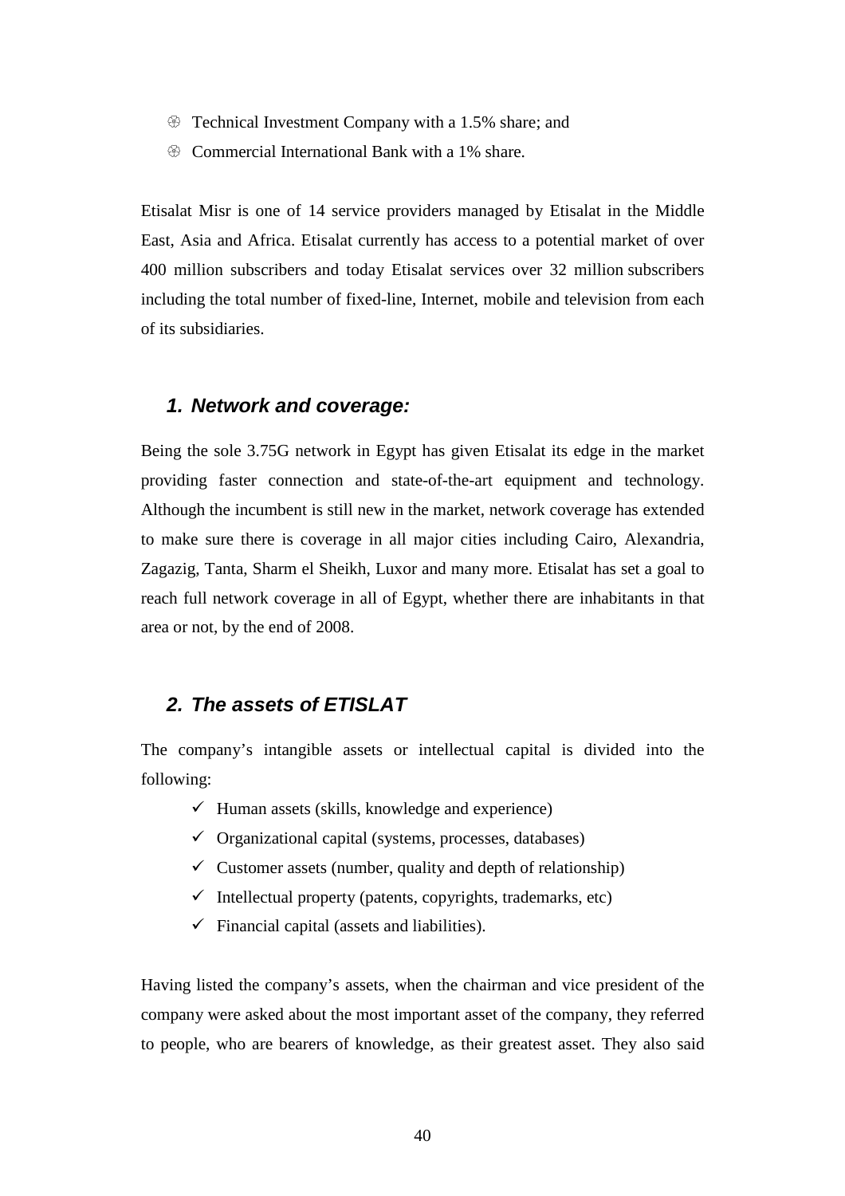- $\circledast$  Technical Investment Company with a 1.5% share; and
- $\circledast$  Commercial International Bank with a 1% share.

Etisalat Misr is one of 14 service providers managed by Etisalat in the Middle East, Asia and Africa. Etisalat currently has access to a potential market of over 400 million subscribers and today Etisalat services over 32 million subscribers including the total number of fixed-line, Internet, mobile and television from each of its subsidiaries.

#### **1. Network and coverage:**

Being the sole 3.75G network in Egypt has given Etisalat its edge in the market providing faster connection and state-of-the-art equipment and technology. Although the incumbent is still new in the market, network coverage has extended to make sure there is coverage in all major cities including Cairo, Alexandria, Zagazig, Tanta, Sharm el Sheikh, Luxor and many more. Etisalat has set a goal to reach full network coverage in all of Egypt, whether there are inhabitants in that area or not, by the end of 2008.

#### **2. The assets of ETISLAT**

The company's intangible assets or intellectual capital is divided into the following:

- $\checkmark$  Human assets (skills, knowledge and experience)
- $\checkmark$  Organizational capital (systems, processes, databases)
- $\checkmark$  Customer assets (number, quality and depth of relationship)
- $\checkmark$  Intellectual property (patents, copyrights, trademarks, etc)
- $\checkmark$  Financial capital (assets and liabilities).

Having listed the company's assets, when the chairman and vice president of the company were asked about the most important asset of the company, they referred to people, who are bearers of knowledge, as their greatest asset. They also said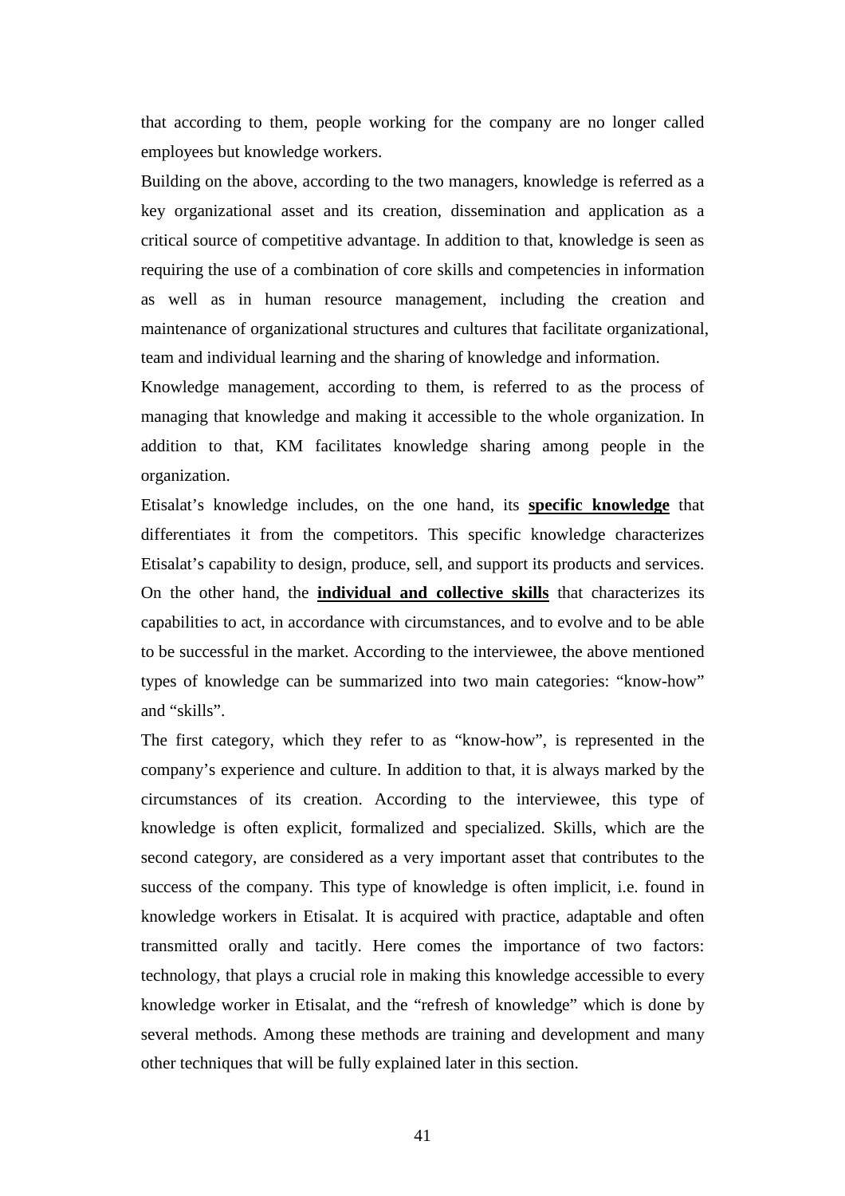that according to them, people working for the company are no longer called employees but knowledge workers.

Building on the above, according to the two managers, knowledge is referred as a key organizational asset and its creation, dissemination and application as a critical source of competitive advantage. In addition to that, knowledge is seen as requiring the use of a combination of core skills and competencies in information as well as in human resource management, including the creation and maintenance of organizational structures and cultures that facilitate organizational, team and individual learning and the sharing of knowledge and information.

Knowledge management, according to them, is referred to as the process of managing that knowledge and making it accessible to the whole organization. In addition to that, KM facilitates knowledge sharing among people in the organization.

Etisalat's knowledge includes, on the one hand, its **specific knowledge** that differentiates it from the competitors. This specific knowledge characterizes Etisalat's capability to design, produce, sell, and support its products and services. On the other hand, the **individual and collective skills** that characterizes its capabilities to act, in accordance with circumstances, and to evolve and to be able to be successful in the market. According to the interviewee, the above mentioned types of knowledge can be summarized into two main categories: "know-how" and "skills".

The first category, which they refer to as "know-how", is represented in the company's experience and culture. In addition to that, it is always marked by the circumstances of its creation. According to the interviewee, this type of knowledge is often explicit, formalized and specialized. Skills, which are the second category, are considered as a very important asset that contributes to the success of the company. This type of knowledge is often implicit, i.e. found in knowledge workers in Etisalat. It is acquired with practice, adaptable and often transmitted orally and tacitly. Here comes the importance of two factors: technology, that plays a crucial role in making this knowledge accessible to every knowledge worker in Etisalat, and the "refresh of knowledge" which is done by several methods. Among these methods are training and development and many other techniques that will be fully explained later in this section.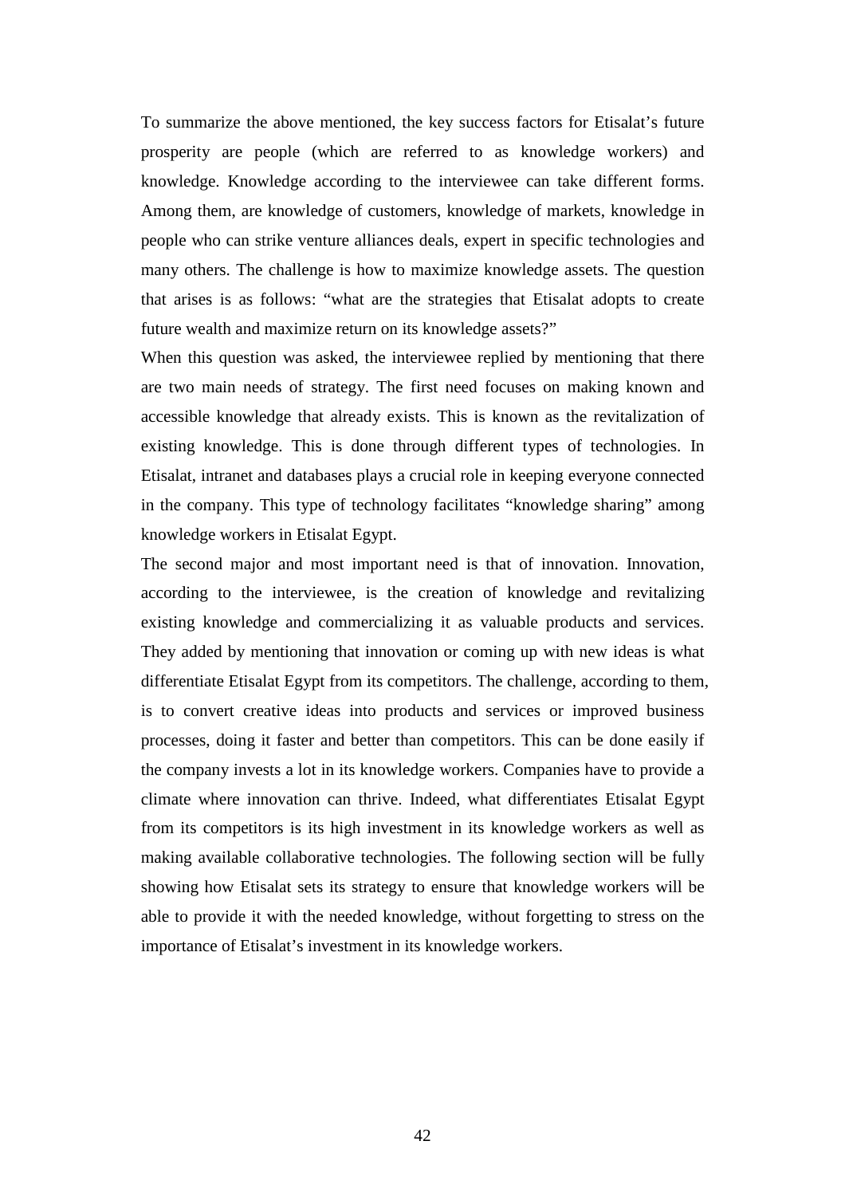To summarize the above mentioned, the key success factors for Etisalat's future prosperity are people (which are referred to as knowledge workers) and knowledge. Knowledge according to the interviewee can take different forms. Among them, are knowledge of customers, knowledge of markets, knowledge in people who can strike venture alliances deals, expert in specific technologies and many others. The challenge is how to maximize knowledge assets. The question that arises is as follows: "what are the strategies that Etisalat adopts to create future wealth and maximize return on its knowledge assets?"

When this question was asked, the interviewee replied by mentioning that there are two main needs of strategy. The first need focuses on making known and accessible knowledge that already exists. This is known as the revitalization of existing knowledge. This is done through different types of technologies. In Etisalat, intranet and databases plays a crucial role in keeping everyone connected in the company. This type of technology facilitates "knowledge sharing" among knowledge workers in Etisalat Egypt.

The second major and most important need is that of innovation. Innovation, according to the interviewee, is the creation of knowledge and revitalizing existing knowledge and commercializing it as valuable products and services. They added by mentioning that innovation or coming up with new ideas is what differentiate Etisalat Egypt from its competitors. The challenge, according to them, is to convert creative ideas into products and services or improved business processes, doing it faster and better than competitors. This can be done easily if the company invests a lot in its knowledge workers. Companies have to provide a climate where innovation can thrive. Indeed, what differentiates Etisalat Egypt from its competitors is its high investment in its knowledge workers as well as making available collaborative technologies. The following section will be fully showing how Etisalat sets its strategy to ensure that knowledge workers will be able to provide it with the needed knowledge, without forgetting to stress on the importance of Etisalat's investment in its knowledge workers.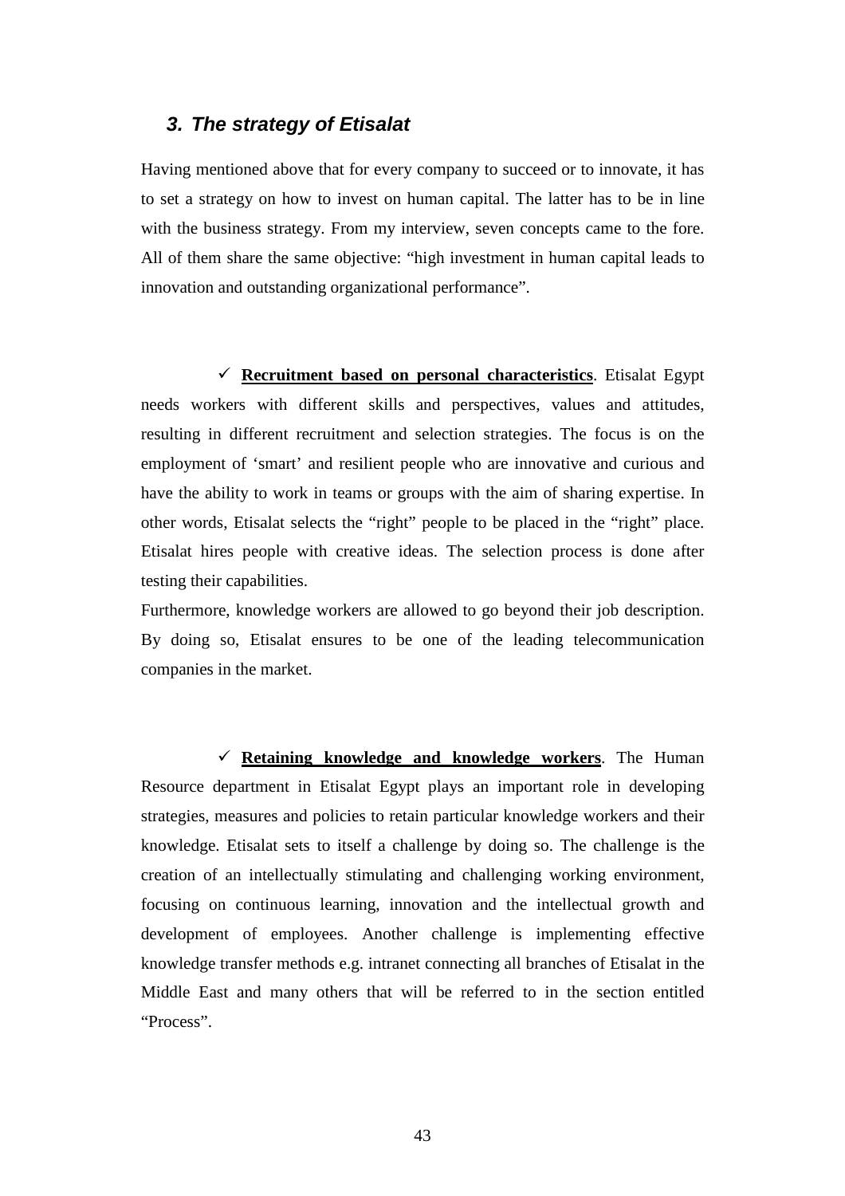#### **3. The strategy of Etisalat**

Having mentioned above that for every company to succeed or to innovate, it has to set a strategy on how to invest on human capital. The latter has to be in line with the business strategy. From my interview, seven concepts came to the fore. All of them share the same objective: "high investment in human capital leads to innovation and outstanding organizational performance".

 **Recruitment based on personal characteristics**. Etisalat Egypt needs workers with different skills and perspectives, values and attitudes, resulting in different recruitment and selection strategies. The focus is on the employment of 'smart' and resilient people who are innovative and curious and have the ability to work in teams or groups with the aim of sharing expertise. In other words, Etisalat selects the "right" people to be placed in the "right" place. Etisalat hires people with creative ideas. The selection process is done after testing their capabilities.

Furthermore, knowledge workers are allowed to go beyond their job description. By doing so, Etisalat ensures to be one of the leading telecommunication companies in the market.

 **Retaining knowledge and knowledge workers**. The Human Resource department in Etisalat Egypt plays an important role in developing strategies, measures and policies to retain particular knowledge workers and their knowledge. Etisalat sets to itself a challenge by doing so. The challenge is the creation of an intellectually stimulating and challenging working environment, focusing on continuous learning, innovation and the intellectual growth and development of employees. Another challenge is implementing effective knowledge transfer methods e.g. intranet connecting all branches of Etisalat in the Middle East and many others that will be referred to in the section entitled "Process".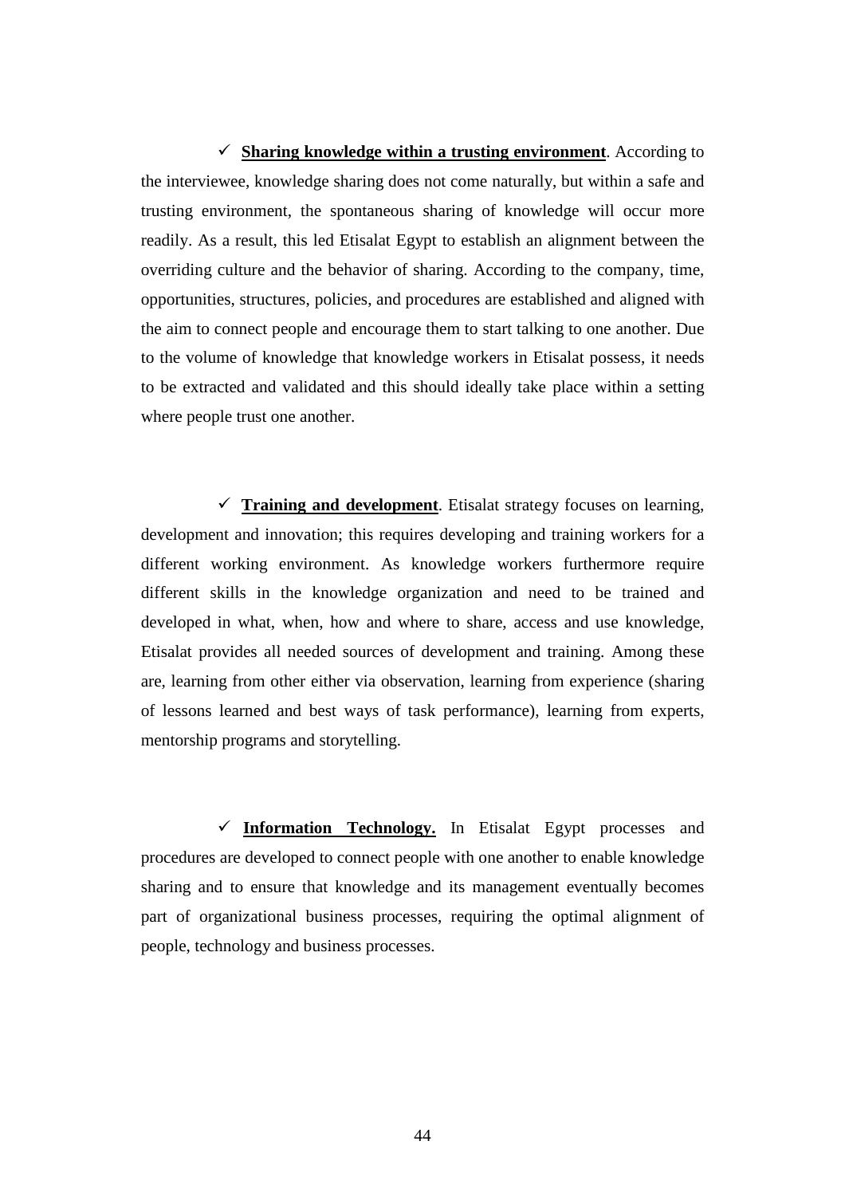**Sharing knowledge within a trusting environment**. According to the interviewee, knowledge sharing does not come naturally, but within a safe and trusting environment, the spontaneous sharing of knowledge will occur more readily. As a result, this led Etisalat Egypt to establish an alignment between the overriding culture and the behavior of sharing. According to the company, time, opportunities, structures, policies, and procedures are established and aligned with the aim to connect people and encourage them to start talking to one another. Due to the volume of knowledge that knowledge workers in Etisalat possess, it needs to be extracted and validated and this should ideally take place within a setting where people trust one another.

 $\checkmark$  Training and development. Etisalat strategy focuses on learning, development and innovation; this requires developing and training workers for a different working environment. As knowledge workers furthermore require different skills in the knowledge organization and need to be trained and developed in what, when, how and where to share, access and use knowledge, Etisalat provides all needed sources of development and training. Among these are, learning from other either via observation, learning from experience (sharing of lessons learned and best ways of task performance), learning from experts, mentorship programs and storytelling.

 $\checkmark$  Information Technology. In Etisalat Egypt processes and procedures are developed to connect people with one another to enable knowledge sharing and to ensure that knowledge and its management eventually becomes part of organizational business processes, requiring the optimal alignment of people, technology and business processes.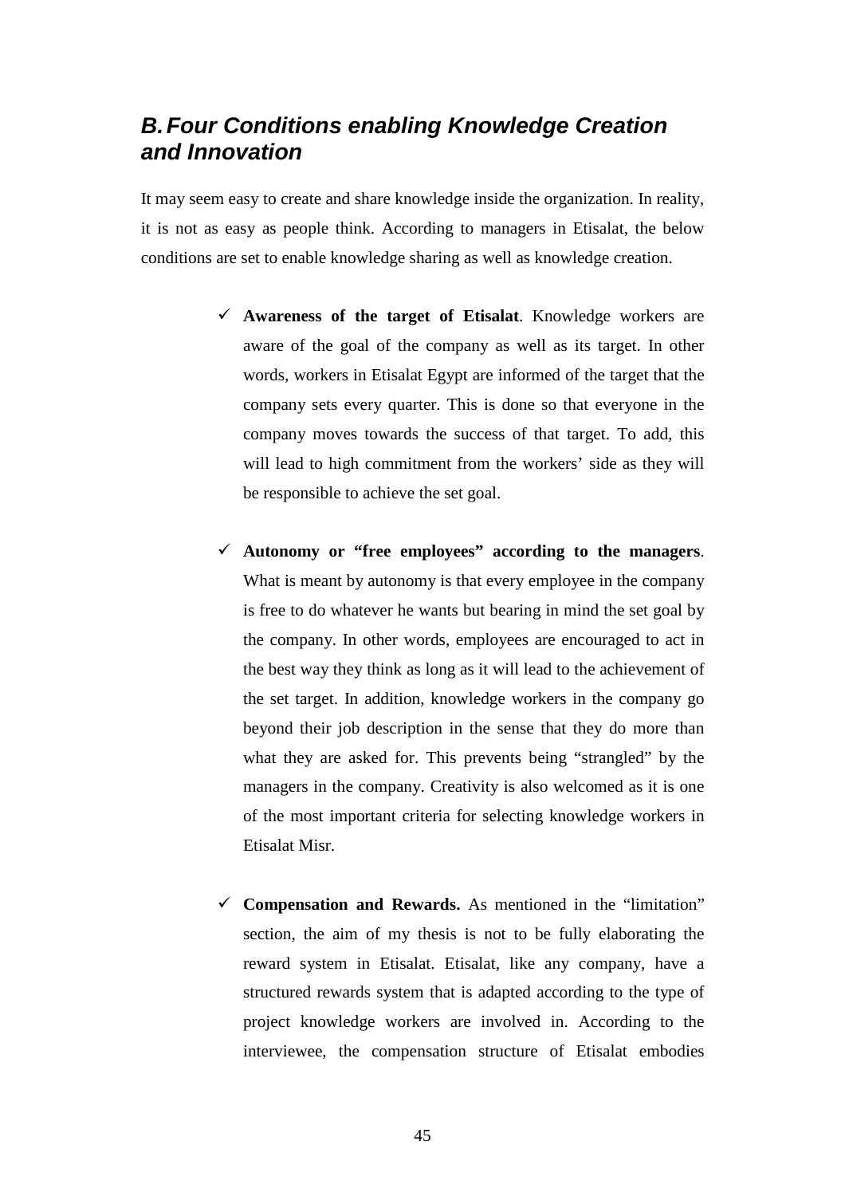# **B. Four Conditions enabling Knowledge Creation and Innovation**

It may seem easy to create and share knowledge inside the organization. In reality, it is not as easy as people think. According to managers in Etisalat, the below conditions are set to enable knowledge sharing as well as knowledge creation.

- **Awareness of the target of Etisalat**. Knowledge workers are aware of the goal of the company as well as its target. In other words, workers in Etisalat Egypt are informed of the target that the company sets every quarter. This is done so that everyone in the company moves towards the success of that target. To add, this will lead to high commitment from the workers' side as they will be responsible to achieve the set goal.
- **Autonomy or "free employees" according to the managers**. What is meant by autonomy is that every employee in the company is free to do whatever he wants but bearing in mind the set goal by the company. In other words, employees are encouraged to act in the best way they think as long as it will lead to the achievement of the set target. In addition, knowledge workers in the company go beyond their job description in the sense that they do more than what they are asked for. This prevents being "strangled" by the managers in the company. Creativity is also welcomed as it is one of the most important criteria for selecting knowledge workers in Etisalat Misr.
- **Compensation and Rewards.** As mentioned in the "limitation" section, the aim of my thesis is not to be fully elaborating the reward system in Etisalat. Etisalat, like any company, have a structured rewards system that is adapted according to the type of project knowledge workers are involved in. According to the interviewee, the compensation structure of Etisalat embodies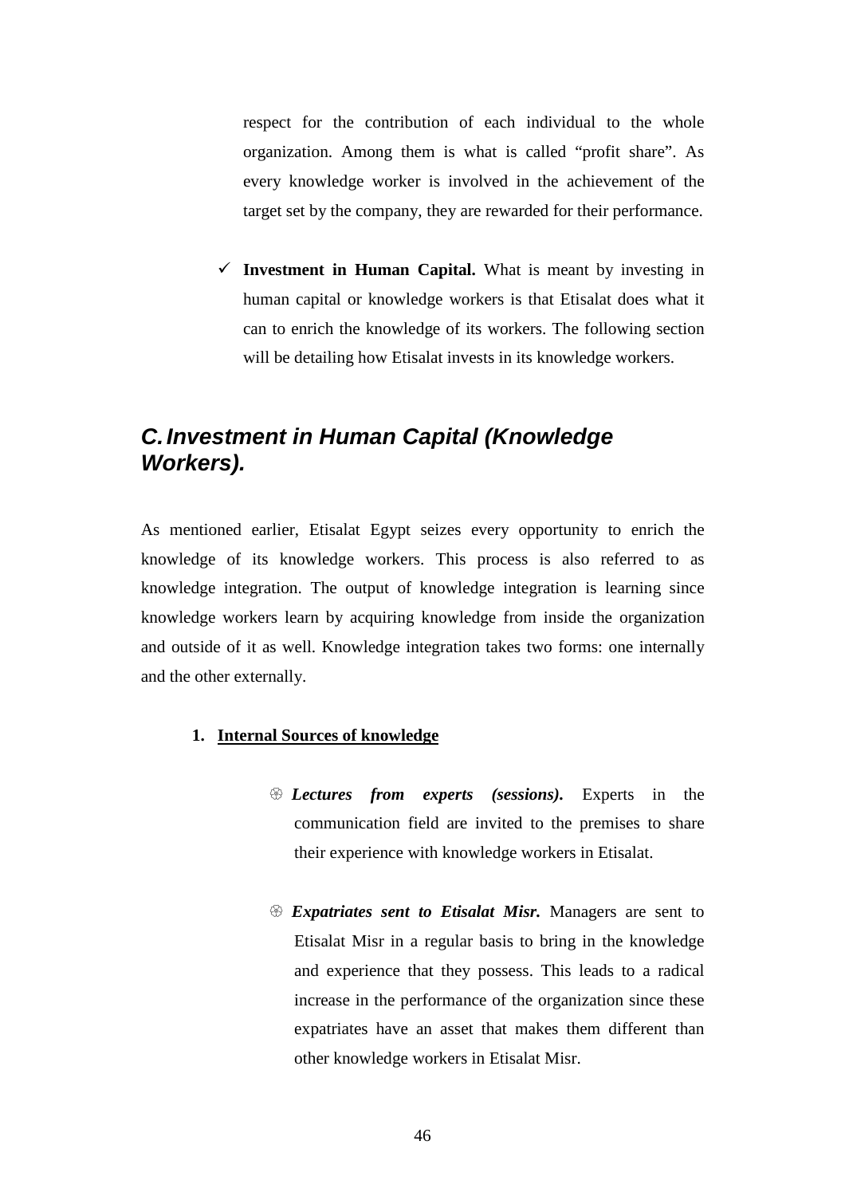respect for the contribution of each individual to the whole organization. Among them is what is called "profit share". As every knowledge worker is involved in the achievement of the target set by the company, they are rewarded for their performance.

 $\checkmark$  Investment in Human Capital. What is meant by investing in human capital or knowledge workers is that Etisalat does what it can to enrich the knowledge of its workers. The following section will be detailing how Etisalat invests in its knowledge workers.

# **C. Investment in Human Capital (Knowledge Workers).**

As mentioned earlier, Etisalat Egypt seizes every opportunity to enrich the knowledge of its knowledge workers. This process is also referred to as knowledge integration. The output of knowledge integration is learning since knowledge workers learn by acquiring knowledge from inside the organization and outside of it as well. Knowledge integration takes two forms: one internally and the other externally.

#### **1. Internal Sources of knowledge**

- *Lectures from experts (sessions).* Experts in the communication field are invited to the premises to share their experience with knowledge workers in Etisalat.
- *Expatriates sent to Etisalat Misr.* Managers are sent to Etisalat Misr in a regular basis to bring in the knowledge and experience that they possess. This leads to a radical increase in the performance of the organization since these expatriates have an asset that makes them different than other knowledge workers in Etisalat Misr.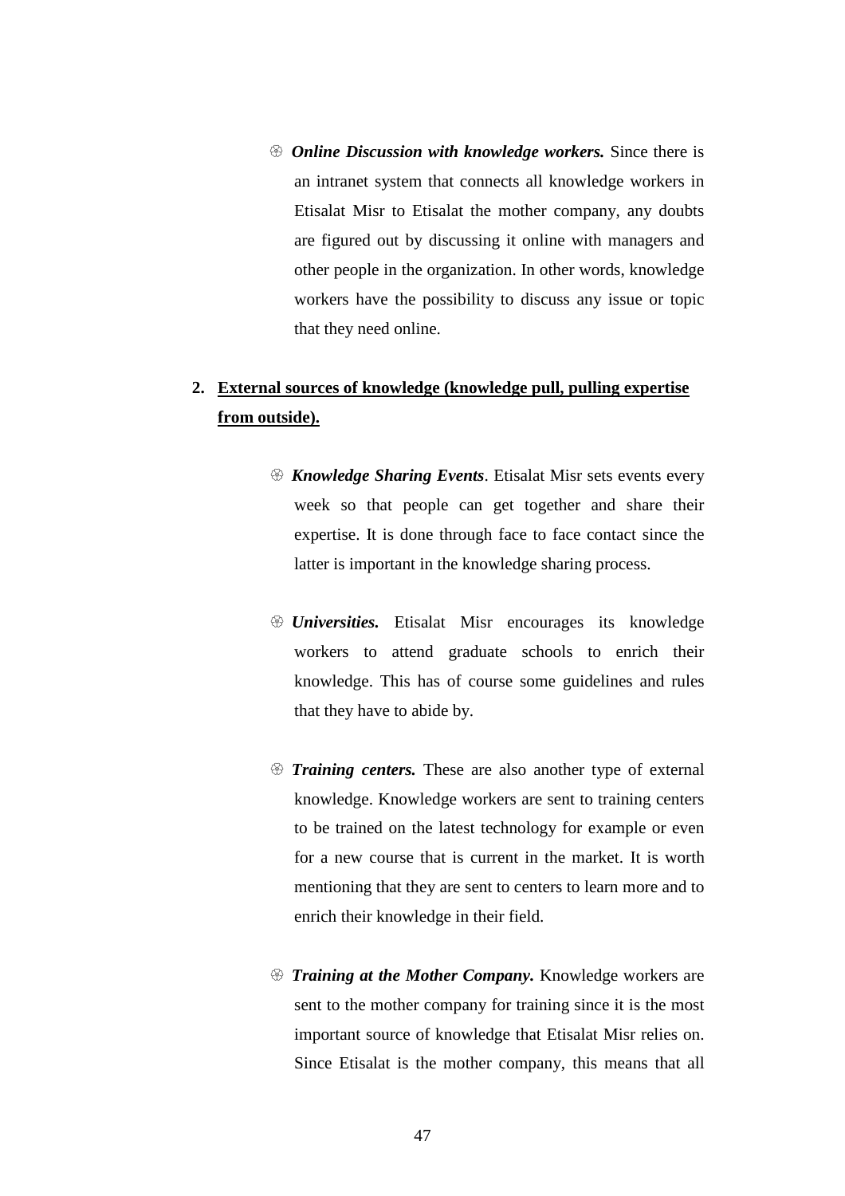- *Online Discussion with knowledge workers.* Since there is an intranet system that connects all knowledge workers in Etisalat Misr to Etisalat the mother company, any doubts are figured out by discussing it online with managers and other people in the organization. In other words, knowledge workers have the possibility to discuss any issue or topic that they need online.

## **2. External sources of knowledge (knowledge pull, pulling expertise from outside).**

- *Knowledge Sharing Events*. Etisalat Misr sets events every week so that people can get together and share their expertise. It is done through face to face contact since the latter is important in the knowledge sharing process.
- *Universities.* Etisalat Misr encourages its knowledge workers to attend graduate schools to enrich their knowledge. This has of course some guidelines and rules that they have to abide by.
- $\circledast$  *Training centers*. These are also another type of external knowledge. Knowledge workers are sent to training centers to be trained on the latest technology for example or even for a new course that is current in the market. It is worth mentioning that they are sent to centers to learn more and to enrich their knowledge in their field.
- *Training at the Mother Company.* Knowledge workers are sent to the mother company for training since it is the most important source of knowledge that Etisalat Misr relies on. Since Etisalat is the mother company, this means that all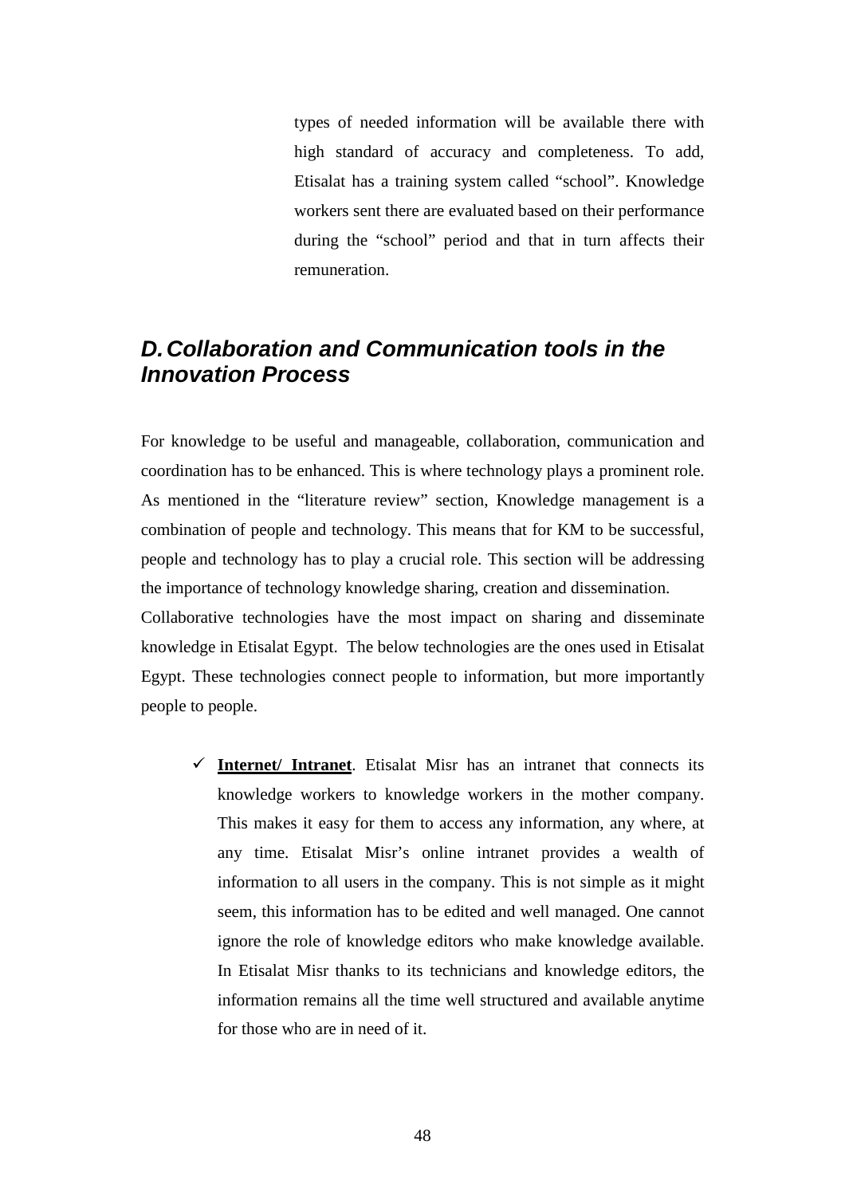types of needed information will be available there with high standard of accuracy and completeness. To add, Etisalat has a training system called "school". Knowledge workers sent there are evaluated based on their performance during the "school" period and that in turn affects their remuneration.

# **D. Collaboration and Communication tools in the Innovation Process**

For knowledge to be useful and manageable, collaboration, communication and coordination has to be enhanced. This is where technology plays a prominent role. As mentioned in the "literature review" section, Knowledge management is a combination of people and technology. This means that for KM to be successful, people and technology has to play a crucial role. This section will be addressing the importance of technology knowledge sharing, creation and dissemination.

Collaborative technologies have the most impact on sharing and disseminate knowledge in Etisalat Egypt. The below technologies are the ones used in Etisalat Egypt. These technologies connect people to information, but more importantly people to people.

 $\checkmark$  Internet/ Intranet. Etisalat Misr has an intranet that connects its knowledge workers to knowledge workers in the mother company. This makes it easy for them to access any information, any where, at any time. Etisalat Misr's online intranet provides a wealth of information to all users in the company. This is not simple as it might seem, this information has to be edited and well managed. One cannot ignore the role of knowledge editors who make knowledge available. In Etisalat Misr thanks to its technicians and knowledge editors, the information remains all the time well structured and available anytime for those who are in need of it.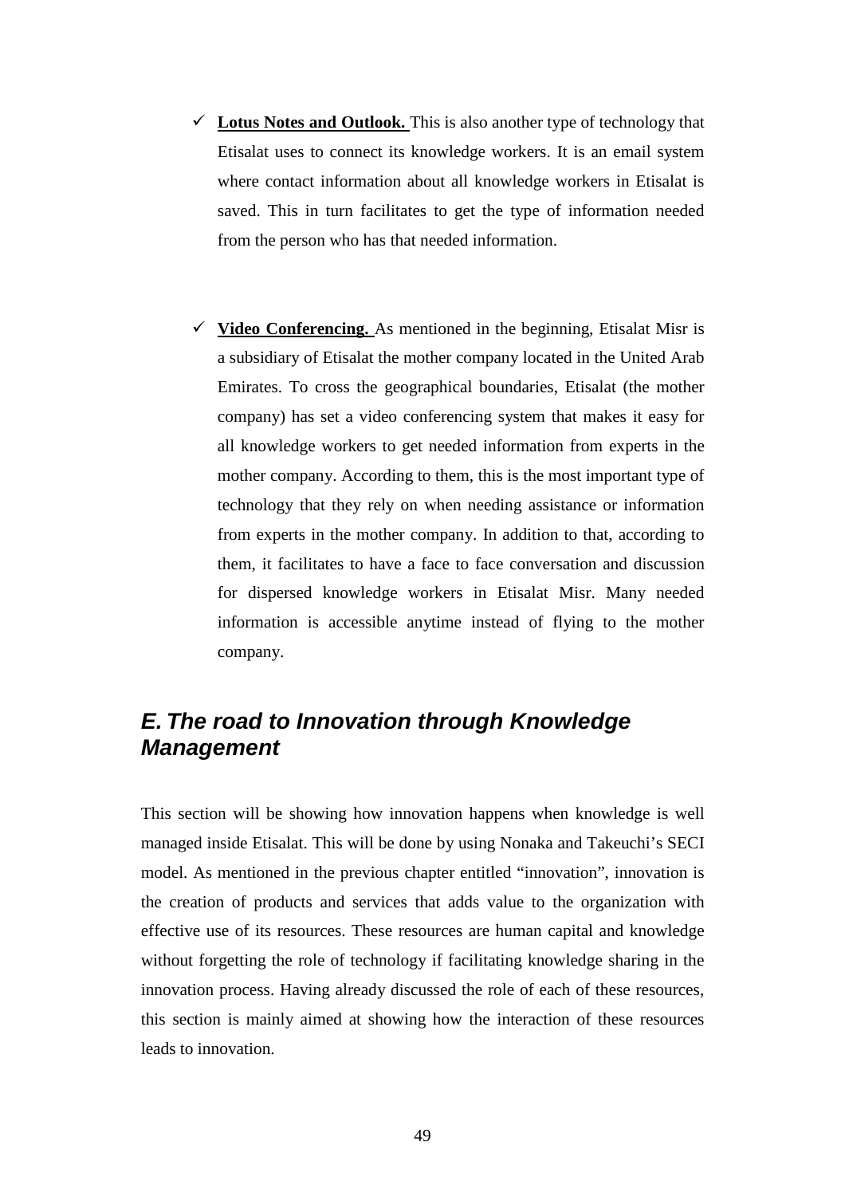- $\checkmark$  Lotus Notes and Outlook. This is also another type of technology that Etisalat uses to connect its knowledge workers. It is an email system where contact information about all knowledge workers in Etisalat is saved. This in turn facilitates to get the type of information needed from the person who has that needed information.
- **Video Conferencing.** As mentioned in the beginning, Etisalat Misr is a subsidiary of Etisalat the mother company located in the United Arab Emirates. To cross the geographical boundaries, Etisalat (the mother company) has set a video conferencing system that makes it easy for all knowledge workers to get needed information from experts in the mother company. According to them, this is the most important type of technology that they rely on when needing assistance or information from experts in the mother company. In addition to that, according to them, it facilitates to have a face to face conversation and discussion for dispersed knowledge workers in Etisalat Misr. Many needed information is accessible anytime instead of flying to the mother company.

# **E. The road to Innovation through Knowledge Management**

This section will be showing how innovation happens when knowledge is well managed inside Etisalat. This will be done by using Nonaka and Takeuchi's SECI model. As mentioned in the previous chapter entitled "innovation", innovation is the creation of products and services that adds value to the organization with effective use of its resources. These resources are human capital and knowledge without forgetting the role of technology if facilitating knowledge sharing in the innovation process. Having already discussed the role of each of these resources, this section is mainly aimed at showing how the interaction of these resources leads to innovation.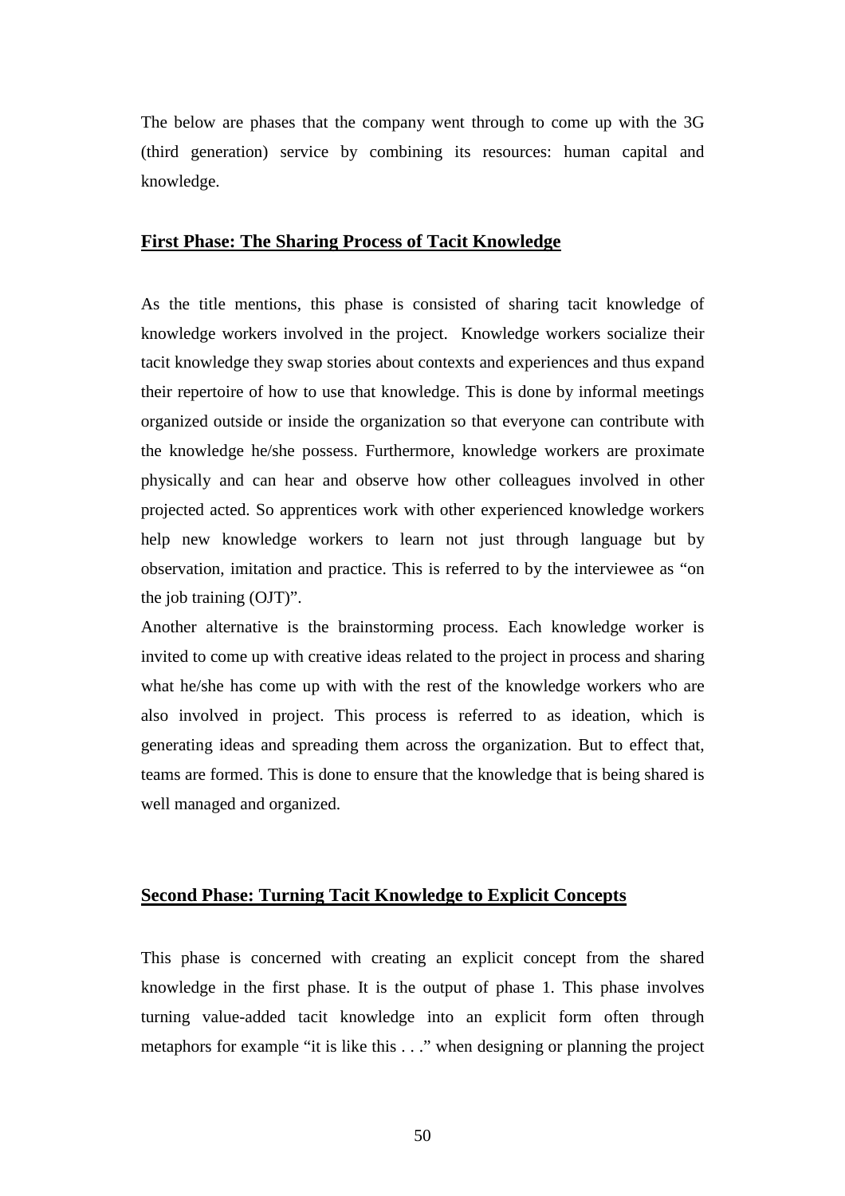The below are phases that the company went through to come up with the 3G (third generation) service by combining its resources: human capital and knowledge.

#### **First Phase: The Sharing Process of Tacit Knowledge**

As the title mentions, this phase is consisted of sharing tacit knowledge of knowledge workers involved in the project. Knowledge workers socialize their tacit knowledge they swap stories about contexts and experiences and thus expand their repertoire of how to use that knowledge. This is done by informal meetings organized outside or inside the organization so that everyone can contribute with the knowledge he/she possess. Furthermore, knowledge workers are proximate physically and can hear and observe how other colleagues involved in other projected acted. So apprentices work with other experienced knowledge workers help new knowledge workers to learn not just through language but by observation, imitation and practice. This is referred to by the interviewee as "on the job training (OJT)".

Another alternative is the brainstorming process. Each knowledge worker is invited to come up with creative ideas related to the project in process and sharing what he/she has come up with with the rest of the knowledge workers who are also involved in project. This process is referred to as ideation, which is generating ideas and spreading them across the organization. But to effect that, teams are formed. This is done to ensure that the knowledge that is being shared is well managed and organized.

#### **Second Phase: Turning Tacit Knowledge to Explicit Concepts**

This phase is concerned with creating an explicit concept from the shared knowledge in the first phase. It is the output of phase 1. This phase involves turning value-added tacit knowledge into an explicit form often through metaphors for example "it is like this . . ." when designing or planning the project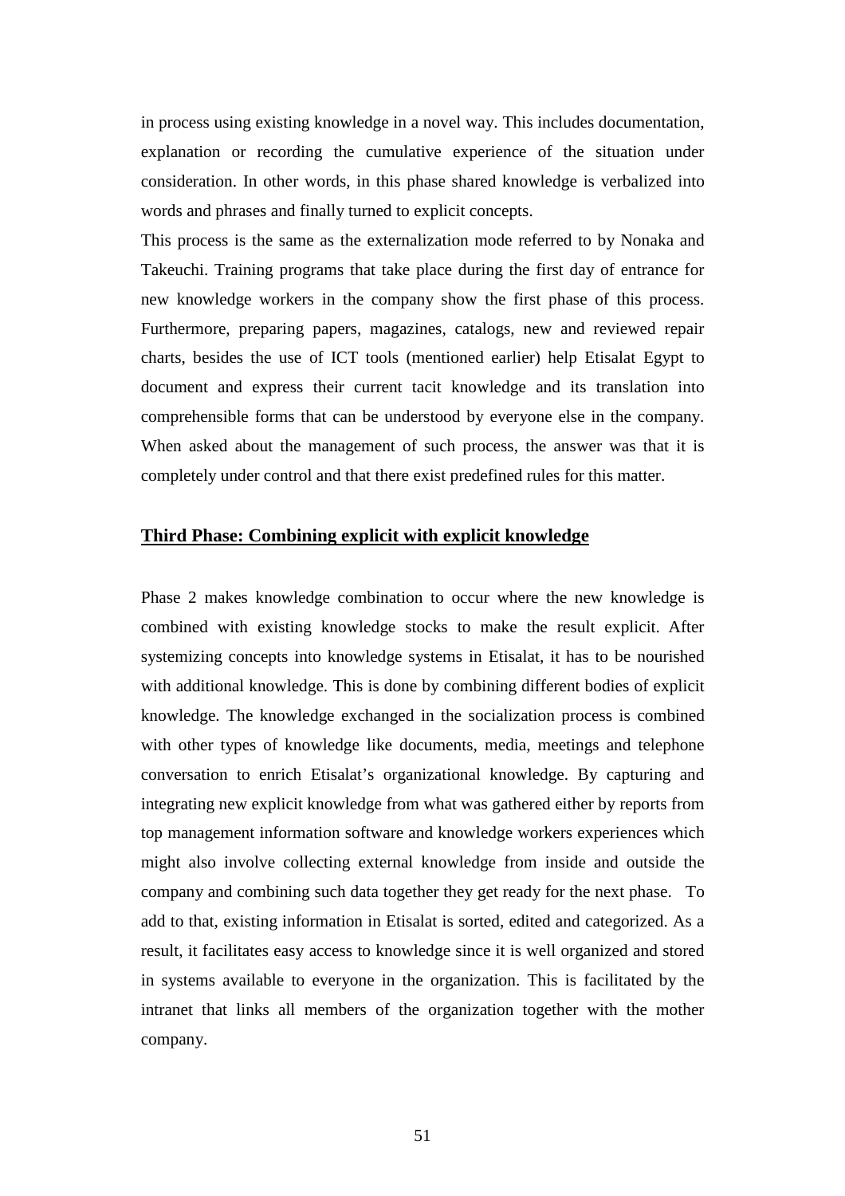in process using existing knowledge in a novel way. This includes documentation, explanation or recording the cumulative experience of the situation under consideration. In other words, in this phase shared knowledge is verbalized into words and phrases and finally turned to explicit concepts.

This process is the same as the externalization mode referred to by Nonaka and Takeuchi. Training programs that take place during the first day of entrance for new knowledge workers in the company show the first phase of this process. Furthermore, preparing papers, magazines, catalogs, new and reviewed repair charts, besides the use of ICT tools (mentioned earlier) help Etisalat Egypt to document and express their current tacit knowledge and its translation into comprehensible forms that can be understood by everyone else in the company. When asked about the management of such process, the answer was that it is completely under control and that there exist predefined rules for this matter.

#### **Third Phase: Combining explicit with explicit knowledge**

Phase 2 makes knowledge combination to occur where the new knowledge is combined with existing knowledge stocks to make the result explicit. After systemizing concepts into knowledge systems in Etisalat, it has to be nourished with additional knowledge. This is done by combining different bodies of explicit knowledge. The knowledge exchanged in the socialization process is combined with other types of knowledge like documents, media, meetings and telephone conversation to enrich Etisalat's organizational knowledge. By capturing and integrating new explicit knowledge from what was gathered either by reports from top management information software and knowledge workers experiences which might also involve collecting external knowledge from inside and outside the company and combining such data together they get ready for the next phase. To add to that, existing information in Etisalat is sorted, edited and categorized. As a result, it facilitates easy access to knowledge since it is well organized and stored in systems available to everyone in the organization. This is facilitated by the intranet that links all members of the organization together with the mother company.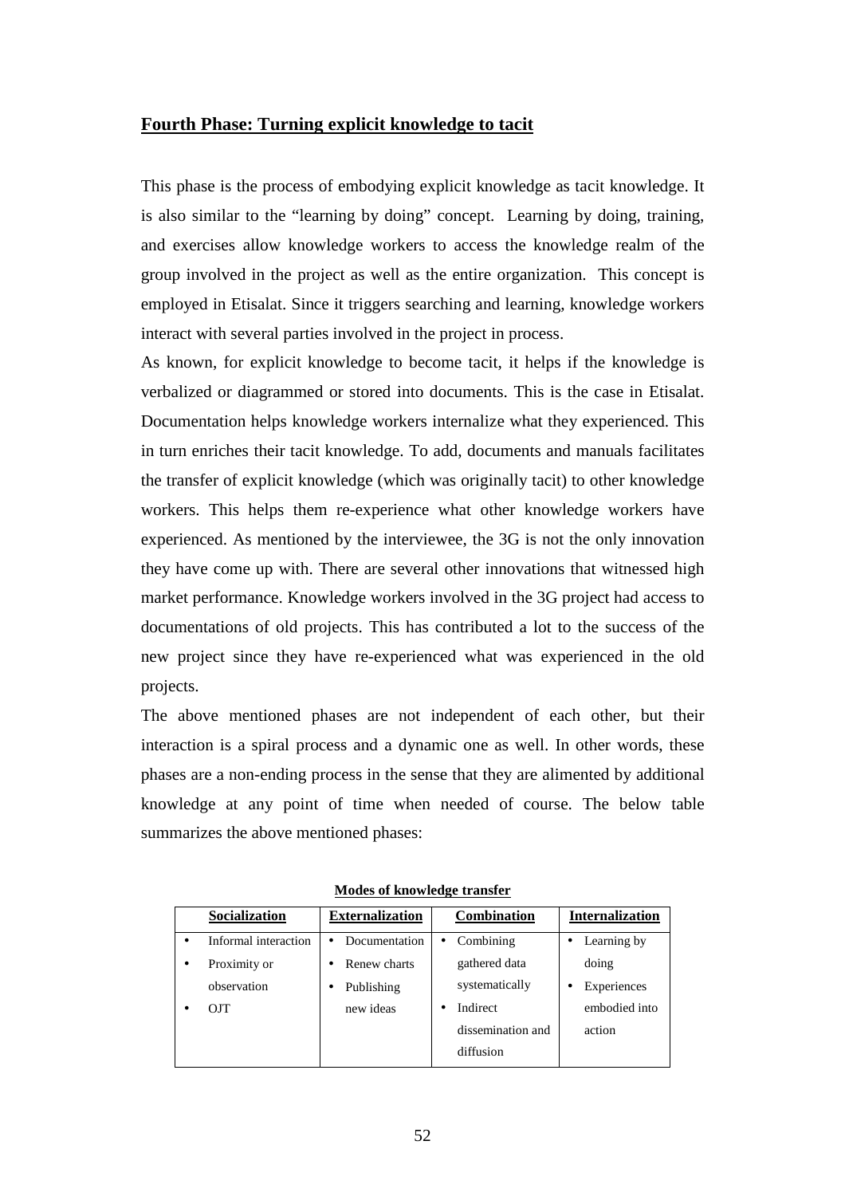#### **Fourth Phase: Turning explicit knowledge to tacit**

This phase is the process of embodying explicit knowledge as tacit knowledge. It is also similar to the "learning by doing" concept. Learning by doing, training, and exercises allow knowledge workers to access the knowledge realm of the group involved in the project as well as the entire organization. This concept is employed in Etisalat. Since it triggers searching and learning, knowledge workers interact with several parties involved in the project in process.

As known, for explicit knowledge to become tacit, it helps if the knowledge is verbalized or diagrammed or stored into documents. This is the case in Etisalat. Documentation helps knowledge workers internalize what they experienced. This in turn enriches their tacit knowledge. To add, documents and manuals facilitates the transfer of explicit knowledge (which was originally tacit) to other knowledge workers. This helps them re-experience what other knowledge workers have experienced. As mentioned by the interviewee, the 3G is not the only innovation they have come up with. There are several other innovations that witnessed high market performance. Knowledge workers involved in the 3G project had access to documentations of old projects. This has contributed a lot to the success of the new project since they have re-experienced what was experienced in the old projects.

The above mentioned phases are not independent of each other, but their interaction is a spiral process and a dynamic one as well. In other words, these phases are a non-ending process in the sense that they are alimented by additional knowledge at any point of time when needed of course. The below table summarizes the above mentioned phases:

| Socialization        | <b>Externalization</b>     |           | <b>Combination</b> |  | <b>Internalization</b> |
|----------------------|----------------------------|-----------|--------------------|--|------------------------|
| Informal interaction | Documentation<br>$\bullet$ | $\bullet$ | Combining          |  | Learning by            |
| Proximity or         | Renew charts               |           | gathered data      |  | doing                  |
| observation          | Publishing                 |           | systematically     |  | Experiences            |
| O <sub>1</sub>       | new ideas                  |           | Indirect           |  | embodied into          |
|                      |                            |           | dissemination and  |  | action                 |
|                      |                            |           | diffusion          |  |                        |

**Modes of knowledge transfer**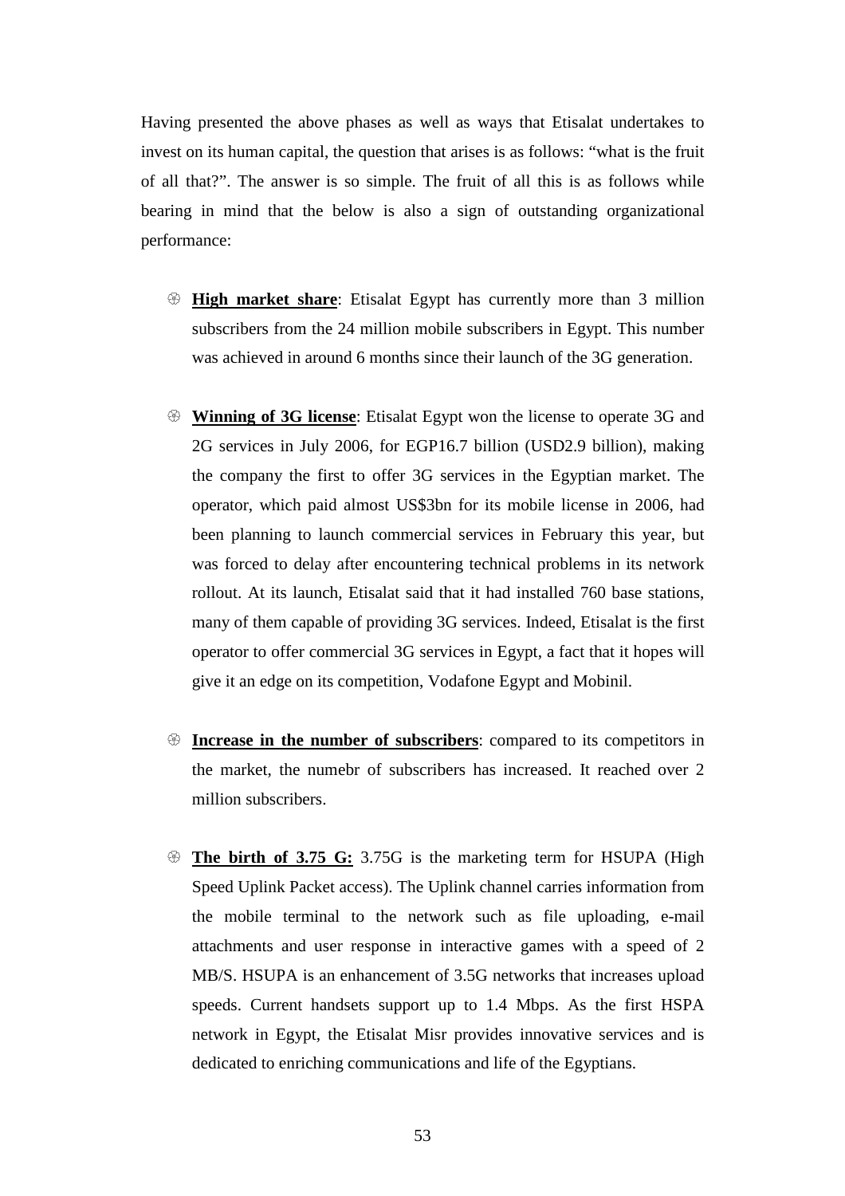Having presented the above phases as well as ways that Etisalat undertakes to invest on its human capital, the question that arises is as follows: "what is the fruit of all that?". The answer is so simple. The fruit of all this is as follows while bearing in mind that the below is also a sign of outstanding organizational performance:

- **Example 16 High market share:** Etisalat Egypt has currently more than 3 million subscribers from the 24 million mobile subscribers in Egypt. This number was achieved in around 6 months since their launch of the 3G generation.
- **Winning of 3G license**: Etisalat Egypt won the license to operate 3G and 2G services in July 2006, for EGP16.7 billion (USD2.9 billion), making the company the first to offer 3G services in the Egyptian market. The operator, which paid almost US\$3bn for its mobile license in 2006, had been planning to launch commercial services in February this year, but was forced to delay after encountering technical problems in its network rollout. At its launch, Etisalat said that it had installed 760 base stations, many of them capable of providing 3G services. Indeed, Etisalat is the first operator to offer commercial 3G services in Egypt, a fact that it hopes will give it an edge on its competition, Vodafone Egypt and Mobinil.
- $\circledast$  **Increase in the number of subscribers**: compared to its competitors in the market, the numebr of subscribers has increased. It reached over 2 million subscribers.
- **Example 15 The birth of 3.75 G:** 3.75G is the marketing term for HSUPA (High Speed Uplink Packet access). The Uplink channel carries information from the mobile terminal to the network such as file uploading, e-mail attachments and user response in interactive games with a speed of 2 MB/S. HSUPA is an enhancement of 3.5G networks that increases upload speeds. Current handsets support up to 1.4 Mbps. As the first HSPA network in Egypt, the Etisalat Misr provides innovative services and is dedicated to enriching communications and life of the Egyptians.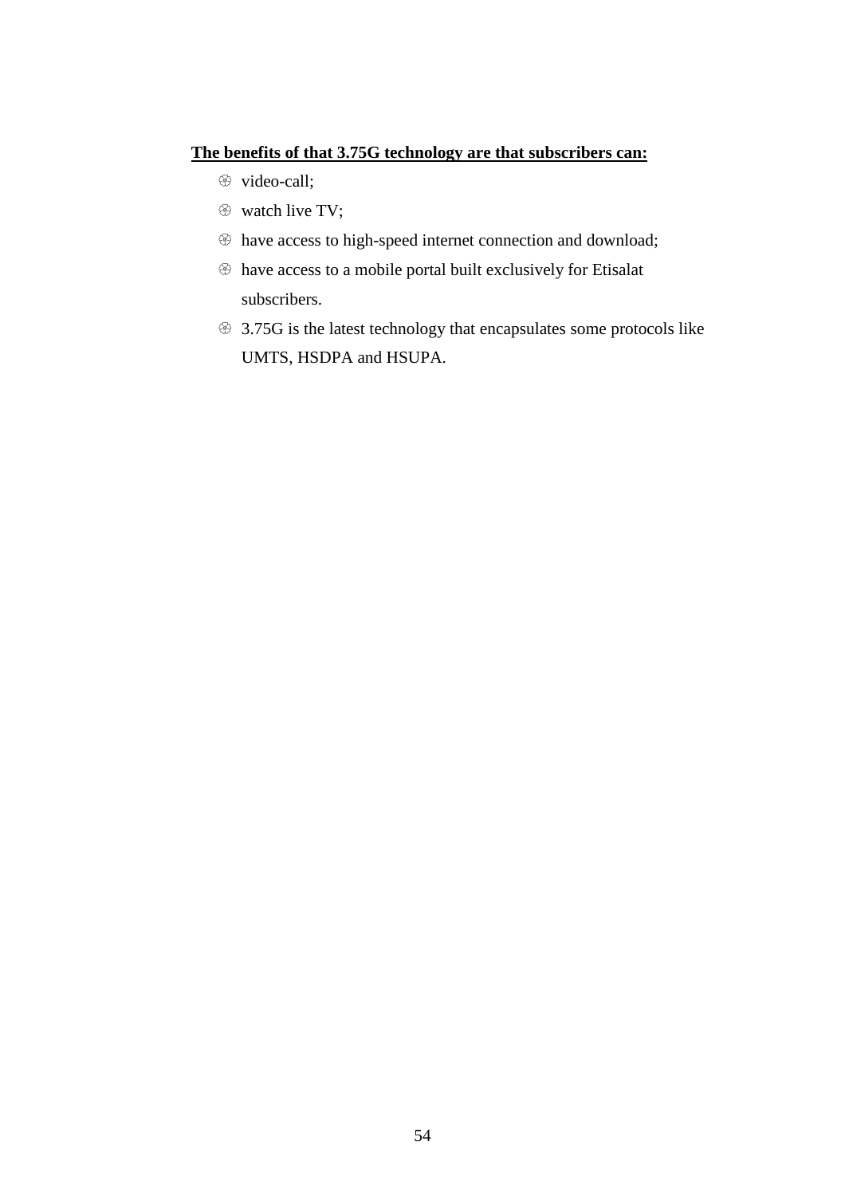#### **The benefits of that 3.75G technology are that subscribers can:**

- $\circledast$  video-call;
- $\circledast$  watch live TV;
- $\circledast$  have access to high-speed internet connection and download;
- have access to a mobile portal built exclusively for Etisalat subscribers.
- 3.75G is the latest technology that encapsulates some protocols like UMTS, HSDPA and HSUPA.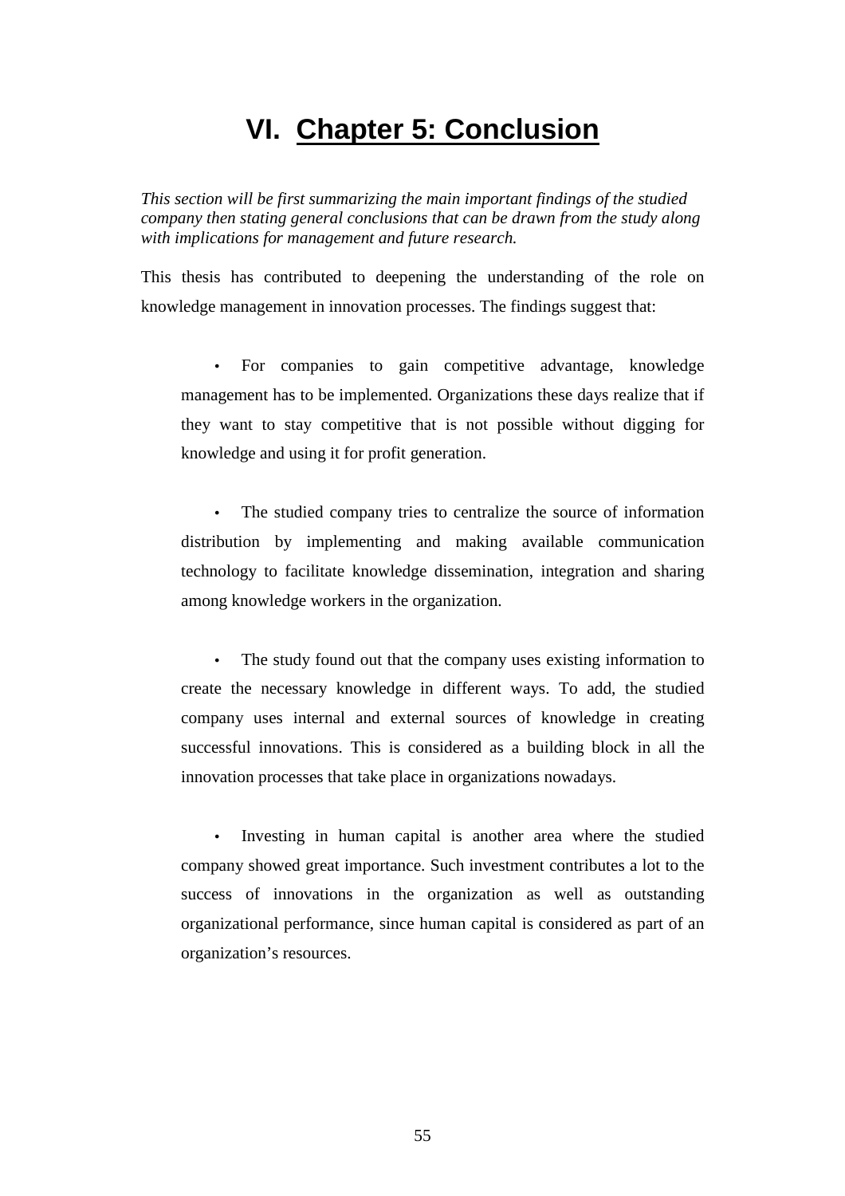# **VI. Chapter 5: Conclusion**

*This section will be first summarizing the main important findings of the studied company then stating general conclusions that can be drawn from the study along with implications for management and future research.* 

This thesis has contributed to deepening the understanding of the role on knowledge management in innovation processes. The findings suggest that:

• For companies to gain competitive advantage, knowledge management has to be implemented. Organizations these days realize that if they want to stay competitive that is not possible without digging for knowledge and using it for profit generation.

The studied company tries to centralize the source of information distribution by implementing and making available communication technology to facilitate knowledge dissemination, integration and sharing among knowledge workers in the organization.

• The study found out that the company uses existing information to create the necessary knowledge in different ways. To add, the studied company uses internal and external sources of knowledge in creating successful innovations. This is considered as a building block in all the innovation processes that take place in organizations nowadays.

Investing in human capital is another area where the studied company showed great importance. Such investment contributes a lot to the success of innovations in the organization as well as outstanding organizational performance, since human capital is considered as part of an organization's resources.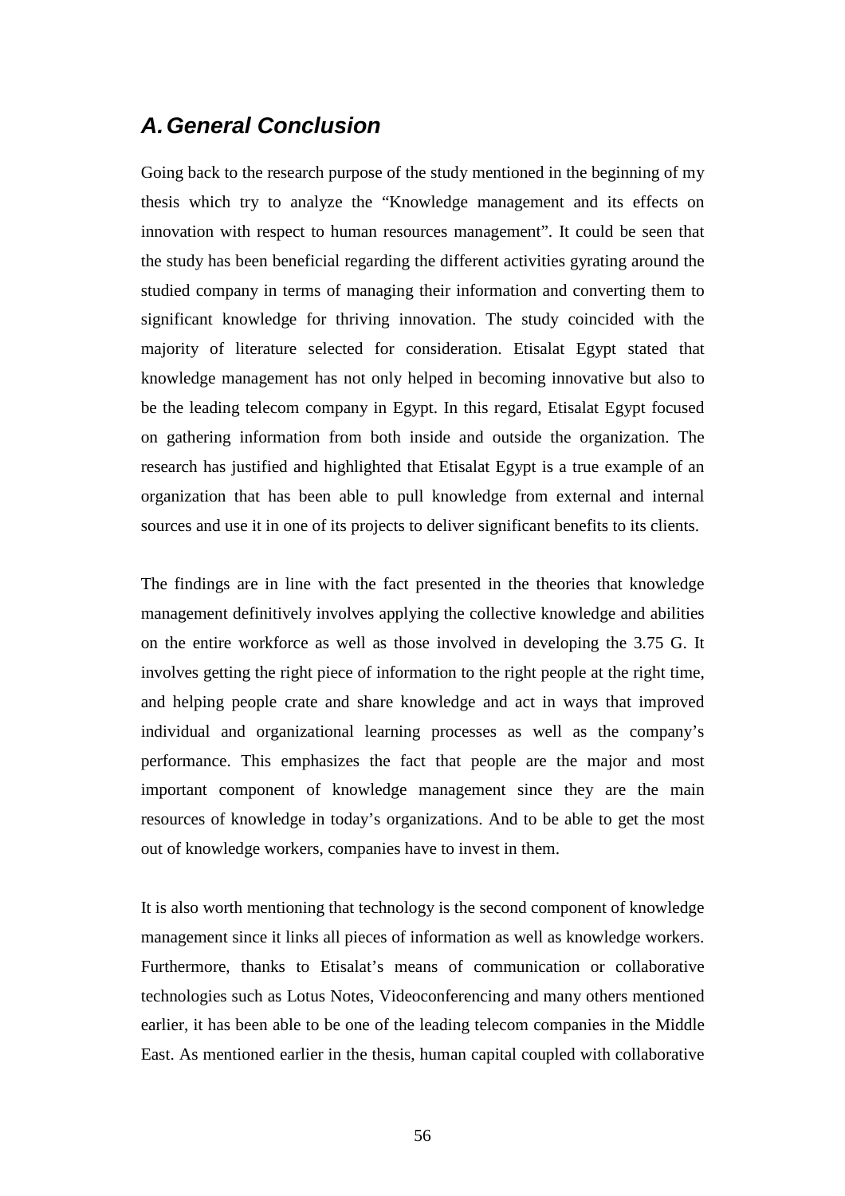## **A. General Conclusion**

Going back to the research purpose of the study mentioned in the beginning of my thesis which try to analyze the "Knowledge management and its effects on innovation with respect to human resources management". It could be seen that the study has been beneficial regarding the different activities gyrating around the studied company in terms of managing their information and converting them to significant knowledge for thriving innovation. The study coincided with the majority of literature selected for consideration. Etisalat Egypt stated that knowledge management has not only helped in becoming innovative but also to be the leading telecom company in Egypt. In this regard, Etisalat Egypt focused on gathering information from both inside and outside the organization. The research has justified and highlighted that Etisalat Egypt is a true example of an organization that has been able to pull knowledge from external and internal sources and use it in one of its projects to deliver significant benefits to its clients.

The findings are in line with the fact presented in the theories that knowledge management definitively involves applying the collective knowledge and abilities on the entire workforce as well as those involved in developing the 3.75 G. It involves getting the right piece of information to the right people at the right time, and helping people crate and share knowledge and act in ways that improved individual and organizational learning processes as well as the company's performance. This emphasizes the fact that people are the major and most important component of knowledge management since they are the main resources of knowledge in today's organizations. And to be able to get the most out of knowledge workers, companies have to invest in them.

It is also worth mentioning that technology is the second component of knowledge management since it links all pieces of information as well as knowledge workers. Furthermore, thanks to Etisalat's means of communication or collaborative technologies such as Lotus Notes, Videoconferencing and many others mentioned earlier, it has been able to be one of the leading telecom companies in the Middle East. As mentioned earlier in the thesis, human capital coupled with collaborative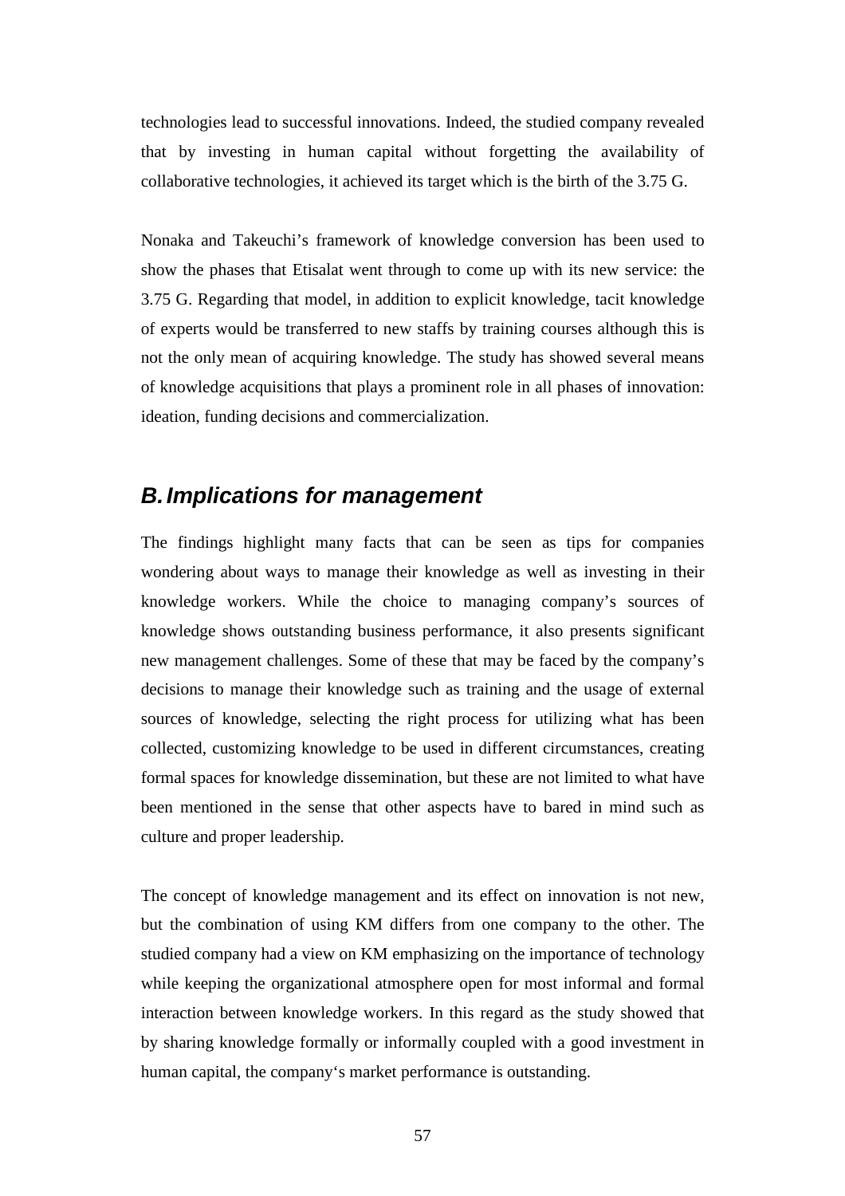technologies lead to successful innovations. Indeed, the studied company revealed that by investing in human capital without forgetting the availability of collaborative technologies, it achieved its target which is the birth of the 3.75 G.

Nonaka and Takeuchi's framework of knowledge conversion has been used to show the phases that Etisalat went through to come up with its new service: the 3.75 G. Regarding that model, in addition to explicit knowledge, tacit knowledge of experts would be transferred to new staffs by training courses although this is not the only mean of acquiring knowledge. The study has showed several means of knowledge acquisitions that plays a prominent role in all phases of innovation: ideation, funding decisions and commercialization.

## **B. Implications for management**

The findings highlight many facts that can be seen as tips for companies wondering about ways to manage their knowledge as well as investing in their knowledge workers. While the choice to managing company's sources of knowledge shows outstanding business performance, it also presents significant new management challenges. Some of these that may be faced by the company's decisions to manage their knowledge such as training and the usage of external sources of knowledge, selecting the right process for utilizing what has been collected, customizing knowledge to be used in different circumstances, creating formal spaces for knowledge dissemination, but these are not limited to what have been mentioned in the sense that other aspects have to bared in mind such as culture and proper leadership.

The concept of knowledge management and its effect on innovation is not new, but the combination of using KM differs from one company to the other. The studied company had a view on KM emphasizing on the importance of technology while keeping the organizational atmosphere open for most informal and formal interaction between knowledge workers. In this regard as the study showed that by sharing knowledge formally or informally coupled with a good investment in human capital, the company's market performance is outstanding.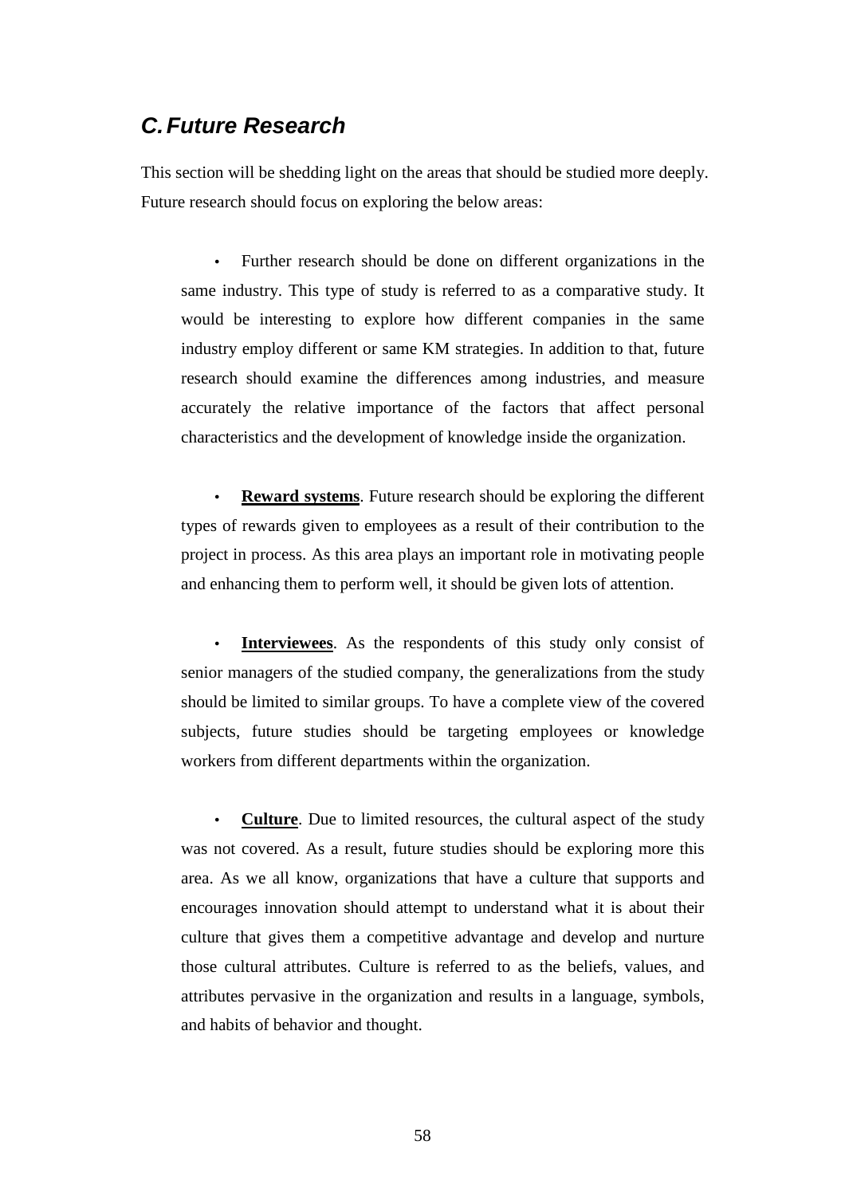## **C. Future Research**

This section will be shedding light on the areas that should be studied more deeply. Future research should focus on exploring the below areas:

• Further research should be done on different organizations in the same industry. This type of study is referred to as a comparative study. It would be interesting to explore how different companies in the same industry employ different or same KM strategies. In addition to that, future research should examine the differences among industries, and measure accurately the relative importance of the factors that affect personal characteristics and the development of knowledge inside the organization.

• **Reward systems**. Future research should be exploring the different types of rewards given to employees as a result of their contribution to the project in process. As this area plays an important role in motivating people and enhancing them to perform well, it should be given lots of attention.

• **Interviewees**. As the respondents of this study only consist of senior managers of the studied company, the generalizations from the study should be limited to similar groups. To have a complete view of the covered subjects, future studies should be targeting employees or knowledge workers from different departments within the organization.

• **Culture**. Due to limited resources, the cultural aspect of the study was not covered. As a result, future studies should be exploring more this area. As we all know, organizations that have a culture that supports and encourages innovation should attempt to understand what it is about their culture that gives them a competitive advantage and develop and nurture those cultural attributes. Culture is referred to as the beliefs, values, and attributes pervasive in the organization and results in a language, symbols, and habits of behavior and thought.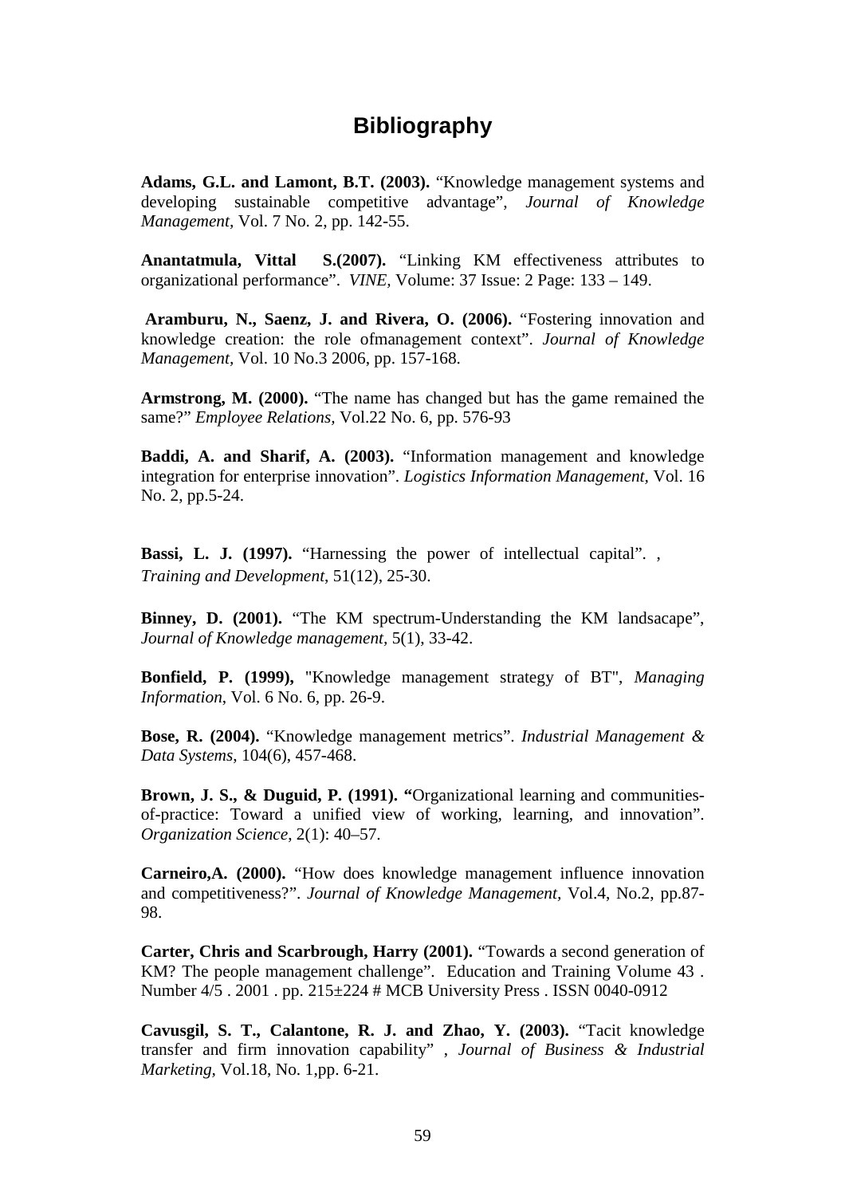## **Bibliography**

**Adams, G.L. and Lamont, B.T. (2003).** "Knowledge management systems and developing sustainable competitive advantage", *Journal of Knowledge Management,* Vol. 7 No. 2, pp. 142-55.

**Anantatmula, Vittal S.(2007).** "Linking KM effectiveness attributes to organizational performance". *VINE,* Volume: 37 Issue: 2 Page: 133 – 149.

**Aramburu, N., Saenz, J. and Rivera, O. (2006).** "Fostering innovation and knowledge creation: the role ofmanagement context". *Journal of Knowledge Management,* Vol. 10 No.3 2006, pp. 157-168.

**Armstrong, M. (2000).** "The name has changed but has the game remained the same?" *Employee Relations,* Vol.22 No. 6, pp. 576-93

**Baddi, A. and Sharif, A. (2003).** "Information management and knowledge integration for enterprise innovation". *Logistics Information Management,* Vol. 16 No. 2, pp.5-24.

**Bassi, L. J. (1997).** "Harnessing the power of intellectual capital". , *Training and Development*, 51(12), 25-30.

**Binney, D. (2001).** "The KM spectrum-Understanding the KM landsacape", *Journal of Knowledge management,* 5(1), 33-42.

**Bonfield, P. (1999),** "Knowledge management strategy of BT", *Managing Information*, Vol. 6 No. 6, pp. 26-9.

**Bose, R. (2004).** "Knowledge management metrics". *Industrial Management & Data Systems*, 104(6), 457-468.

**Brown, J. S., & Duguid, P. (1991). "**Organizational learning and communitiesof-practice: Toward a unified view of working, learning, and innovation". *Organization Science*, 2(1): 40–57.

**Carneiro,A. (2000).** "How does knowledge management influence innovation and competitiveness?". *Journal of Knowledge Management,* Vol.4, No.2, pp.87- 98.

**Carter, Chris and Scarbrough, Harry (2001).** "Towards a second generation of KM? The people management challenge". Education and Training Volume 43 . Number 4/5 . 2001 . pp. 215±224 # MCB University Press . ISSN 0040-0912

**Cavusgil, S. T., Calantone, R. J. and Zhao, Y. (2003).** "Tacit knowledge transfer and firm innovation capability" , *Journal of Business & Industrial Marketing,* Vol.18, No. 1,pp. 6-21.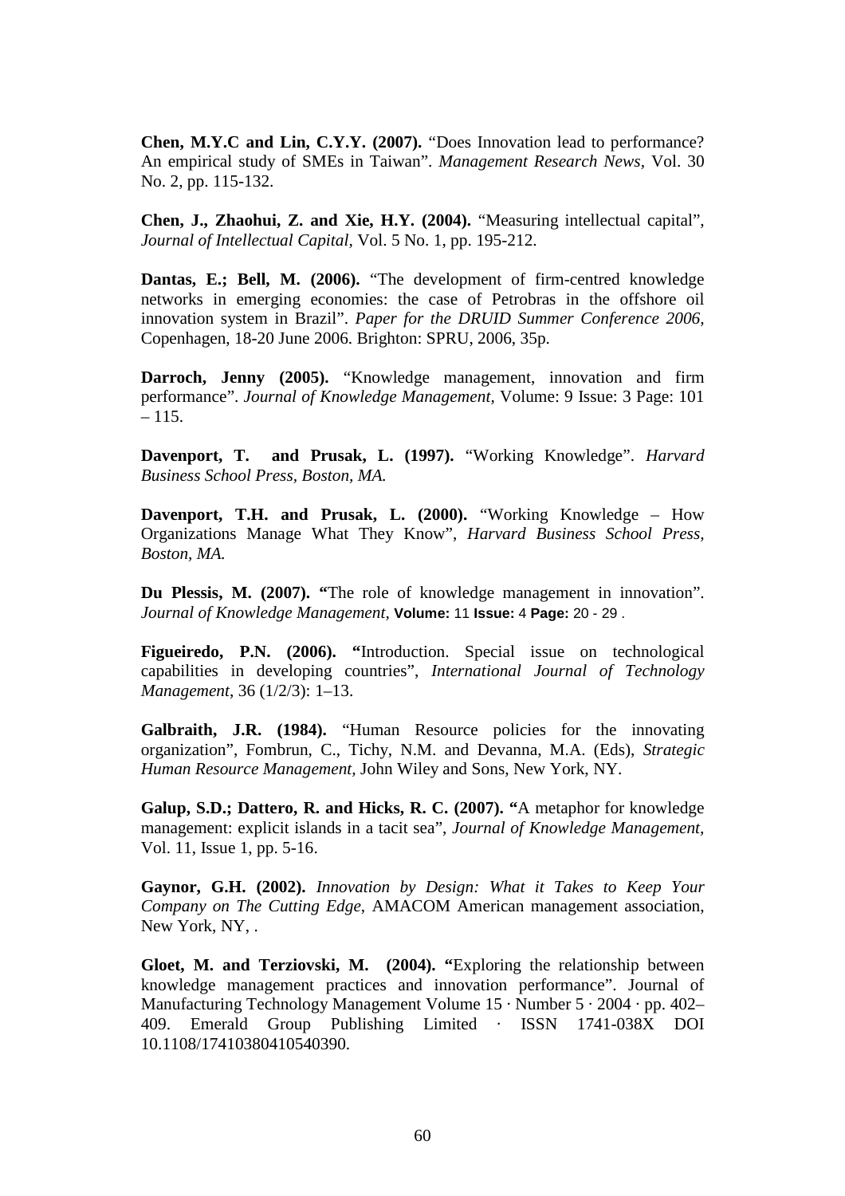**Chen, M.Y.C and Lin, C.Y.Y. (2007).** "Does Innovation lead to performance? An empirical study of SMEs in Taiwan". *Management Research News,* Vol. 30 No. 2, pp. 115-132.

**Chen, J., Zhaohui, Z. and Xie, H.Y. (2004).** "Measuring intellectual capital", *Journal of Intellectual Capital,* Vol. 5 No. 1, pp. 195-212.

**Dantas, E.; Bell, M. (2006).** "The development of firm-centred knowledge networks in emerging economies: the case of Petrobras in the offshore oil innovation system in Brazil". *Paper for the DRUID Summer Conference 2006,* Copenhagen, 18-20 June 2006. Brighton: SPRU, 2006, 35p.

**Darroch, Jenny (2005).** "Knowledge management, innovation and firm performance". *Journal of Knowledge Management,* Volume: 9 Issue: 3 Page: 101 – 115.

**Davenport, T. and Prusak, L. (1997).** "Working Knowledge". *Harvard Business School Press, Boston, MA.* 

**Davenport, T.H. and Prusak, L. (2000).** "Working Knowledge – How Organizations Manage What They Know", *Harvard Business School Press, Boston, MA.* 

**Du Plessis, M. (2007). "**The role of knowledge management in innovation". *Journal of Knowledge Management,* **Volume:** 11 **Issue:** 4 **Page:** 20 - 29 .

**Figueiredo, P.N. (2006). "**Introduction. Special issue on technological capabilities in developing countries", *International Journal of Technology Management*, 36 (1/2/3): 1–13.

Galbraith, J.R. (1984). "Human Resource policies for the innovating organization", Fombrun, C., Tichy, N.M. and Devanna, M.A. (Eds), *Strategic Human Resource Management,* John Wiley and Sons, New York, NY.

**Galup, S.D.; Dattero, R. and Hicks, R. C. (2007). "**A metaphor for knowledge management: explicit islands in a tacit sea", *Journal of Knowledge Management,*  Vol. 11, Issue 1, pp. 5-16.

**Gaynor, G.H. (2002).** *Innovation by Design: What it Takes to Keep Your Company on The Cutting Edge*, AMACOM American management association, New York, NY, .

**Gloet, M. and Terziovski, M. (2004). "**Exploring the relationship between knowledge management practices and innovation performance". Journal of Manufacturing Technology Management Volume 15 · Number 5 · 2004 · pp. 402– 409. Emerald Group Publishing Limited · ISSN 1741-038X DOI 10.1108/17410380410540390.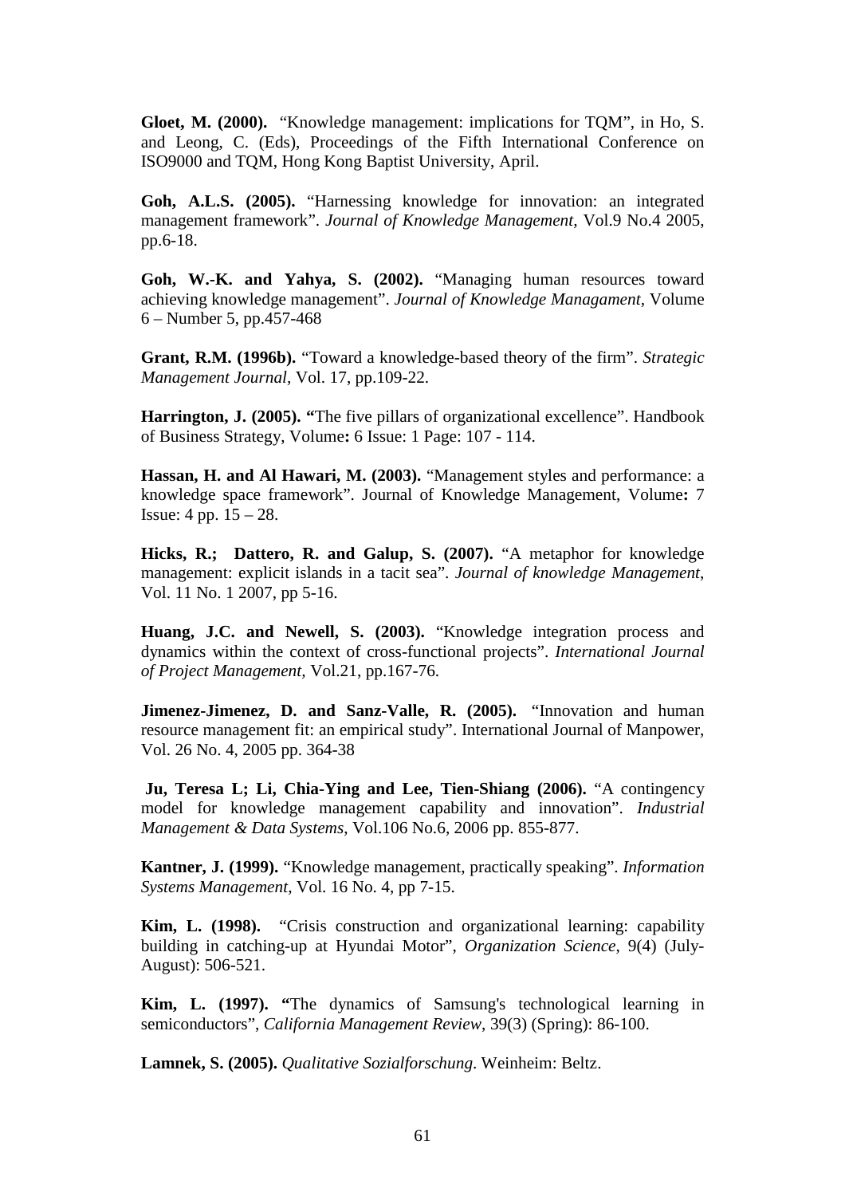**Gloet, M. (2000).** "Knowledge management: implications for TQM", in Ho, S. and Leong, C. (Eds), Proceedings of the Fifth International Conference on ISO9000 and TQM, Hong Kong Baptist University, April.

**Goh, A.L.S. (2005).** "Harnessing knowledge for innovation: an integrated management framework". *Journal of Knowledge Management,* Vol.9 No.4 2005, pp.6-18.

**Goh, W.-K. and Yahya, S. (2002).** "Managing human resources toward achieving knowledge management". *Journal of Knowledge Managament,* Volume 6 – Number 5, pp.457-468

**Grant, R.M. (1996b).** "Toward a knowledge-based theory of the firm". *Strategic Management Journal,* Vol. 17, pp.109-22.

**Harrington, J. (2005). "**The five pillars of organizational excellence". Handbook of Business Strategy, Volume**:** 6 Issue: 1 Page: 107 - 114.

**Hassan, H. and Al Hawari, M. (2003).** "Management styles and performance: a knowledge space framework". Journal of Knowledge Management, Volume**:** 7 Issue: 4 pp. 15 – 28.

**Hicks, R.; Dattero, R. and Galup, S. (2007).** "A metaphor for knowledge management: explicit islands in a tacit sea". *Journal of knowledge Management*, Vol. 11 No. 1 2007, pp 5-16.

**Huang, J.C. and Newell, S. (2003).** "Knowledge integration process and dynamics within the context of cross-functional projects". *International Journal of Project Management,* Vol.21, pp.167-76.

Jimenez-Jimenez, D. and Sanz-Valle, R. (2005). "Innovation and human resource management fit: an empirical study". International Journal of Manpower, Vol. 26 No. 4, 2005 pp. 364-38

 **Ju, Teresa L; Li, Chia-Ying and Lee, Tien-Shiang (2006).** "A contingency model for knowledge management capability and innovation". *Industrial Management & Data Systems*, Vol.106 No.6, 2006 pp. 855-877.

**Kantner, J. (1999).** "Knowledge management, practically speaking". *Information Systems Management,* Vol. 16 No. 4, pp 7-15.

**Kim, L. (1998).** "Crisis construction and organizational learning: capability building in catching-up at Hyundai Motor", *Organization Science*, 9(4) (July-August): 506-521.

**Kim, L. (1997). "**The dynamics of Samsung's technological learning in semiconductors", *California Management Review*, 39(3) (Spring): 86-100.

**Lamnek, S. (2005).** *Qualitative Sozialforschung*. Weinheim: Beltz.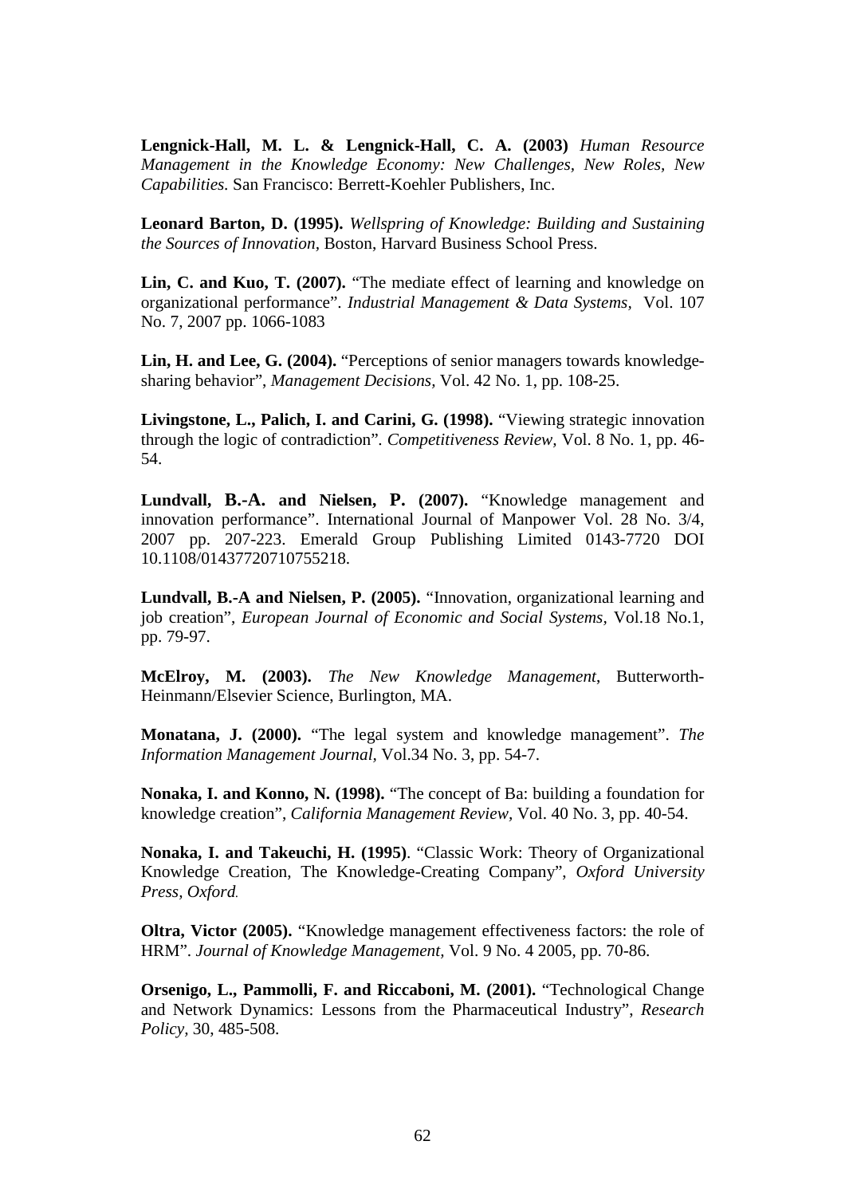**Lengnick-Hall, M. L. & Lengnick-Hall, C. A. (2003)** *Human Resource Management in the Knowledge Economy: New Challenges, New Roles, New Capabilities.* San Francisco: Berrett-Koehler Publishers, Inc.

**Leonard Barton, D. (1995).** *Wellspring of Knowledge: Building and Sustaining the Sources of Innovation,* Boston, Harvard Business School Press.

**Lin, C. and Kuo, T. (2007).** "The mediate effect of learning and knowledge on organizational performance". *Industrial Management & Data Systems,* Vol. 107 No. 7, 2007 pp. 1066-1083

**Lin, H. and Lee, G. (2004).** "Perceptions of senior managers towards knowledgesharing behavior", *Management Decisions,* Vol. 42 No. 1, pp. 108-25.

**Livingstone, L., Palich, I. and Carini, G. (1998).** "Viewing strategic innovation through the logic of contradiction"*. Competitiveness Review,* Vol. 8 No. 1, pp. 46- 54.

**Lundvall, B.-A. and Nielsen, P. (2007).** "Knowledge management and innovation performance". International Journal of Manpower Vol. 28 No. 3/4, 2007 pp. 207-223. Emerald Group Publishing Limited 0143-7720 DOI 10.1108/01437720710755218.

**Lundvall, B.-A and Nielsen, P. (2005).** "Innovation, organizational learning and job creation", *European Journal of Economic and Social Systems,* Vol.18 No.1, pp. 79-97.

**McElroy, M. (2003).** *The New Knowledge Management*, Butterworth-Heinmann/Elsevier Science, Burlington, MA.

**Monatana, J. (2000).** "The legal system and knowledge management". *The Information Management Journal,* Vol.34 No. 3, pp. 54-7.

**Nonaka, I. and Konno, N. (1998).** "The concept of Ba: building a foundation for knowledge creation", *California Management Review,* Vol. 40 No. 3, pp. 40-54.

**Nonaka, I. and Takeuchi, H. (1995)**. "Classic Work: Theory of Organizational Knowledge Creation, The Knowledge-Creating Company", *Oxford University Press, Oxford.* 

**Oltra, Victor (2005).** "Knowledge management effectiveness factors: the role of HRM". *Journal of Knowledge Management,* Vol. 9 No. 4 2005, pp. 70-86.

**Orsenigo, L., Pammolli, F. and Riccaboni, M. (2001).** "Technological Change and Network Dynamics: Lessons from the Pharmaceutical Industry", *Research Policy,* 30, 485-508.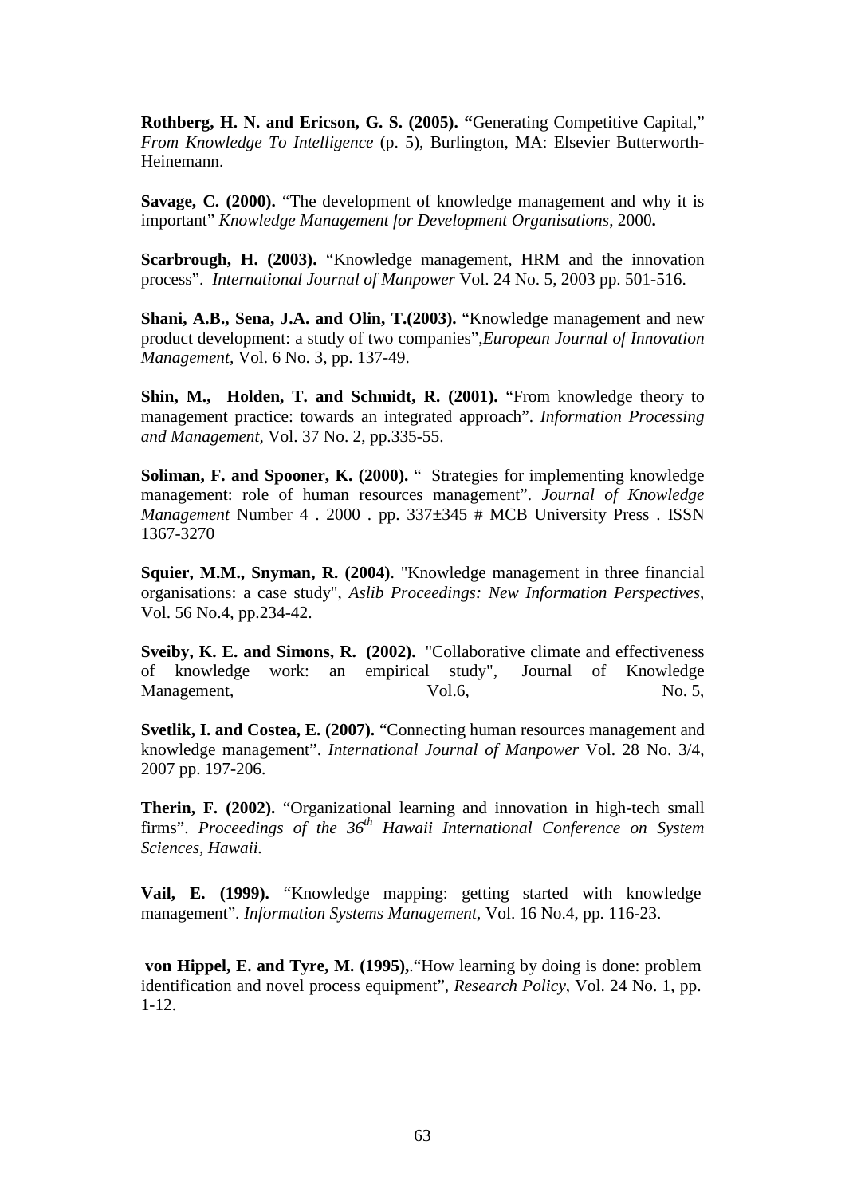**Rothberg, H. N. and Ericson, G. S. (2005). "**Generating Competitive Capital," *From Knowledge To Intelligence* (p. 5), Burlington, MA: Elsevier Butterworth-Heinemann.

**Savage, C. (2000).** "The development of knowledge management and why it is important" *Knowledge Management for Development Organisations*, 2000**.** 

**Scarbrough, H. (2003).** "Knowledge management, HRM and the innovation process". *International Journal of Manpower* Vol. 24 No. 5, 2003 pp. 501-516.

**Shani, A.B., Sena, J.A. and Olin, T.(2003).** "Knowledge management and new product development: a study of two companies",*European Journal of Innovation Management,* Vol. 6 No. 3, pp. 137-49.

**Shin, M., Holden, T. and Schmidt, R. (2001).** "From knowledge theory to management practice: towards an integrated approach". *Information Processing and Management,* Vol. 37 No. 2, pp.335-55.

**Soliman, F. and Spooner, K. (2000).** " Strategies for implementing knowledge management: role of human resources management". *Journal of Knowledge Management* Number 4 . 2000 . pp. 337±345 # MCB University Press . ISSN 1367-3270

**Squier, M.M., Snyman, R. (2004)**. "Knowledge management in three financial organisations: a case study", *Aslib Proceedings: New Information Perspectives*, Vol. 56 No.4, pp.234-42.

**Sveiby, K. E. and Simons, R. (2002).** "Collaborative climate and effectiveness of knowledge work: an empirical study", Journal of Knowledge Management,  $Vol.6$ , No. 5,

**Svetlik, I. and Costea, E. (2007).** "Connecting human resources management and knowledge management". *International Journal of Manpower* Vol. 28 No. 3/4, 2007 pp. 197-206.

**Therin, F. (2002).** "Organizational learning and innovation in high-tech small firms". *Proceedings of the 36th Hawaii International Conference on System Sciences, Hawaii.* 

**Vail, E. (1999).** "Knowledge mapping: getting started with knowledge management". *Information Systems Management,* Vol. 16 No.4, pp. 116-23.

**von Hippel, E. and Tyre, M. (1995),**."How learning by doing is done: problem identification and novel process equipment", *Research Policy*, Vol. 24 No. 1, pp. 1-12.